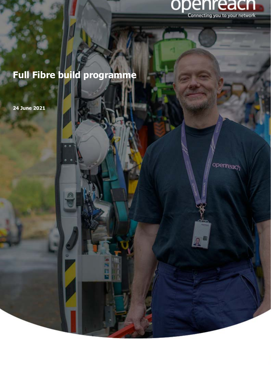

# **Full Fibre build programme**

**24 June 2021** 

í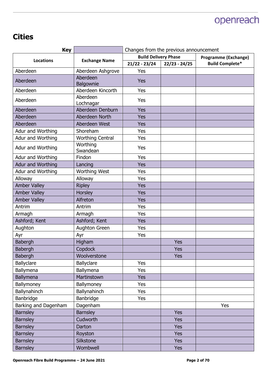#### **Cities**

| <b>Key</b>           |                         | Changes from the previous announcement |                 |                             |
|----------------------|-------------------------|----------------------------------------|-----------------|-----------------------------|
| <b>Locations</b>     | <b>Exchange Name</b>    | <b>Build Delivery Phase</b>            |                 | <b>Programme (Exchange)</b> |
|                      |                         | $21/22 - 23/24$                        | $22/23 - 24/25$ | <b>Build Complete*</b>      |
| Aberdeen             | Aberdeen Ashgrove       | Yes                                    |                 |                             |
| Aberdeen             | Aberdeen<br>Balgownie   | <b>Yes</b>                             |                 |                             |
| Aberdeen             | Aberdeen Kincorth       | Yes                                    |                 |                             |
| Aberdeen             | Aberdeen<br>Lochnagar   | Yes                                    |                 |                             |
| Aberdeen             | Aberdeen Denburn        | Yes                                    |                 |                             |
| Aberdeen             | Aberdeen North          | <b>Yes</b>                             |                 |                             |
| Aberdeen             | Aberdeen West           | <b>Yes</b>                             |                 |                             |
| Adur and Worthing    | Shoreham                | Yes                                    |                 |                             |
| Adur and Worthing    | <b>Worthing Central</b> | Yes                                    |                 |                             |
| Adur and Worthing    | Worthing<br>Swandean    | Yes                                    |                 |                             |
| Adur and Worthing    | Findon                  | Yes                                    |                 |                             |
| Adur and Worthing    | Lancing                 | Yes                                    |                 |                             |
| Adur and Worthing    | <b>Worthing West</b>    | Yes                                    |                 |                             |
| Alloway              | Alloway                 | Yes                                    |                 |                             |
| <b>Amber Valley</b>  | <b>Ripley</b>           | <b>Yes</b>                             |                 |                             |
| <b>Amber Valley</b>  | Horsley                 | <b>Yes</b>                             |                 |                             |
| <b>Amber Valley</b>  | Alfreton                | <b>Yes</b>                             |                 |                             |
| Antrim               | Antrim                  | Yes                                    |                 |                             |
| Armagh               | Armagh                  | Yes                                    |                 |                             |
| Ashford; Kent        | Ashford; Kent           | <b>Yes</b>                             |                 |                             |
| Aughton              | Aughton Green           | Yes                                    |                 |                             |
| Ayr                  | Ayr                     | Yes                                    |                 |                             |
| <b>Babergh</b>       | Higham                  |                                        | Yes             |                             |
| Babergh              | Copdock                 |                                        | <b>Yes</b>      |                             |
| Babergh              | Woolverstone            |                                        | <b>Yes</b>      |                             |
| Ballyclare           | <b>Ballyclare</b>       | Yes                                    |                 |                             |
| Ballymena            | Ballymena               | <b>Yes</b>                             |                 |                             |
| Ballymena            | Martinstown             | Yes                                    |                 |                             |
| Ballymoney           | Ballymoney              | Yes                                    |                 |                             |
| Ballynahinch         | Ballynahinch            | Yes                                    |                 |                             |
| Banbridge            | Banbridge               | Yes                                    |                 |                             |
| Barking and Dagenham | Dagenham                |                                        |                 | Yes                         |
| <b>Barnsley</b>      | <b>Barnsley</b>         |                                        | <b>Yes</b>      |                             |
| <b>Barnsley</b>      | Cudworth                |                                        | <b>Yes</b>      |                             |
| <b>Barnsley</b>      | Darton                  |                                        | <b>Yes</b>      |                             |
| <b>Barnsley</b>      | Royston                 |                                        | <b>Yes</b>      |                             |
| <b>Barnsley</b>      | Silkstone               |                                        | <b>Yes</b>      |                             |
| <b>Barnsley</b>      | Wombwell                |                                        | <b>Yes</b>      |                             |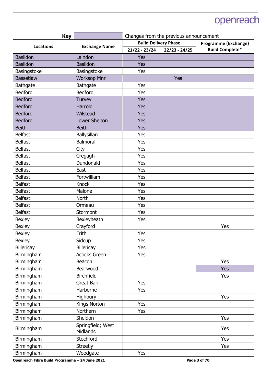| <b>Key</b>        |                               | Changes from the previous announcement                     |                 |                        |
|-------------------|-------------------------------|------------------------------------------------------------|-----------------|------------------------|
| <b>Locations</b>  | <b>Exchange Name</b>          | <b>Build Delivery Phase</b><br><b>Programme (Exchange)</b> |                 |                        |
|                   |                               | $21/22 - 23/24$                                            | $22/23 - 24/25$ | <b>Build Complete*</b> |
| <b>Basildon</b>   | Laindon                       | Yes                                                        |                 |                        |
| <b>Basildon</b>   | <b>Basildon</b>               | <b>Yes</b>                                                 |                 |                        |
| Basingstoke       | Basingstoke                   | Yes                                                        |                 |                        |
| <b>Bassetlaw</b>  | <b>Worksop Mnr</b>            |                                                            | Yes             |                        |
| <b>Bathgate</b>   | <b>Bathgate</b>               | Yes                                                        |                 |                        |
| <b>Bedford</b>    | <b>Bedford</b>                | Yes                                                        |                 |                        |
| <b>Bedford</b>    | Turvey                        | <b>Yes</b>                                                 |                 |                        |
| <b>Bedford</b>    | Harrold                       | Yes                                                        |                 |                        |
| <b>Bedford</b>    | Wilstead                      | <b>Yes</b>                                                 |                 |                        |
| <b>Bedford</b>    | Lower Shelton                 | <b>Yes</b>                                                 |                 |                        |
| <b>Beith</b>      | <b>Beith</b>                  | <b>Yes</b>                                                 |                 |                        |
| <b>Belfast</b>    | Ballysillan                   | Yes                                                        |                 |                        |
| <b>Belfast</b>    | Balmoral                      | Yes                                                        |                 |                        |
| <b>Belfast</b>    | City                          | Yes                                                        |                 |                        |
| <b>Belfast</b>    | Cregagh                       | Yes                                                        |                 |                        |
| <b>Belfast</b>    | Dundonald                     | Yes                                                        |                 |                        |
| <b>Belfast</b>    | East                          | Yes                                                        |                 |                        |
| <b>Belfast</b>    | Fortwilliam                   | Yes                                                        |                 |                        |
| <b>Belfast</b>    | Knock                         | Yes                                                        |                 |                        |
| <b>Belfast</b>    | Malone                        | Yes                                                        |                 |                        |
| <b>Belfast</b>    | North                         | Yes                                                        |                 |                        |
| <b>Belfast</b>    | Ormeau                        | Yes                                                        |                 |                        |
| <b>Belfast</b>    | Stormont                      | Yes                                                        |                 |                        |
| <b>Bexley</b>     | Bexleyheath                   | Yes                                                        |                 |                        |
| <b>Bexley</b>     | Crayford                      |                                                            |                 | Yes                    |
| <b>Bexley</b>     | Erith                         | Yes                                                        |                 |                        |
| <b>Bexley</b>     | Sidcup                        | Yes                                                        |                 |                        |
| <b>Billericay</b> | Billericay                    | Yes                                                        |                 |                        |
| Birmingham        | <b>Acocks Green</b>           | Yes                                                        |                 |                        |
| Birmingham        | Beacon                        |                                                            |                 | Yes                    |
| Birmingham        | Bearwood                      |                                                            |                 | <b>Yes</b>             |
| Birmingham        | <b>Birchfield</b>             |                                                            |                 | Yes                    |
| Birmingham        | Great Barr                    | Yes                                                        |                 |                        |
| Birmingham        | Harborne                      | Yes                                                        |                 |                        |
| Birmingham        | Highbury                      |                                                            |                 | Yes                    |
| Birmingham        | Kings Norton                  | Yes                                                        |                 |                        |
| Birmingham        | Northern                      | Yes                                                        |                 |                        |
| Birmingham        | Sheldon                       |                                                            |                 | Yes                    |
| Birmingham        | Springfield; West<br>Midlands |                                                            |                 | Yes                    |
| Birmingham        | Stechford                     |                                                            |                 | Yes                    |
| Birmingham        | <b>Streetly</b>               |                                                            |                 | Yes                    |
| Birmingham        | Woodgate                      | Yes                                                        |                 |                        |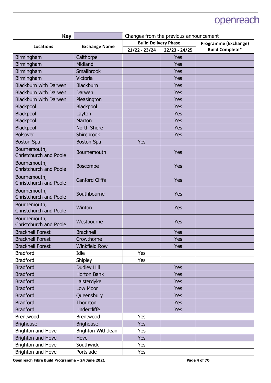| <b>Key</b>                                    |                       | Changes from the previous announcement |                 |                             |
|-----------------------------------------------|-----------------------|----------------------------------------|-----------------|-----------------------------|
| <b>Locations</b>                              | <b>Exchange Name</b>  | <b>Build Delivery Phase</b>            |                 | <b>Programme (Exchange)</b> |
|                                               |                       | $21/22 - 23/24$                        | $22/23 - 24/25$ | <b>Build Complete*</b>      |
| Birmingham                                    | Calthorpe             |                                        | Yes             |                             |
| Birmingham                                    | Midland               |                                        | Yes             |                             |
| Birmingham                                    | Smallbrook            |                                        | <b>Yes</b>      |                             |
| Birmingham                                    | Victoria              |                                        | <b>Yes</b>      |                             |
| <b>Blackburn with Darwen</b>                  | <b>Blackburn</b>      |                                        | Yes             |                             |
| <b>Blackburn with Darwen</b>                  | Darwen                |                                        | Yes             |                             |
| <b>Blackburn with Darwen</b>                  | Pleasington           |                                        | <b>Yes</b>      |                             |
| Blackpool                                     | Blackpool             |                                        | Yes             |                             |
| Blackpool                                     | Layton                |                                        | Yes             |                             |
| Blackpool                                     | Marton                |                                        | Yes             |                             |
| Blackpool                                     | <b>North Shore</b>    |                                        | <b>Yes</b>      |                             |
| <b>Bolsover</b>                               | Shirebrook            |                                        | <b>Yes</b>      |                             |
| <b>Boston Spa</b>                             | <b>Boston Spa</b>     | Yes                                    |                 |                             |
| Bournemouth,<br><b>Christchurch and Poole</b> | Bournemouth           |                                        | Yes             |                             |
| Bournemouth,<br><b>Christchurch and Poole</b> | <b>Boscombe</b>       |                                        | Yes             |                             |
| Bournemouth,<br><b>Christchurch and Poole</b> | <b>Canford Cliffs</b> |                                        | Yes             |                             |
| Bournemouth,<br><b>Christchurch and Poole</b> | Southbourne           |                                        | Yes             |                             |
| Bournemouth,<br><b>Christchurch and Poole</b> | Winton                |                                        | Yes             |                             |
| Bournemouth,<br><b>Christchurch and Poole</b> | Westbourne            |                                        | Yes             |                             |
| <b>Bracknell Forest</b>                       | <b>Bracknell</b>      |                                        | <b>Yes</b>      |                             |
| <b>Bracknell Forest</b>                       | Crowthorne            |                                        | Yes             |                             |
| <b>Bracknell Forest</b>                       | <b>Winkfield Row</b>  |                                        | <b>Yes</b>      |                             |
| <b>Bradford</b>                               | Idle                  | Yes                                    |                 |                             |
| <b>Bradford</b>                               | Shipley               | Yes                                    |                 |                             |
| <b>Bradford</b>                               | <b>Dudley Hill</b>    |                                        | <b>Yes</b>      |                             |
| <b>Bradford</b>                               | <b>Horton Bank</b>    |                                        | <b>Yes</b>      |                             |
| <b>Bradford</b>                               | Laisterdyke           |                                        | <b>Yes</b>      |                             |
| <b>Bradford</b>                               | Low Moor              |                                        | <b>Yes</b>      |                             |
| <b>Bradford</b>                               | Queensbury            |                                        | <b>Yes</b>      |                             |
| <b>Bradford</b>                               | Thornton              |                                        | <b>Yes</b>      |                             |
| <b>Bradford</b>                               | <b>Undercliffe</b>    |                                        | <b>Yes</b>      |                             |
| Brentwood                                     | Brentwood             | Yes                                    |                 |                             |
| <b>Brighouse</b>                              | <b>Brighouse</b>      | <b>Yes</b>                             |                 |                             |
| Brighton and Hove                             | Brighton Withdean     | Yes                                    |                 |                             |
| <b>Brighton and Hove</b>                      | Hove                  | <b>Yes</b>                             |                 |                             |
| Brighton and Hove                             | Southwick             | Yes                                    |                 |                             |
| Brighton and Hove                             | Portslade             | Yes                                    |                 |                             |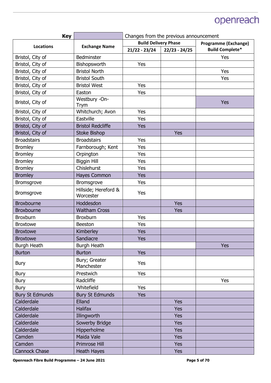| <b>Key</b>             |                                   | Changes from the previous announcement |                 |                             |
|------------------------|-----------------------------------|----------------------------------------|-----------------|-----------------------------|
| <b>Locations</b>       | <b>Exchange Name</b>              | <b>Build Delivery Phase</b>            |                 | <b>Programme (Exchange)</b> |
|                        |                                   | $21/22 - 23/24$                        | $22/23 - 24/25$ | <b>Build Complete*</b>      |
| Bristol, City of       | Bedminster                        |                                        |                 | Yes                         |
| Bristol, City of       | Bishopsworth                      | Yes                                    |                 |                             |
| Bristol, City of       | <b>Bristol North</b>              |                                        |                 | Yes                         |
| Bristol, City of       | <b>Bristol South</b>              |                                        |                 | Yes                         |
| Bristol, City of       | <b>Bristol West</b>               | Yes                                    |                 |                             |
| Bristol, City of       | Easton                            | Yes                                    |                 |                             |
| Bristol, City of       | Westbury -On-<br>Trym             |                                        |                 | Yes                         |
| Bristol, City of       | Whitchurch; Avon                  | Yes                                    |                 |                             |
| Bristol, City of       | Eastville                         | Yes                                    |                 |                             |
| Bristol, City of       | <b>Bristol Redcliffe</b>          | Yes                                    |                 |                             |
| Bristol, City of       | <b>Stoke Bishop</b>               |                                        | <b>Yes</b>      |                             |
| <b>Broadstairs</b>     | <b>Broadstairs</b>                | Yes                                    |                 |                             |
| <b>Bromley</b>         | Farnborough; Kent                 | Yes                                    |                 |                             |
| <b>Bromley</b>         | Orpington                         | Yes                                    |                 |                             |
| <b>Bromley</b>         | <b>Biggin Hill</b>                | Yes                                    |                 |                             |
| <b>Bromley</b>         | Chislehurst                       | Yes                                    |                 |                             |
| <b>Bromley</b>         | Hayes Common                      | <b>Yes</b>                             |                 |                             |
| Bromsgrove             | Bromsgrove                        | Yes                                    |                 |                             |
| <b>Bromsgrove</b>      | Hillside; Hereford &<br>Worcester | Yes                                    |                 |                             |
| <b>Broxbourne</b>      | Hoddesdon                         |                                        | <b>Yes</b>      |                             |
| <b>Broxbourne</b>      | <b>Waltham Cross</b>              |                                        | Yes             |                             |
| <b>Broxburn</b>        | <b>Broxburn</b>                   | Yes                                    |                 |                             |
| <b>Broxtowe</b>        | <b>Beeston</b>                    | Yes                                    |                 |                             |
| <b>Broxtowe</b>        | Kimberley                         | <b>Yes</b>                             |                 |                             |
| <b>Broxtowe</b>        | Sandiacre                         | Yes                                    |                 |                             |
| Burgh Heath            | <b>Burgh Heath</b>                |                                        |                 | <b>Yes</b>                  |
| <b>Burton</b>          | <b>Burton</b>                     | <b>Yes</b>                             |                 |                             |
| <b>Bury</b>            | Bury; Greater<br>Manchester       | Yes                                    |                 |                             |
| <b>Bury</b>            | Prestwich                         | Yes                                    |                 |                             |
| <b>Bury</b>            | Radcliffe                         |                                        |                 | Yes                         |
| <b>Bury</b>            | Whitefield                        | Yes                                    |                 |                             |
| <b>Bury St Edmunds</b> | <b>Bury St Edmunds</b>            | <b>Yes</b>                             |                 |                             |
| Calderdale             | Elland                            |                                        | <b>Yes</b>      |                             |
| Calderdale             | <b>Halifax</b>                    |                                        | <b>Yes</b>      |                             |
| Calderdale             | Illingworth                       |                                        | <b>Yes</b>      |                             |
| Calderdale             | Sowerby Bridge                    |                                        | <b>Yes</b>      |                             |
| Calderdale             | Hipperholme                       |                                        | <b>Yes</b>      |                             |
| Camden                 | Maida Vale                        |                                        | <b>Yes</b>      |                             |
| Camden                 | Primrose Hill                     |                                        | <b>Yes</b>      |                             |
| <b>Cannock Chase</b>   | <b>Heath Hayes</b>                |                                        | <b>Yes</b>      |                             |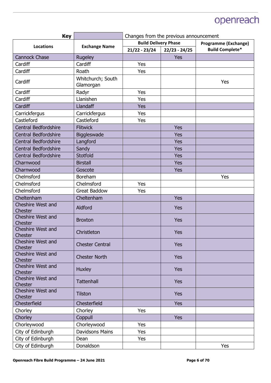| <b>Key</b>                          |                                | Changes from the previous announcement |                             |                        |
|-------------------------------------|--------------------------------|----------------------------------------|-----------------------------|------------------------|
| <b>Locations</b>                    | <b>Exchange Name</b>           | <b>Build Delivery Phase</b>            | <b>Programme (Exchange)</b> |                        |
|                                     |                                | $21/22 - 23/24$                        | $22/23 - 24/25$             | <b>Build Complete*</b> |
| <b>Cannock Chase</b>                | Rugeley                        |                                        | Yes                         |                        |
| Cardiff                             | Cardiff                        | Yes                                    |                             |                        |
| Cardiff                             | Roath                          | Yes                                    |                             |                        |
| Cardiff                             | Whitchurch; South<br>Glamorgan |                                        |                             | Yes                    |
| Cardiff                             | Radyr                          | Yes                                    |                             |                        |
| Cardiff                             | Llanishen                      | Yes                                    |                             |                        |
| Cardiff                             | Llandaff                       | <b>Yes</b>                             |                             |                        |
| Carrickfergus                       | Carrickfergus                  | Yes                                    |                             |                        |
| Castleford                          | Castleford                     | Yes                                    |                             |                        |
| <b>Central Bedfordshire</b>         | <b>Flitwick</b>                |                                        | <b>Yes</b>                  |                        |
| <b>Central Bedfordshire</b>         | Biggleswade                    |                                        | Yes                         |                        |
| Central Bedfordshire                | Langford                       |                                        | <b>Yes</b>                  |                        |
| Central Bedfordshire                | Sandy                          |                                        | <b>Yes</b>                  |                        |
| Central Bedfordshire                | Stotfold                       |                                        | Yes                         |                        |
| Charnwood                           | <b>Birstall</b>                |                                        | <b>Yes</b>                  |                        |
| Charnwood                           | Goscote                        |                                        | Yes                         |                        |
| Chelmsford                          | <b>Boreham</b>                 |                                        |                             | Yes                    |
| Chelmsford                          | Chelmsford                     | Yes                                    |                             |                        |
| Chelmsford                          | <b>Great Baddow</b>            | Yes                                    |                             |                        |
| Cheltenham                          | Cheltenham                     |                                        | <b>Yes</b>                  |                        |
| Cheshire West and<br>Chester        | Aldford                        |                                        | Yes                         |                        |
| <b>Cheshire West and</b><br>Chester | <b>Broxton</b>                 |                                        | <b>Yes</b>                  |                        |
| Cheshire West and<br>Chester        | Christleton                    |                                        | Yes                         |                        |
| Cheshire West and<br>Chester        | <b>Chester Central</b>         |                                        | <b>Yes</b>                  |                        |
| Cheshire West and<br>Chester        | <b>Chester North</b>           |                                        | <b>Yes</b>                  |                        |
| Cheshire West and<br>Chester        | <b>Huxley</b>                  |                                        | <b>Yes</b>                  |                        |
| Cheshire West and<br>Chester        | <b>Tattenhall</b>              |                                        | <b>Yes</b>                  |                        |
| Cheshire West and<br>Chester        | <b>Tilston</b>                 |                                        | <b>Yes</b>                  |                        |
| Chesterfield                        | Chesterfield                   |                                        | <b>Yes</b>                  |                        |
| Chorley                             | Chorley                        | Yes                                    |                             |                        |
| Chorley                             | Coppull                        |                                        | <b>Yes</b>                  |                        |
| Chorleywood                         | Chorleywood                    | Yes                                    |                             |                        |
| City of Edinburgh                   | <b>Davidsons Mains</b>         | Yes                                    |                             |                        |
| City of Edinburgh                   | Dean                           | <b>Yes</b>                             |                             |                        |
| City of Edinburgh                   | Donaldson                      |                                        |                             | Yes                    |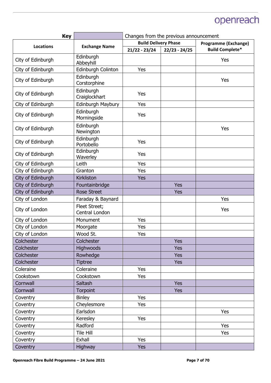| <b>Key</b>        |                                 | Changes from the previous announcement |                             |                        |
|-------------------|---------------------------------|----------------------------------------|-----------------------------|------------------------|
|                   |                                 | <b>Build Delivery Phase</b>            | <b>Programme (Exchange)</b> |                        |
| <b>Locations</b>  | <b>Exchange Name</b>            | $21/22 - 23/24$                        | $22/23 - 24/25$             | <b>Build Complete*</b> |
| City of Edinburgh | Edinburgh<br>Abbeyhill          |                                        |                             | Yes                    |
| City of Edinburgh | Edinburgh Colinton              | Yes                                    |                             |                        |
| City of Edinburgh | Edinburgh<br>Corstorphine       |                                        |                             | Yes                    |
| City of Edinburgh | Edinburgh<br>Craiglockhart      | Yes                                    |                             |                        |
| City of Edinburgh | Edinburgh Maybury               | Yes                                    |                             |                        |
| City of Edinburgh | Edinburgh<br>Morningside        | Yes                                    |                             |                        |
| City of Edinburgh | Edinburgh<br>Newington          |                                        |                             | Yes                    |
| City of Edinburgh | Edinburgh<br>Portobello         | Yes                                    |                             |                        |
| City of Edinburgh | Edinburgh<br>Waverley           | Yes                                    |                             |                        |
| City of Edinburgh | Leith                           | Yes                                    |                             |                        |
| City of Edinburgh | Granton                         | Yes                                    |                             |                        |
| City of Edinburgh | Kirkliston                      | Yes                                    |                             |                        |
| City of Edinburgh | Fountainbridge                  |                                        | Yes                         |                        |
| City of Edinburgh | <b>Rose Street</b>              |                                        | <b>Yes</b>                  |                        |
| City of London    | Faraday & Baynard               |                                        |                             | Yes                    |
| City of London    | Fleet Street;<br>Central London |                                        |                             | Yes                    |
| City of London    | Monument                        | Yes                                    |                             |                        |
| City of London    | Moorgate                        | Yes                                    |                             |                        |
| City of London    | Wood St.                        | Yes                                    |                             |                        |
| Colchester        | Colchester                      |                                        | <b>Yes</b>                  |                        |
| Colchester        | <b>Highwoods</b>                |                                        | <b>Yes</b>                  |                        |
| Colchester        | Rowhedge                        |                                        | <b>Yes</b>                  |                        |
| Colchester        | <b>Tiptree</b>                  |                                        | <b>Yes</b>                  |                        |
| Coleraine         | Coleraine                       | Yes                                    |                             |                        |
| Cookstown         | Cookstown                       | Yes                                    |                             |                        |
| Cornwall          | Saltash                         |                                        | Yes                         |                        |
| Cornwall          | Torpoint                        |                                        | <b>Yes</b>                  |                        |
| Coventry          | <b>Binley</b>                   | Yes                                    |                             |                        |
| Coventry          | Cheylesmore                     | Yes                                    |                             |                        |
| Coventry          | Earlsdon                        |                                        |                             | Yes                    |
| Coventry          | Keresley                        | Yes                                    |                             |                        |
| Coventry          | Radford                         |                                        |                             | Yes                    |
| Coventry          | Tile Hill                       |                                        |                             | Yes                    |
| Coventry          | Exhall                          | Yes                                    |                             |                        |
| Coventry          | <b>Highway</b>                  | <b>Yes</b>                             |                             |                        |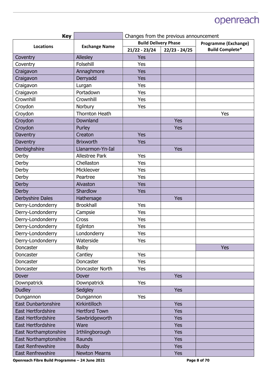| <b>Key</b>                 |                       | Changes from the previous announcement |                 |                        |
|----------------------------|-----------------------|----------------------------------------|-----------------|------------------------|
| <b>Locations</b>           | <b>Exchange Name</b>  | <b>Build Delivery Phase</b>            |                 | Programme (Exchange)   |
|                            |                       | $21/22 - 23/24$                        | $22/23 - 24/25$ | <b>Build Complete*</b> |
| Coventry                   | Allesley              | Yes                                    |                 |                        |
| Coventry                   | Folsehill             | Yes                                    |                 |                        |
| Craigavon                  | Annaghmore            | Yes                                    |                 |                        |
| Craigavon                  | Derryadd              | Yes                                    |                 |                        |
| Craigavon                  | Lurgan                | Yes                                    |                 |                        |
| Craigavon                  | Portadown             | Yes                                    |                 |                        |
| Crownhill                  | Crownhill             | Yes                                    |                 |                        |
| Croydon                    | Norbury               | Yes                                    |                 |                        |
| Croydon                    | <b>Thornton Heath</b> |                                        |                 | Yes                    |
| Croydon                    | Downland              |                                        | <b>Yes</b>      |                        |
| Croydon                    | Purley                |                                        | <b>Yes</b>      |                        |
| Daventry                   | Creaton               | Yes                                    |                 |                        |
| Daventry                   | <b>Brixworth</b>      | Yes                                    |                 |                        |
| Denbighshire               | Llanarmon-Yn-Ial      |                                        | Yes             |                        |
| Derby                      | <b>Allestree Park</b> | Yes                                    |                 |                        |
| Derby                      | Chellaston            | Yes                                    |                 |                        |
| Derby                      | Mickleover            | Yes                                    |                 |                        |
| Derby                      | Peartree              | Yes                                    |                 |                        |
| <b>Derby</b>               | Alvaston              | <b>Yes</b>                             |                 |                        |
| Derby                      | Shardlow              | Yes                                    |                 |                        |
| Derbyshire Dales           | Hathersage            |                                        | Yes             |                        |
| Derry-Londonderry          | <b>Brookhall</b>      | Yes                                    |                 |                        |
| Derry-Londonderry          | Campsie               | Yes                                    |                 |                        |
| Derry-Londonderry          | Cross                 | Yes                                    |                 |                        |
| Derry-Londonderry          | Eglinton              | Yes                                    |                 |                        |
| Derry-Londonderry          | Londonderry           | Yes                                    |                 |                        |
| Derry-Londonderry          | Waterside             | Yes                                    |                 |                        |
| Doncaster                  | <b>Balby</b>          |                                        |                 | <b>Yes</b>             |
| Doncaster                  | Cantley               | Yes                                    |                 |                        |
| Doncaster                  | Doncaster             | Yes                                    |                 |                        |
| Doncaster                  | Doncaster North       | Yes                                    |                 |                        |
| Dover                      | Dover                 |                                        | <b>Yes</b>      |                        |
| Downpatrick                | Downpatrick           | Yes                                    |                 |                        |
| <b>Dudley</b>              | Sedgley               |                                        | Yes             |                        |
| Dungannon                  | Dungannon             | Yes                                    |                 |                        |
| <b>East Dunbartonshire</b> | Kirkintilloch         |                                        | Yes             |                        |
| <b>East Hertfordshire</b>  | <b>Hertford Town</b>  |                                        | Yes             |                        |
| <b>East Hertfordshire</b>  | Sawbridgeworth        |                                        | <b>Yes</b>      |                        |
| <b>East Hertfordshire</b>  | Ware                  |                                        | Yes             |                        |
| East Northamptonshire      | Irthlingborough       |                                        | <b>Yes</b>      |                        |
| East Northamptonshire      | Raunds                |                                        | <b>Yes</b>      |                        |
| <b>East Renfrewshire</b>   | <b>Busby</b>          |                                        | <b>Yes</b>      |                        |
| East Renfrewshire          | <b>Newton Mearns</b>  |                                        | <b>Yes</b>      |                        |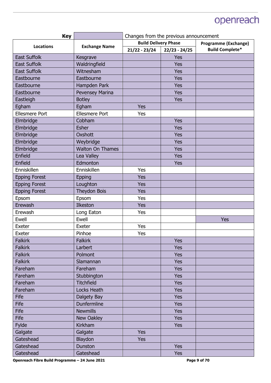| <b>Key</b>            |                         | Changes from the previous announcement |                 |                             |
|-----------------------|-------------------------|----------------------------------------|-----------------|-----------------------------|
| <b>Locations</b>      | <b>Exchange Name</b>    | <b>Build Delivery Phase</b>            |                 | <b>Programme (Exchange)</b> |
|                       |                         | $21/22 - 23/24$                        | $22/23 - 24/25$ | <b>Build Complete*</b>      |
| <b>East Suffolk</b>   | Kesgrave                |                                        | Yes             |                             |
| <b>East Suffolk</b>   | Waldringfield           |                                        | Yes             |                             |
| <b>East Suffolk</b>   | Witnesham               |                                        | <b>Yes</b>      |                             |
| Eastbourne            | Eastbourne              |                                        | <b>Yes</b>      |                             |
| Eastbourne            | Hampden Park            |                                        | <b>Yes</b>      |                             |
| Eastbourne            | Pevensey Marina         |                                        | Yes             |                             |
| Eastleigh             | <b>Botley</b>           |                                        | <b>Yes</b>      |                             |
| Egham                 | Egham                   | Yes                                    |                 |                             |
| <b>Ellesmere Port</b> | <b>Ellesmere Port</b>   | Yes                                    |                 |                             |
| Elmbridge             | Cobham                  |                                        | <b>Yes</b>      |                             |
| Elmbridge             | <b>Esher</b>            |                                        | Yes             |                             |
| Elmbridge             | Oxshott                 |                                        | <b>Yes</b>      |                             |
| Elmbridge             | Weybridge               |                                        | Yes             |                             |
| Elmbridge             | <b>Walton On Thames</b> |                                        | <b>Yes</b>      |                             |
| Enfield               | Lea Valley              |                                        | <b>Yes</b>      |                             |
| Enfield               | Edmonton                |                                        | Yes             |                             |
| Enniskillen           | Enniskillen             | Yes                                    |                 |                             |
| <b>Epping Forest</b>  | <b>Epping</b>           | <b>Yes</b>                             |                 |                             |
| <b>Epping Forest</b>  | Loughton                | <b>Yes</b>                             |                 |                             |
| <b>Epping Forest</b>  | <b>Theydon Bois</b>     | <b>Yes</b>                             |                 |                             |
| Epsom                 | Epsom                   | Yes                                    |                 |                             |
| Erewash               | Ilkeston                | <b>Yes</b>                             |                 |                             |
| Erewash               | Long Eaton              | Yes                                    |                 |                             |
| Ewell                 | Ewell                   |                                        |                 | Yes                         |
| Exeter                | Exeter                  | Yes                                    |                 |                             |
| Exeter                | Pinhoe                  | Yes                                    |                 |                             |
| <b>Falkirk</b>        | <b>Falkirk</b>          |                                        | <b>Yes</b>      |                             |
| <b>Falkirk</b>        | Larbert                 |                                        | <b>Yes</b>      |                             |
| <b>Falkirk</b>        | Polmont                 |                                        | <b>Yes</b>      |                             |
| <b>Falkirk</b>        | Slamannan               |                                        | Yes             |                             |
| Fareham               | Fareham                 |                                        | <b>Yes</b>      |                             |
| Fareham               | Stubbington             |                                        | <b>Yes</b>      |                             |
| Fareham               | <b>Titchfield</b>       |                                        | Yes             |                             |
| Fareham               | Locks Heath             |                                        | <b>Yes</b>      |                             |
| <b>Fife</b>           | Dalgety Bay             |                                        | Yes             |                             |
| Fife                  | Dunfermline             |                                        | Yes             |                             |
| Fife                  | <b>Newmills</b>         |                                        | <b>Yes</b>      |                             |
| <b>Fife</b>           | New Oakley              |                                        | <b>Yes</b>      |                             |
| Fylde                 | Kirkham                 |                                        | <b>Yes</b>      |                             |
| Galgate               | Galgate                 | <b>Yes</b>                             |                 |                             |
| Gateshead             | Blaydon                 | <b>Yes</b>                             |                 |                             |
| Gateshead             | Dunston                 |                                        | Yes             |                             |
| Gateshead             | Gateshead               |                                        | <b>Yes</b>      |                             |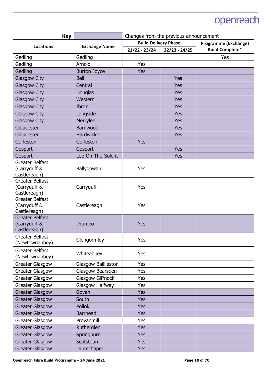| <b>Key</b>                      |                      | Changes from the previous announcement |                 |                             |
|---------------------------------|----------------------|----------------------------------------|-----------------|-----------------------------|
| <b>Locations</b>                | <b>Exchange Name</b> | <b>Build Delivery Phase</b>            |                 | <b>Programme (Exchange)</b> |
|                                 |                      | $21/22 - 23/24$                        | $22/23 - 24/25$ | <b>Build Complete*</b>      |
| Gedling                         | Gedling              |                                        |                 | Yes                         |
| Gedling                         | Arnold               | Yes                                    |                 |                             |
| Gedling                         | <b>Burton Joyce</b>  | <b>Yes</b>                             |                 |                             |
| <b>Glasgow City</b>             | <b>Bell</b>          |                                        | <b>Yes</b>      |                             |
| <b>Glasgow City</b>             | Central              |                                        | Yes             |                             |
| <b>Glasgow City</b>             | Douglas              |                                        | <b>Yes</b>      |                             |
| Glasgow City                    | Western              |                                        | <b>Yes</b>      |                             |
| <b>Glasgow City</b>             | <b>Ibrox</b>         |                                        | <b>Yes</b>      |                             |
| Glasgow City                    | Langside             |                                        | <b>Yes</b>      |                             |
| <b>Glasgow City</b>             | Merrylee             |                                        | <b>Yes</b>      |                             |
| Gloucester                      | Barnwood             |                                        | <b>Yes</b>      |                             |
| Gloucester                      | Hardwicke            |                                        | <b>Yes</b>      |                             |
| Gorleston                       | Gorleston            | <b>Yes</b>                             |                 |                             |
| Gosport                         | Gosport              |                                        | <b>Yes</b>      |                             |
| Gosport                         | Lee-On-The-Solent    |                                        | Yes             |                             |
| Greater Belfast                 |                      |                                        |                 |                             |
| (Carryduff &                    | Ballygowan           | Yes                                    |                 |                             |
| Castlereagh)                    |                      |                                        |                 |                             |
| Greater Belfast<br>(Carryduff & | Carryduff            | Yes                                    |                 |                             |
| Castlereagh)                    |                      |                                        |                 |                             |
| Greater Belfast                 |                      |                                        |                 |                             |
| (Carryduff &                    | Castlereagh          | Yes                                    |                 |                             |
| Castlereagh)                    |                      |                                        |                 |                             |
| <b>Greater Belfast</b>          |                      |                                        |                 |                             |
| (Carryduff &<br>Castlereagh)    | Drumbo               | Yes                                    |                 |                             |
| <b>Greater Belfast</b>          |                      |                                        |                 |                             |
| (Newtownabbey)                  | Glengormley          | Yes                                    |                 |                             |
| Greater Belfast                 |                      |                                        |                 |                             |
| (Newtownabbey)                  | Whiteabbey           | Yes                                    |                 |                             |
| <b>Greater Glasgow</b>          | Glasgow Baillieston  | Yes                                    |                 |                             |
| <b>Greater Glasgow</b>          | Glasgow Bearsden     | Yes                                    |                 |                             |
| Greater Glasgow                 | Glasgow Giffnock     | Yes                                    |                 |                             |
| Greater Glasgow                 | Glasgow Halfway      | Yes                                    |                 |                             |
| <b>Greater Glasgow</b>          | Govan                | <b>Yes</b>                             |                 |                             |
| <b>Greater Glasgow</b>          | South                | <b>Yes</b>                             |                 |                             |
| <b>Greater Glasgow</b>          | <b>Pollok</b>        | <b>Yes</b>                             |                 |                             |
| <b>Greater Glasgow</b>          | <b>Barrhead</b>      | <b>Yes</b>                             |                 |                             |
| Greater Glasgow                 | Provanmill           | <b>Yes</b>                             |                 |                             |
| <b>Greater Glasgow</b>          | Rutherglen           | <b>Yes</b>                             |                 |                             |
| <b>Greater Glasgow</b>          | Springburn           | <b>Yes</b>                             |                 |                             |
| <b>Greater Glasgow</b>          | Scotstoun            | <b>Yes</b>                             |                 |                             |
| <b>Greater Glasgow</b>          | Drumchapel           | <b>Yes</b>                             |                 |                             |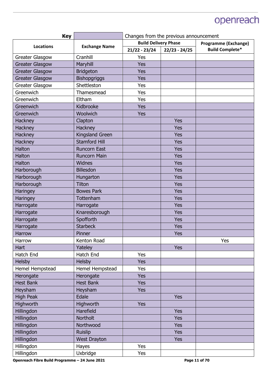| <b>Key</b>             |                      | Changes from the previous announcement |                 |                             |
|------------------------|----------------------|----------------------------------------|-----------------|-----------------------------|
| <b>Locations</b>       |                      | <b>Build Delivery Phase</b>            |                 | <b>Programme (Exchange)</b> |
|                        | <b>Exchange Name</b> | $21/22 - 23/24$                        | $22/23 - 24/25$ | <b>Build Complete*</b>      |
| Greater Glasgow        | Cranhill             | Yes                                    |                 |                             |
| <b>Greater Glasgow</b> | Maryhill             | <b>Yes</b>                             |                 |                             |
| <b>Greater Glasgow</b> | <b>Bridgeton</b>     | <b>Yes</b>                             |                 |                             |
| <b>Greater Glasgow</b> | <b>Bishopgriggs</b>  | <b>Yes</b>                             |                 |                             |
| Greater Glasgow        | Shettleston          | Yes                                    |                 |                             |
| Greenwich              | Thamesmead           | Yes                                    |                 |                             |
| Greenwich              | Eltham               | Yes                                    |                 |                             |
| Greenwich              | Kidbrooke            | <b>Yes</b>                             |                 |                             |
| Greenwich              | Woolwich             | <b>Yes</b>                             |                 |                             |
| Hackney                | Clapton              |                                        | <b>Yes</b>      |                             |
| Hackney                | Hackney              |                                        | Yes             |                             |
| Hackney                | Kingsland Green      |                                        | <b>Yes</b>      |                             |
| <b>Hackney</b>         | <b>Stamford Hill</b> |                                        | Yes             |                             |
| Halton                 | <b>Runcorn East</b>  |                                        | Yes             |                             |
| Halton                 | <b>Runcorn Main</b>  |                                        | Yes             |                             |
| Halton                 | Widnes               |                                        | Yes             |                             |
| Harborough             | <b>Billesdon</b>     |                                        | <b>Yes</b>      |                             |
| Harborough             | Hungarton            |                                        | Yes             |                             |
| Harborough             | <b>Tilton</b>        |                                        | <b>Yes</b>      |                             |
| Haringey               | <b>Bowes Park</b>    |                                        | <b>Yes</b>      |                             |
| Haringey               | Tottenham            |                                        | Yes             |                             |
| Harrogate              | Harrogate            |                                        | <b>Yes</b>      |                             |
| Harrogate              | Knaresborough        |                                        | Yes             |                             |
| Harrogate              | Spofforth            |                                        | <b>Yes</b>      |                             |
| Harrogate              | <b>Starbeck</b>      |                                        | Yes             |                             |
| <b>Harrow</b>          | Pinner               |                                        | Yes             |                             |
| Harrow                 | Kenton Road          |                                        |                 | Yes                         |
| Hart                   | Yateley              |                                        | Yes             |                             |
| Hatch End              | Hatch End            | Yes                                    |                 |                             |
| Helsby                 | Helsby               | <b>Yes</b>                             |                 |                             |
| Hemel Hempstead        | Hemel Hempstead      | Yes                                    |                 |                             |
| Herongate              | Herongate            | <b>Yes</b>                             |                 |                             |
| <b>Hest Bank</b>       | <b>Hest Bank</b>     | <b>Yes</b>                             |                 |                             |
| Heysham                | Heysham              | <b>Yes</b>                             |                 |                             |
| <b>High Peak</b>       | Edale                |                                        | Yes             |                             |
| Highworth              | Highworth            | <b>Yes</b>                             |                 |                             |
| Hillingdon             | Harefield            |                                        | <b>Yes</b>      |                             |
| Hillingdon             | Northolt             |                                        | <b>Yes</b>      |                             |
| Hillingdon             | Northwood            |                                        | <b>Yes</b>      |                             |
| Hillingdon             | <b>Ruislip</b>       |                                        | Yes             |                             |
| Hillingdon             | <b>West Drayton</b>  |                                        | <b>Yes</b>      |                             |
| Hillingdon             | Hayes                | Yes                                    |                 |                             |
| Hillingdon             | Uxbridge             | Yes                                    |                 |                             |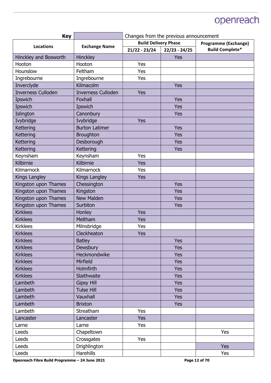| <b>Key</b>                |                           | Changes from the previous announcement |                 |                             |
|---------------------------|---------------------------|----------------------------------------|-----------------|-----------------------------|
| <b>Locations</b>          | <b>Exchange Name</b>      | <b>Build Delivery Phase</b>            |                 | <b>Programme (Exchange)</b> |
|                           |                           | $21/22 - 23/24$                        | $22/23 - 24/25$ | <b>Build Complete*</b>      |
| Hinckley and Bosworth     | Hinckley                  |                                        | Yes             |                             |
| Hooton                    | Hooton                    | Yes                                    |                 |                             |
| Hounslow                  | Feltham                   | Yes                                    |                 |                             |
| Ingrebourne               | Ingrebourne               | Yes                                    |                 |                             |
| Inverclyde                | Kilmacolm                 |                                        | Yes             |                             |
| <b>Inverness Culloden</b> | <b>Inverness Culloden</b> | Yes                                    |                 |                             |
| Ipswich                   | Foxhall                   |                                        | <b>Yes</b>      |                             |
| Ipswich                   | Ipswich                   |                                        | Yes             |                             |
| Islington                 | Canonbury                 |                                        | Yes             |                             |
| Ivybridge                 | Ivybridge                 | <b>Yes</b>                             |                 |                             |
| Kettering                 | <b>Burton Latimer</b>     |                                        | <b>Yes</b>      |                             |
| <b>Kettering</b>          | <b>Broughton</b>          |                                        | <b>Yes</b>      |                             |
| Kettering                 | Desborough                |                                        | Yes             |                             |
| Kettering                 | Kettering                 |                                        | <b>Yes</b>      |                             |
| Keynsham                  | Keynsham                  | Yes                                    |                 |                             |
| Kilbirnie                 | Kilbirnie                 | <b>Yes</b>                             |                 |                             |
| Kilmarnock                | Kilmarnock                | Yes                                    |                 |                             |
| Kings Langley             | Kings Langley             | <b>Yes</b>                             |                 |                             |
| Kingston upon Thames      | Chessington               |                                        | <b>Yes</b>      |                             |
| Kingston upon Thames      | Kingston                  |                                        | Yes             |                             |
| Kingston upon Thames      | <b>New Malden</b>         |                                        | <b>Yes</b>      |                             |
| Kingston upon Thames      | Surbiton                  |                                        | Yes             |                             |
| <b>Kirklees</b>           | Honley                    | <b>Yes</b>                             |                 |                             |
| <b>Kirklees</b>           | Meltham                   | <b>Yes</b>                             |                 |                             |
| <b>Kirklees</b>           | Milnsbridge               | Yes                                    |                 |                             |
| <b>Kirklees</b>           | Cleckheaton               | <b>Yes</b>                             |                 |                             |
| <b>Kirklees</b>           | <b>Batley</b>             |                                        | <b>Yes</b>      |                             |
| <b>Kirklees</b>           | Dewsbury                  |                                        | Yes             |                             |
| <b>Kirklees</b>           | Heckmondwike              |                                        | <b>Yes</b>      |                             |
| <b>Kirklees</b>           | Mirfield                  |                                        | Yes             |                             |
| <b>Kirklees</b>           | Holmfirth                 |                                        | <b>Yes</b>      |                             |
| <b>Kirklees</b>           | Slaithwaite               |                                        | Yes             |                             |
| Lambeth                   | <b>Gipsy Hill</b>         |                                        | <b>Yes</b>      |                             |
| Lambeth                   | <b>Tulse Hill</b>         |                                        | <b>Yes</b>      |                             |
| Lambeth                   | Vauxhall                  |                                        | Yes             |                             |
| Lambeth                   | <b>Brixton</b>            |                                        | <b>Yes</b>      |                             |
| Lambeth                   | Streatham                 | Yes                                    |                 |                             |
| Lancaster                 | Lancaster                 | <b>Yes</b>                             |                 |                             |
| Larne                     | Larne                     | Yes                                    |                 |                             |
| Leeds                     | Chapeltown                |                                        |                 | Yes                         |
| Leeds                     | Crossgates                | Yes                                    |                 |                             |
| Leeds                     | Drighlington              |                                        |                 | <b>Yes</b>                  |
| Leeds                     | Harehills                 |                                        |                 | Yes                         |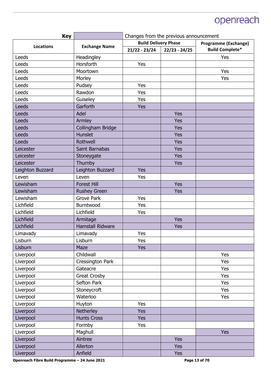| <b>Key</b>       |                         | Changes from the previous announcement              |                 |                        |
|------------------|-------------------------|-----------------------------------------------------|-----------------|------------------------|
| <b>Locations</b> | <b>Exchange Name</b>    | <b>Build Delivery Phase</b><br>Programme (Exchange) |                 |                        |
|                  |                         | $21/22 - 23/24$                                     | $22/23 - 24/25$ | <b>Build Complete*</b> |
| Leeds            | Headingley              |                                                     |                 | Yes                    |
| Leeds            | Horsforth               | Yes                                                 |                 |                        |
| Leeds            | Moortown                |                                                     |                 | Yes                    |
| Leeds            | Morley                  |                                                     |                 | Yes                    |
| Leeds            | Pudsey                  | Yes                                                 |                 |                        |
| Leeds            | Rawdon                  | Yes                                                 |                 |                        |
| Leeds            | Guiseley                | Yes                                                 |                 |                        |
| Leeds            | Garforth                | <b>Yes</b>                                          |                 |                        |
| Leeds            | Adel                    |                                                     | Yes             |                        |
| Leeds            | Armley                  |                                                     | <b>Yes</b>      |                        |
| Leeds            | Collingham Bridge       |                                                     | Yes             |                        |
| Leeds            | <b>Hunslet</b>          |                                                     | <b>Yes</b>      |                        |
| Leeds            | Rothwell                |                                                     | Yes             |                        |
| Leicester        | Saint Barnabas          |                                                     | <b>Yes</b>      |                        |
| Leicester        | Stoneygate              |                                                     | <b>Yes</b>      |                        |
| Leicester        | Thurnby                 |                                                     | Yes             |                        |
| Leighton Buzzard | Leighton Buzzard        | <b>Yes</b>                                          |                 |                        |
| Leven            | Leven                   | Yes                                                 |                 |                        |
| Lewisham         | <b>Forest Hill</b>      |                                                     | <b>Yes</b>      |                        |
| Lewisham         | <b>Rushey Green</b>     |                                                     | <b>Yes</b>      |                        |
| Lewisham         | <b>Grove Park</b>       | Yes                                                 |                 |                        |
| Lichfield        | Burntwood               | Yes                                                 |                 |                        |
| Lichfield        | Lichfield               | Yes                                                 |                 |                        |
| Lichfield        | Armitage                |                                                     | <b>Yes</b>      |                        |
| Lichfield        | <b>Hamstall Ridware</b> |                                                     | Yes             |                        |
| Limavady         | Limavady                | Yes                                                 |                 |                        |
| Lisburn          | Lisburn                 | Yes                                                 |                 |                        |
| Lisburn          | Maze                    | <b>Yes</b>                                          |                 |                        |
| Liverpool        | Childwall               |                                                     |                 | Yes                    |
| Liverpool        | Cressington Park        |                                                     |                 | Yes                    |
| Liverpool        | Gateacre                |                                                     |                 | Yes                    |
| Liverpool        | <b>Great Crosby</b>     |                                                     |                 | Yes                    |
| Liverpool        | Sefton Park             |                                                     |                 | Yes                    |
| Liverpool        | Stoneycroft             |                                                     |                 | Yes                    |
| Liverpool        | Waterloo                |                                                     |                 | Yes                    |
| Liverpool        | Huyton                  | Yes                                                 |                 |                        |
| Liverpool        | Netherley               | <b>Yes</b>                                          |                 |                        |
| Liverpool        | <b>Hunts Cross</b>      | <b>Yes</b>                                          |                 |                        |
| Liverpool        | Formby                  | Yes                                                 |                 |                        |
| Liverpool        | Maghull                 |                                                     |                 | <b>Yes</b>             |
| Liverpool        | Aintree                 |                                                     | Yes             |                        |
| Liverpool        | Allerton                |                                                     | <b>Yes</b>      |                        |
| Liverpool        | Anfield                 |                                                     | <b>Yes</b>      |                        |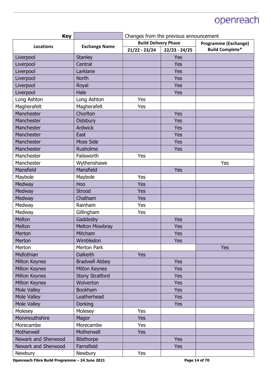| <b>Build Delivery Phase</b><br><b>Programme (Exchange)</b><br><b>Exchange Name</b><br><b>Locations</b><br><b>Build Complete*</b><br>$21/22 - 23/24$<br>$22/23 - 24/25$<br>Yes<br>Liverpool<br><b>Stanley</b><br>Liverpool<br>Central<br><b>Yes</b><br>Larklane<br><b>Yes</b><br>Liverpool<br>Liverpool<br><b>North</b><br><b>Yes</b><br>Liverpool<br><b>Yes</b><br>Royal<br>Liverpool<br>Hale<br><b>Yes</b><br>Long Ashton<br>Yes<br>Long Ashton |
|--------------------------------------------------------------------------------------------------------------------------------------------------------------------------------------------------------------------------------------------------------------------------------------------------------------------------------------------------------------------------------------------------------------------------------------------------|
|                                                                                                                                                                                                                                                                                                                                                                                                                                                  |
|                                                                                                                                                                                                                                                                                                                                                                                                                                                  |
|                                                                                                                                                                                                                                                                                                                                                                                                                                                  |
|                                                                                                                                                                                                                                                                                                                                                                                                                                                  |
|                                                                                                                                                                                                                                                                                                                                                                                                                                                  |
|                                                                                                                                                                                                                                                                                                                                                                                                                                                  |
|                                                                                                                                                                                                                                                                                                                                                                                                                                                  |
|                                                                                                                                                                                                                                                                                                                                                                                                                                                  |
|                                                                                                                                                                                                                                                                                                                                                                                                                                                  |
| Magherafelt<br>Magherafelt<br>Yes                                                                                                                                                                                                                                                                                                                                                                                                                |
| Manchester<br>Chorlton<br><b>Yes</b>                                                                                                                                                                                                                                                                                                                                                                                                             |
| Manchester<br><b>Didsbury</b><br><b>Yes</b>                                                                                                                                                                                                                                                                                                                                                                                                      |
| Manchester<br><b>Ardwick</b><br><b>Yes</b>                                                                                                                                                                                                                                                                                                                                                                                                       |
| Manchester<br>East<br><b>Yes</b>                                                                                                                                                                                                                                                                                                                                                                                                                 |
| <b>Moss Side</b><br>Manchester<br><b>Yes</b>                                                                                                                                                                                                                                                                                                                                                                                                     |
| Manchester<br>Rusholme<br><b>Yes</b>                                                                                                                                                                                                                                                                                                                                                                                                             |
| Manchester<br>Failsworth<br>Yes                                                                                                                                                                                                                                                                                                                                                                                                                  |
| Manchester<br>Wythenshawe<br>Yes                                                                                                                                                                                                                                                                                                                                                                                                                 |
| Mansfield<br><b>Yes</b><br>Mansfield                                                                                                                                                                                                                                                                                                                                                                                                             |
| Maybole<br>Yes<br>Maybole                                                                                                                                                                                                                                                                                                                                                                                                                        |
| Medway<br>Hoo<br>Yes                                                                                                                                                                                                                                                                                                                                                                                                                             |
| Medway<br>Yes<br>Strood                                                                                                                                                                                                                                                                                                                                                                                                                          |
| Yes<br>Medway<br>Chatham                                                                                                                                                                                                                                                                                                                                                                                                                         |
| Rainham<br>Medway<br>Yes                                                                                                                                                                                                                                                                                                                                                                                                                         |
| Medway<br>Gillingham<br>Yes                                                                                                                                                                                                                                                                                                                                                                                                                      |
| Melton<br>Gaddesby<br>Yes                                                                                                                                                                                                                                                                                                                                                                                                                        |
| <b>Melton Mowbray</b><br>Melton<br><b>Yes</b>                                                                                                                                                                                                                                                                                                                                                                                                    |
| Mitcham<br>Merton<br><b>Yes</b>                                                                                                                                                                                                                                                                                                                                                                                                                  |
| Wimbledon<br>Merton<br><b>Yes</b>                                                                                                                                                                                                                                                                                                                                                                                                                |
| <b>Merton Park</b><br>Merton<br><b>Yes</b>                                                                                                                                                                                                                                                                                                                                                                                                       |
| Midlothian<br><b>Dalkeith</b><br><b>Yes</b>                                                                                                                                                                                                                                                                                                                                                                                                      |
| <b>Bradwell Abbey</b><br>Yes<br>Milton Keynes                                                                                                                                                                                                                                                                                                                                                                                                    |
| <b>Milton Keynes</b><br>Milton Keynes<br><b>Yes</b>                                                                                                                                                                                                                                                                                                                                                                                              |
| Milton Keynes<br><b>Stony Stratford</b><br><b>Yes</b>                                                                                                                                                                                                                                                                                                                                                                                            |
| Milton Keynes<br>Wolverton<br><b>Yes</b>                                                                                                                                                                                                                                                                                                                                                                                                         |
| Mole Valley<br><b>Bookham</b><br><b>Yes</b>                                                                                                                                                                                                                                                                                                                                                                                                      |
| Mole Valley<br>Leatherhead<br><b>Yes</b>                                                                                                                                                                                                                                                                                                                                                                                                         |
| Mole Valley<br><b>Dorking</b><br><b>Yes</b>                                                                                                                                                                                                                                                                                                                                                                                                      |
| Molesey<br>Molesey<br>Yes                                                                                                                                                                                                                                                                                                                                                                                                                        |
| Monmouthshire<br><b>Yes</b><br>Magor                                                                                                                                                                                                                                                                                                                                                                                                             |
| Morecambe<br><b>Yes</b><br>Morecambe                                                                                                                                                                                                                                                                                                                                                                                                             |
| Motherwell<br>Motherwell<br><b>Yes</b>                                                                                                                                                                                                                                                                                                                                                                                                           |
| Newark and Sherwood<br>Yes<br><b>Bilsthorpe</b>                                                                                                                                                                                                                                                                                                                                                                                                  |
| Farnsfield<br>Newark and Sherwood<br><b>Yes</b>                                                                                                                                                                                                                                                                                                                                                                                                  |
| Newbury<br>Newbury<br>Yes                                                                                                                                                                                                                                                                                                                                                                                                                        |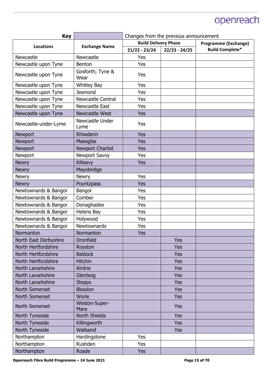| <b>Key</b>            |                          | Changes from the previous announcement |                 |                             |
|-----------------------|--------------------------|----------------------------------------|-----------------|-----------------------------|
| <b>Locations</b>      | <b>Exchange Name</b>     | <b>Build Delivery Phase</b>            |                 | <b>Programme (Exchange)</b> |
|                       |                          | $21/22 - 23/24$                        | $22/23 - 24/25$ | <b>Build Complete*</b>      |
| Newcastle             | Newcastle                | Yes                                    |                 |                             |
| Newcastle upon Tyne   | Benton                   | Yes                                    |                 |                             |
| Newcastle upon Tyne   | Gosforth; Tyne &<br>Wear | Yes                                    |                 |                             |
| Newcastle upon Tyne   | <b>Whitley Bay</b>       | Yes                                    |                 |                             |
| Newcastle upon Tyne   | <b>Jesmond</b>           | Yes                                    |                 |                             |
| Newcastle upon Tyne   | <b>Newcastle Central</b> | Yes                                    |                 |                             |
| Newcastle upon Tyne   | Newcastle East           | Yes                                    |                 |                             |
| Newcastle upon Tyne   | Newcastle West           | <b>Yes</b>                             |                 |                             |
| Newcastle-under-Lyme  | Newcastle Under<br>Lyme  | Yes                                    |                 |                             |
| Newport               | Rhiwderin                | Yes                                    |                 |                             |
| Newport               | Maesglas                 | Yes                                    |                 |                             |
| Newport               | <b>Newport Chartist</b>  | Yes                                    |                 |                             |
| Newport               | Newport Savoy            | Yes                                    |                 |                             |
| <b>Newry</b>          | Killeavy                 | <b>Yes</b>                             |                 |                             |
| <b>Newry</b>          | Mayobridge               |                                        |                 |                             |
| <b>Newry</b>          | <b>Newry</b>             | Yes                                    |                 |                             |
| <b>Newry</b>          | Poyntzpass               | Yes                                    |                 |                             |
| Newtownards & Bangor  | Bangor                   | Yes                                    |                 |                             |
| Newtownards & Bangor  | Comber                   | Yes                                    |                 |                             |
| Newtownards & Bangor  | Donaghadee               | Yes                                    |                 |                             |
| Newtownards & Bangor  | Helens Bay               | Yes                                    |                 |                             |
| Newtownards & Bangor  | Holywood                 | Yes                                    |                 |                             |
| Newtownards & Bangor  | Newtownards              | Yes                                    |                 |                             |
| Normanton             | Normanton                | Yes                                    |                 |                             |
| North East Derbyshire | <b>Dronfield</b>         |                                        | Yes             |                             |
| North Hertfordshire   | Royston                  |                                        | <b>Yes</b>      |                             |
| North Hertfordshire   | <b>Baldock</b>           |                                        | <b>Yes</b>      |                             |
| North Hertfordshire   | <b>Hitchin</b>           |                                        | <b>Yes</b>      |                             |
| North Lanarkshire     | Airdrie                  |                                        | <b>Yes</b>      |                             |
| North Lanarkshire     | Glenboig                 |                                        | Yes             |                             |
| North Lanarkshire     | <b>Stepps</b>            |                                        | <b>Yes</b>      |                             |
| <b>North Somerset</b> | <b>Bleadon</b>           |                                        | <b>Yes</b>      |                             |
| <b>North Somerset</b> | Worle                    |                                        | Yes             |                             |
| North Somerset        | Weston-Super-<br>Mare    |                                        | <b>Yes</b>      |                             |
| North Tyneside        | <b>North Shields</b>     |                                        | Yes             |                             |
| North Tyneside        | Killingworth             |                                        | <b>Yes</b>      |                             |
| North Tyneside        | Wallsend                 |                                        | <b>Yes</b>      |                             |
| Northampton           | Hardingstone             | Yes                                    |                 |                             |
| Northampton           | Rushden                  | Yes                                    |                 |                             |
| Northampton           | Roade                    | <b>Yes</b>                             |                 |                             |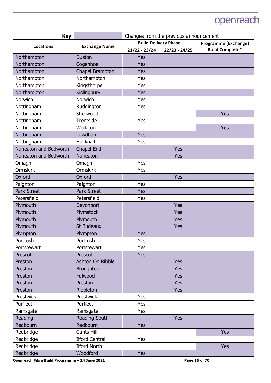| <b>Key</b>            |                       | Changes from the previous announcement |                 |                             |
|-----------------------|-----------------------|----------------------------------------|-----------------|-----------------------------|
| <b>Locations</b>      | <b>Exchange Name</b>  | <b>Build Delivery Phase</b>            |                 | <b>Programme (Exchange)</b> |
|                       |                       | $21/22 - 23/24$                        | $22/23 - 24/25$ | <b>Build Complete*</b>      |
| Northampton           | <b>Duston</b>         | Yes                                    |                 |                             |
| Northampton           | Cogenhoe              | <b>Yes</b>                             |                 |                             |
| Northampton           | Chapel Brampton       | Yes                                    |                 |                             |
| Northampton           | Northampton           | Yes                                    |                 |                             |
| Northampton           | Kingsthorpe           | Yes                                    |                 |                             |
| Northampton           | Kislingbury           | <b>Yes</b>                             |                 |                             |
| <b>Norwich</b>        | Norwich               | Yes                                    |                 |                             |
| Nottingham            | Ruddington            | Yes                                    |                 |                             |
| Nottingham            | Sherwood              |                                        |                 | Yes                         |
| Nottingham            | Trentside             | Yes                                    |                 |                             |
| Nottingham            | Wollaton              |                                        |                 | Yes                         |
| Nottingham            | Lowdham               | Yes                                    |                 |                             |
| Nottingham            | Hucknall              | Yes                                    |                 |                             |
| Nuneaton and Bedworth | Chapel End            |                                        | <b>Yes</b>      |                             |
| Nuneaton and Bedworth | <b>Nuneaton</b>       |                                        | Yes             |                             |
| Omagh                 | Omagh                 | Yes                                    |                 |                             |
| <b>Ormskirk</b>       | <b>Ormskirk</b>       | Yes                                    |                 |                             |
| Oxford                | Oxford                |                                        | Yes             |                             |
| Paignton              | Paignton              | Yes                                    |                 |                             |
| <b>Park Street</b>    | <b>Park Street</b>    | <b>Yes</b>                             |                 |                             |
| Petersfield           | Petersfield           | Yes                                    |                 |                             |
| Plymouth              | Devonport             |                                        | Yes             |                             |
| Plymouth              | Plymstock             |                                        | <b>Yes</b>      |                             |
| Plymouth              | Plymouth              |                                        | <b>Yes</b>      |                             |
| Plymouth              | <b>St Budeaux</b>     |                                        | Yes             |                             |
| Plympton              | Plympton              | <b>Yes</b>                             |                 |                             |
| Portrush              | Portrush              | Yes                                    |                 |                             |
| Portstewart           | Portstewart           | Yes                                    |                 |                             |
| Prescot               | Prescot               | <b>Yes</b>                             |                 |                             |
| Preston               | Ashton On Ribble      |                                        | <b>Yes</b>      |                             |
| Preston               | <b>Broughton</b>      |                                        | <b>Yes</b>      |                             |
| Preston               | Fulwood               |                                        | <b>Yes</b>      |                             |
| Preston               | Preston               |                                        | <b>Yes</b>      |                             |
| Preston               | Ribbleton             |                                        | <b>Yes</b>      |                             |
| Prestwick             | Prestwick             | Yes                                    |                 |                             |
| Purfleet              | Purfleet              | Yes                                    |                 |                             |
| Ramsgate              | Ramsgate              | Yes                                    |                 |                             |
| Reading               | Reading South         |                                        | <b>Yes</b>      |                             |
| Redbourn              | Redbourn              | Yes                                    |                 |                             |
| Redbridge             | <b>Gants Hill</b>     |                                        |                 | <b>Yes</b>                  |
| Redbridge             | <b>Ilford Central</b> | Yes                                    |                 |                             |
| Redbridge             | <b>Ilford North</b>   |                                        |                 | <b>Yes</b>                  |
| Redbridge             | Woodford              | <b>Yes</b>                             |                 |                             |
|                       |                       |                                        |                 |                             |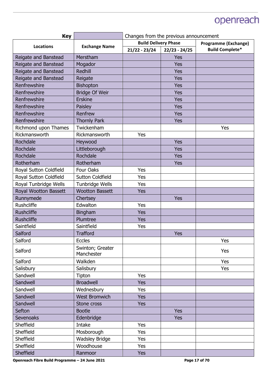| <b>Key</b>             |                                | Changes from the previous announcement |                 |                             |
|------------------------|--------------------------------|----------------------------------------|-----------------|-----------------------------|
| <b>Locations</b>       | <b>Exchange Name</b>           | <b>Build Delivery Phase</b>            |                 | <b>Programme (Exchange)</b> |
|                        |                                | $21/22 - 23/24$                        | $22/23 - 24/25$ | <b>Build Complete*</b>      |
| Reigate and Banstead   | Merstham                       |                                        | Yes             |                             |
| Reigate and Banstead   | Mogador                        |                                        | <b>Yes</b>      |                             |
| Reigate and Banstead   | Redhill                        |                                        | <b>Yes</b>      |                             |
| Reigate and Banstead   | Reigate                        |                                        | <b>Yes</b>      |                             |
| Renfrewshire           | <b>Bishopton</b>               |                                        | <b>Yes</b>      |                             |
| Renfrewshire           | <b>Bridge Of Weir</b>          |                                        | <b>Yes</b>      |                             |
| Renfrewshire           | <b>Erskine</b>                 |                                        | <b>Yes</b>      |                             |
| Renfrewshire           | Paisley                        |                                        | <b>Yes</b>      |                             |
| Renfrewshire           | Renfrew                        |                                        | <b>Yes</b>      |                             |
| Renfrewshire           | <b>Thornly Park</b>            |                                        | <b>Yes</b>      |                             |
| Richmond upon Thames   | Twickenham                     |                                        |                 | Yes                         |
| Rickmansworth          | Rickmansworth                  | Yes                                    |                 |                             |
| Rochdale               | Heywood                        |                                        | <b>Yes</b>      |                             |
| Rochdale               | Littleborough                  |                                        | <b>Yes</b>      |                             |
| Rochdale               | Rochdale                       |                                        | <b>Yes</b>      |                             |
| Rotherham              | Rotherham                      |                                        | Yes             |                             |
| Royal Sutton Coldfield | Four Oaks                      | Yes                                    |                 |                             |
| Royal Sutton Coldfield | <b>Sutton Coldfield</b>        | Yes                                    |                 |                             |
| Royal Tunbridge Wells  | Tunbridge Wells                | <b>Yes</b>                             |                 |                             |
| Royal Wootton Bassett  | <b>Wootton Bassett</b>         | <b>Yes</b>                             |                 |                             |
| Runnymede              | Chertsey                       |                                        | <b>Yes</b>      |                             |
| <b>Rushcliffe</b>      | Edwalton                       | Yes                                    |                 |                             |
| <b>Rushcliffe</b>      | Bingham                        | <b>Yes</b>                             |                 |                             |
| <b>Rushcliffe</b>      | Plumtree                       | <b>Yes</b>                             |                 |                             |
| Saintfield             | Saintfield                     | Yes                                    |                 |                             |
| Salford                | <b>Trafford</b>                |                                        | <b>Yes</b>      |                             |
| Salford                | <b>Eccles</b>                  |                                        |                 | Yes                         |
| Salford                | Swinton; Greater<br>Manchester |                                        |                 | Yes                         |
| Salford                | Walkden                        |                                        |                 | Yes                         |
| Salisbury              | Salisbury                      |                                        |                 | Yes                         |
| Sandwell               | Tipton                         | Yes                                    |                 |                             |
| Sandwell               | <b>Broadwell</b>               | <b>Yes</b>                             |                 |                             |
| Sandwell               | Wednesbury                     | Yes                                    |                 |                             |
| Sandwell               | <b>West Bromwich</b>           | <b>Yes</b>                             |                 |                             |
| Sandwell               | Stone cross                    | <b>Yes</b>                             |                 |                             |
| Sefton                 | <b>Bootle</b>                  |                                        | <b>Yes</b>      |                             |
| <b>Sevenoaks</b>       | Edenbridge                     |                                        | <b>Yes</b>      |                             |
| Sheffield              | Intake                         | Yes                                    |                 |                             |
| Sheffield              | Mosborough                     | <b>Yes</b>                             |                 |                             |
| Sheffield              | <b>Wadsley Bridge</b>          | <b>Yes</b>                             |                 |                             |
| Sheffield              | Woodhouse                      | Yes                                    |                 |                             |
| Sheffield              | Ranmoor                        | <b>Yes</b>                             |                 |                             |

Openreach Fibre Build Programme - 24 June 2021 **Page 17 of 70 Page 17 of 70**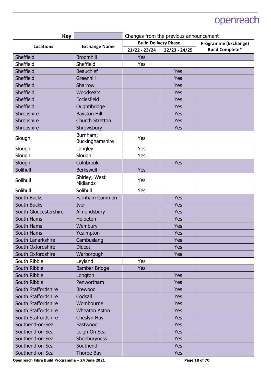| <b>Key</b>            |                                  | Changes from the previous announcement |                 |                        |
|-----------------------|----------------------------------|----------------------------------------|-----------------|------------------------|
| <b>Locations</b>      | <b>Exchange Name</b>             | <b>Build Delivery Phase</b>            |                 | Programme (Exchange)   |
|                       |                                  | $21/22 - 23/24$                        | $22/23 - 24/25$ | <b>Build Complete*</b> |
| Sheffield             | <b>Broomhill</b>                 | <b>Yes</b>                             |                 |                        |
| Sheffield             | Sheffield                        | Yes                                    |                 |                        |
| Sheffield             | Beauchief                        |                                        | Yes             |                        |
| Sheffield             | Greenhill                        |                                        | <b>Yes</b>      |                        |
| Sheffield             | Sharrow                          |                                        | <b>Yes</b>      |                        |
| Sheffield             | Woodseats                        |                                        | Yes             |                        |
| Sheffield             | Ecclesfield                      |                                        | <b>Yes</b>      |                        |
| Sheffield             | Oughtibridge                     |                                        | Yes             |                        |
| Shropshire            | <b>Bayston Hill</b>              |                                        | <b>Yes</b>      |                        |
| Shropshire            | <b>Church Stretton</b>           |                                        | <b>Yes</b>      |                        |
| Shropshire            | Shrewsbury                       |                                        | <b>Yes</b>      |                        |
| Slough                | Burnham;<br>Buckinghamshire      | Yes                                    |                 |                        |
| Slough                | Langley                          | Yes                                    |                 |                        |
| Slough                | Slough                           | Yes                                    |                 |                        |
| Slough                | Colnbrook                        |                                        | Yes             |                        |
| Solihull              | <b>Berkswell</b>                 | <b>Yes</b>                             |                 |                        |
| Solihull              | Shirley; West<br><b>Midlands</b> | Yes                                    |                 |                        |
| Solihull              | Solihull                         | Yes                                    |                 |                        |
| South Bucks           | Farnham Common                   |                                        | <b>Yes</b>      |                        |
| South Bucks           | Iver                             |                                        | Yes             |                        |
| South Gloucestershire | Almondsbury                      |                                        | Yes             |                        |
| South Hams            | Holbeton                         |                                        | <b>Yes</b>      |                        |
| South Hams            | Wembury                          |                                        | <b>Yes</b>      |                        |
| South Hams            | Yealmpton                        |                                        | Yes             |                        |
| South Lanarkshire     | Cambuslang                       |                                        | Yes             |                        |
| South Oxfordshire     | <b>Didcot</b>                    |                                        | <b>Yes</b>      |                        |
| South Oxfordshire     | Warborough                       |                                        | <b>Yes</b>      |                        |
| South Ribble          | Leyland                          | <b>Yes</b>                             |                 |                        |
| South Ribble          | Bamber Bridge                    | <b>Yes</b>                             |                 |                        |
| South Ribble          | Longton                          |                                        | <b>Yes</b>      |                        |
| South Ribble          | Penwortham                       |                                        | <b>Yes</b>      |                        |
| South Staffordshire   | <b>Brewood</b>                   |                                        | <b>Yes</b>      |                        |
| South Staffordshire   | Codsall                          |                                        | <b>Yes</b>      |                        |
| South Staffordshire   | Wombourne                        |                                        | <b>Yes</b>      |                        |
| South Staffordshire   | <b>Wheaton Aston</b>             |                                        | <b>Yes</b>      |                        |
| South Staffordshire   | Cheslyn Hay                      |                                        | <b>Yes</b>      |                        |
| Southend-on-Sea       | Eastwood                         |                                        | <b>Yes</b>      |                        |
| Southend-on-Sea       | Leigh On Sea                     |                                        | <b>Yes</b>      |                        |
| Southend-on-Sea       | Shoeburyness                     |                                        | <b>Yes</b>      |                        |
| Southend-on-Sea       | Southend                         |                                        | <b>Yes</b>      |                        |
| Southend-on-Sea       | Thorpe Bay                       |                                        | <b>Yes</b>      |                        |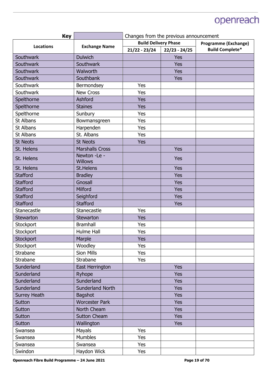| <b>Key</b>          |                                | Changes from the previous announcement |                 |                        |
|---------------------|--------------------------------|----------------------------------------|-----------------|------------------------|
| <b>Locations</b>    | <b>Exchange Name</b>           | <b>Build Delivery Phase</b>            |                 | Programme (Exchange)   |
|                     |                                | $21/22 - 23/24$                        | $22/23 - 24/25$ | <b>Build Complete*</b> |
| Southwark           | <b>Dulwich</b>                 |                                        | Yes             |                        |
| Southwark           | <b>Southwark</b>               |                                        | Yes             |                        |
| Southwark           | Walworth                       |                                        | Yes             |                        |
| Southwark           | Southbank                      |                                        | Yes             |                        |
| Southwark           | Bermondsey                     | Yes                                    |                 |                        |
| Southwark           | <b>New Cross</b>               | Yes                                    |                 |                        |
| Spelthorne          | Ashford                        | Yes                                    |                 |                        |
| Spelthorne          | <b>Staines</b>                 | Yes                                    |                 |                        |
| Spelthorne          | Sunbury                        | Yes                                    |                 |                        |
| <b>St Albans</b>    | Bowmansgreen                   | Yes                                    |                 |                        |
| St Albans           | Harpenden                      | Yes                                    |                 |                        |
| St Albans           | St. Albans                     | Yes                                    |                 |                        |
| <b>St Neots</b>     | <b>St Neots</b>                | Yes                                    |                 |                        |
| St. Helens          | <b>Marshalls Cross</b>         |                                        | <b>Yes</b>      |                        |
| St. Helens          | Newton -Le -<br><b>Willows</b> |                                        | <b>Yes</b>      |                        |
| St. Helens          | <b>St.Helens</b>               |                                        | Yes             |                        |
| <b>Stafford</b>     | <b>Bradley</b>                 |                                        | Yes             |                        |
| <b>Stafford</b>     | Gnosall                        |                                        | Yes             |                        |
| <b>Stafford</b>     | Milford                        |                                        | Yes             |                        |
| <b>Stafford</b>     | Seighford                      |                                        | Yes             |                        |
| <b>Stafford</b>     | <b>Stafford</b>                |                                        | Yes             |                        |
| Stanecastle         | Stanecastle                    | Yes                                    |                 |                        |
| <b>Stewarton</b>    | Stewarton                      | <b>Yes</b>                             |                 |                        |
| Stockport           | <b>Bramhall</b>                | Yes                                    |                 |                        |
| Stockport           | Hulme Hall                     | Yes                                    |                 |                        |
| Stockport           | Marple                         | Yes                                    |                 |                        |
| Stockport           | Woodley                        | Yes                                    |                 |                        |
| Strabane            | <b>Sion Mills</b>              | Yes                                    |                 |                        |
| Strabane            | Strabane                       | Yes                                    |                 |                        |
| Sunderland          | East Herrington                |                                        | <b>Yes</b>      |                        |
| Sunderland          | Ryhope                         |                                        | <b>Yes</b>      |                        |
| Sunderland          | Sunderland                     |                                        | <b>Yes</b>      |                        |
| Sunderland          | <b>Sunderland North</b>        |                                        | <b>Yes</b>      |                        |
| <b>Surrey Heath</b> | <b>Bagshot</b>                 |                                        | <b>Yes</b>      |                        |
| Sutton              | <b>Worcester Park</b>          |                                        | Yes             |                        |
| Sutton              | North Cheam                    |                                        | <b>Yes</b>      |                        |
| Sutton              | <b>Sutton Cheam</b>            |                                        | <b>Yes</b>      |                        |
| Sutton              | Wallington                     |                                        | <b>Yes</b>      |                        |
| Swansea             | Mayals                         | Yes                                    |                 |                        |
| Swansea             | <b>Mumbles</b>                 | Yes                                    |                 |                        |
| Swansea             | Swansea                        | Yes                                    |                 |                        |
| Swindon             | Haydon Wick                    | Yes                                    |                 |                        |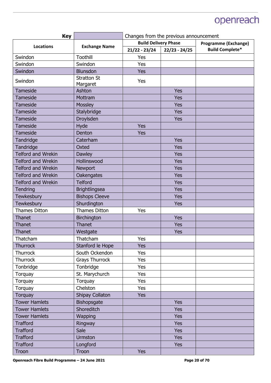| <b>Key</b>                |                                | Changes from the previous announcement |                 |                             |
|---------------------------|--------------------------------|----------------------------------------|-----------------|-----------------------------|
| <b>Locations</b>          | <b>Exchange Name</b>           | <b>Build Delivery Phase</b>            |                 | <b>Programme (Exchange)</b> |
|                           |                                | $21/22 - 23/24$                        | $22/23 - 24/25$ | <b>Build Complete*</b>      |
| Swindon                   | Toothill                       | Yes                                    |                 |                             |
| Swindon                   | Swindon                        | Yes                                    |                 |                             |
| Swindon                   | <b>Blunsdon</b>                | Yes                                    |                 |                             |
| Swindon                   | <b>Stratton St</b><br>Margaret | Yes                                    |                 |                             |
| Tameside                  | Ashton                         |                                        | Yes             |                             |
| <b>Tameside</b>           | Mottram                        |                                        | <b>Yes</b>      |                             |
| <b>Tameside</b>           | Mossley                        |                                        | <b>Yes</b>      |                             |
| <b>Tameside</b>           | Stalybridge                    |                                        | <b>Yes</b>      |                             |
| <b>Tameside</b>           | Droylsden                      |                                        | <b>Yes</b>      |                             |
| Tameside                  | Hyde                           | Yes                                    |                 |                             |
| <b>Tameside</b>           | Denton                         | Yes                                    |                 |                             |
| Tandridge                 | Caterham                       |                                        | <b>Yes</b>      |                             |
| Tandridge                 | Oxted                          |                                        | <b>Yes</b>      |                             |
| <b>Telford and Wrekin</b> | <b>Dawley</b>                  |                                        | <b>Yes</b>      |                             |
| <b>Telford and Wrekin</b> | Hollinswood                    |                                        | <b>Yes</b>      |                             |
| <b>Telford and Wrekin</b> | Newport                        |                                        | <b>Yes</b>      |                             |
| <b>Telford and Wrekin</b> | Oakengates                     |                                        | <b>Yes</b>      |                             |
| <b>Telford and Wrekin</b> | <b>Telford</b>                 |                                        | <b>Yes</b>      |                             |
| Tendring                  | <b>Brightlingsea</b>           |                                        | <b>Yes</b>      |                             |
| Tewkesbury                | <b>Bishops Cleeve</b>          |                                        | <b>Yes</b>      |                             |
| <b>Tewkesbury</b>         | Shurdington                    |                                        | <b>Yes</b>      |                             |
| <b>Thames Ditton</b>      | <b>Thames Ditton</b>           | Yes                                    |                 |                             |
| Thanet                    | Birchington                    |                                        | <b>Yes</b>      |                             |
| Thanet                    | Thanet                         |                                        | <b>Yes</b>      |                             |
| Thanet                    | Westgate                       |                                        | <b>Yes</b>      |                             |
| Thatcham                  | Thatcham                       | Yes                                    |                 |                             |
| <b>Thurrock</b>           | Stanford le Hope               | Yes                                    |                 |                             |
| <b>Thurrock</b>           | South Ockendon                 | Yes                                    |                 |                             |
| Thurrock                  | <b>Grays Thurrock</b>          | Yes                                    |                 |                             |
| Tonbridge                 | Tonbridge                      | <b>Yes</b>                             |                 |                             |
| Torquay                   | St. Marychurch                 | Yes                                    |                 |                             |
| Torquay                   | Torquay                        | Yes                                    |                 |                             |
| Torquay                   | Chelston                       | Yes                                    |                 |                             |
| <b>Torquay</b>            | Shipay Collaton                | <b>Yes</b>                             |                 |                             |
| <b>Tower Hamlets</b>      | Bishopsgate                    |                                        | <b>Yes</b>      |                             |
| <b>Tower Hamlets</b>      | Shoreditch                     |                                        | <b>Yes</b>      |                             |
| <b>Tower Hamlets</b>      | Wapping                        |                                        | <b>Yes</b>      |                             |
| <b>Trafford</b>           | Ringway                        |                                        | <b>Yes</b>      |                             |
| <b>Trafford</b>           | Sale                           |                                        | <b>Yes</b>      |                             |
| <b>Trafford</b>           | <b>Urmston</b>                 |                                        | <b>Yes</b>      |                             |
| <b>Trafford</b>           | Longford                       |                                        | <b>Yes</b>      |                             |
| Troon                     | Troon                          | <b>Yes</b>                             |                 |                             |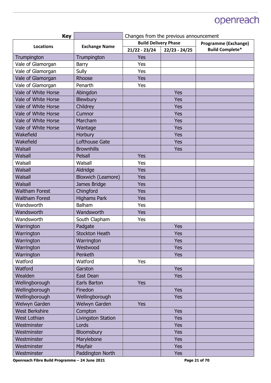| <b>Key</b>            |                       | Changes from the previous announcement |                 |                             |
|-----------------------|-----------------------|----------------------------------------|-----------------|-----------------------------|
| <b>Locations</b>      | <b>Exchange Name</b>  | <b>Build Delivery Phase</b>            |                 | <b>Programme (Exchange)</b> |
|                       |                       | $21/22 - 23/24$                        | $22/23 - 24/25$ | <b>Build Complete*</b>      |
| Trumpington           | Trumpington           | Yes                                    |                 |                             |
| Vale of Glamorgan     | Barry                 | Yes                                    |                 |                             |
| Vale of Glamorgan     | Sully                 | Yes                                    |                 |                             |
| Vale of Glamorgan     | Rhoose                | Yes                                    |                 |                             |
| Vale of Glamorgan     | Penarth               | Yes                                    |                 |                             |
| Vale of White Horse   | Abingdon              |                                        | <b>Yes</b>      |                             |
| Vale of White Horse   | Blewbury              |                                        | <b>Yes</b>      |                             |
| Vale of White Horse   | Childrey              |                                        | <b>Yes</b>      |                             |
| Vale of White Horse   | Cumnor                |                                        | <b>Yes</b>      |                             |
| Vale of White Horse   | Marcham               |                                        | <b>Yes</b>      |                             |
| Vale of White Horse   | Wantage               |                                        | <b>Yes</b>      |                             |
| Wakefield             | Horbury               |                                        | <b>Yes</b>      |                             |
| Wakefield             | <b>Lofthouse Gate</b> |                                        | <b>Yes</b>      |                             |
| <b>Walsall</b>        | <b>Brownhills</b>     |                                        | <b>Yes</b>      |                             |
| Walsall               | Pelsall               | Yes                                    |                 |                             |
| Walsall               | Walsall               | Yes                                    |                 |                             |
| <b>Walsall</b>        | Aldridge              | Yes                                    |                 |                             |
| Walsall               | Bloxwich (Leamore)    | Yes                                    |                 |                             |
| <b>Walsall</b>        | James Bridge          | Yes                                    |                 |                             |
| <b>Waltham Forest</b> | Chingford             | <b>Yes</b>                             |                 |                             |
| <b>Waltham Forest</b> | <b>Highams Park</b>   | Yes                                    |                 |                             |
| Wandsworth            | <b>Balham</b>         | Yes                                    |                 |                             |
| Wandsworth            | Wandsworth            | <b>Yes</b>                             |                 |                             |
| Wandsworth            | South Clapham         | Yes                                    |                 |                             |
| Warrington            | Padgate               |                                        | <b>Yes</b>      |                             |
| Warrington            | <b>Stockton Heath</b> |                                        | <b>Yes</b>      |                             |
| Warrington            | Warrington            |                                        | <b>Yes</b>      |                             |
| Warrington            | Westwood              |                                        | <b>Yes</b>      |                             |
| Warrington            | Penketh               |                                        | <b>Yes</b>      |                             |
| Watford               | Watford               | Yes                                    |                 |                             |
| Watford               | Garston               |                                        | <b>Yes</b>      |                             |
| Wealden               | East Dean             |                                        | <b>Yes</b>      |                             |
| Wellingborough        | Earls Barton          | <b>Yes</b>                             |                 |                             |
| Wellingborough        | Finedon               |                                        | <b>Yes</b>      |                             |
| Wellingborough        | Wellingborough        |                                        | <b>Yes</b>      |                             |
| Welwyn Garden         | Welwyn Garden         | Yes                                    |                 |                             |
| <b>West Berkshire</b> | Compton               |                                        | <b>Yes</b>      |                             |
| <b>West Lothian</b>   | Livingston Station    |                                        | <b>Yes</b>      |                             |
| Westminster           | Lords                 |                                        | <b>Yes</b>      |                             |
| Westminster           | Bloomsbury            |                                        | <b>Yes</b>      |                             |
| Westminster           | Marylebone            |                                        | <b>Yes</b>      |                             |
| Westminster           | Mayfair               |                                        | <b>Yes</b>      |                             |
| Westminster           | Paddington North      |                                        | <b>Yes</b>      |                             |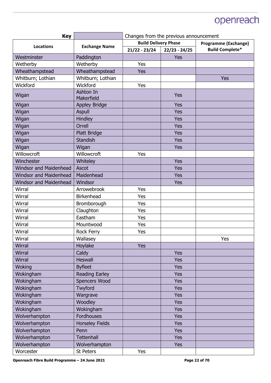| <b>Key</b>                    |                         | Changes from the previous announcement |                 |                             |
|-------------------------------|-------------------------|----------------------------------------|-----------------|-----------------------------|
| Locations                     | <b>Exchange Name</b>    | <b>Build Delivery Phase</b>            |                 | <b>Programme (Exchange)</b> |
|                               |                         | $21/22 - 23/24$                        | $22/23 - 24/25$ | <b>Build Complete*</b>      |
| Westminster                   | Paddington              |                                        | <b>Yes</b>      |                             |
| Wetherby                      | Wetherby                | Yes                                    |                 |                             |
| Wheathampstead                | Wheathampstead          | Yes                                    |                 |                             |
| Whitburn; Lothian             | Whitburn; Lothian       |                                        |                 | <b>Yes</b>                  |
| Wickford                      | Wickford                | Yes                                    |                 |                             |
| Wigan                         | Ashton In<br>Makerfield |                                        | <b>Yes</b>      |                             |
| Wigan                         | <b>Appley Bridge</b>    |                                        | <b>Yes</b>      |                             |
| Wigan                         | <b>Aspull</b>           |                                        | <b>Yes</b>      |                             |
| Wigan                         | Hindley                 |                                        | <b>Yes</b>      |                             |
| Wigan                         | Orrell                  |                                        | Yes             |                             |
| Wigan                         | <b>Platt Bridge</b>     |                                        | <b>Yes</b>      |                             |
| Wigan                         | <b>Standish</b>         |                                        | <b>Yes</b>      |                             |
| Wigan                         | Wigan                   |                                        | <b>Yes</b>      |                             |
| Willowcroft                   | Willowcroft             | Yes                                    |                 |                             |
| Winchester                    | Whiteley                |                                        | Yes             |                             |
| <b>Windsor and Maidenhead</b> | Ascot                   |                                        | <b>Yes</b>      |                             |
| <b>Windsor and Maidenhead</b> | Maidenhead              |                                        | <b>Yes</b>      |                             |
| <b>Windsor and Maidenhead</b> | Windsor                 |                                        | <b>Yes</b>      |                             |
| Wirral                        | Arrowebrook             | Yes                                    |                 |                             |
| Wirral                        | Birkenhead              | Yes                                    |                 |                             |
| Wirral                        | Bromborough             | Yes                                    |                 |                             |
| Wirral                        | Claughton               | Yes                                    |                 |                             |
| Wirral                        | Eastham                 | Yes                                    |                 |                             |
| Wirral                        | Mountwood               | Yes                                    |                 |                             |
| Wirral                        | <b>Rock Ferry</b>       | Yes                                    |                 |                             |
| Wirral                        | Wallasey                |                                        |                 | Yes                         |
| <b>Wirral</b>                 | Hoylake                 | Yes                                    |                 |                             |
| Wirral                        | Caldy                   |                                        | <b>Yes</b>      |                             |
| <b>Wirral</b>                 | <b>Heswall</b>          |                                        | <b>Yes</b>      |                             |
| Woking                        | <b>Byfleet</b>          |                                        | <b>Yes</b>      |                             |
| Wokingham                     | <b>Reading Earley</b>   |                                        | <b>Yes</b>      |                             |
| Wokingham                     | Spencers Wood           |                                        | <b>Yes</b>      |                             |
| Wokingham                     | Twyford                 |                                        | <b>Yes</b>      |                             |
| Wokingham                     | Wargrave                |                                        | <b>Yes</b>      |                             |
| Wokingham                     | Woodley                 |                                        | <b>Yes</b>      |                             |
| Wokingham                     | Wokingham               |                                        | <b>Yes</b>      |                             |
| Wolverhampton                 | Fordhouses              |                                        | <b>Yes</b>      |                             |
| Wolverhampton                 | <b>Horseley Fields</b>  |                                        | <b>Yes</b>      |                             |
| Wolverhampton                 | Penn                    |                                        | <b>Yes</b>      |                             |
| Wolverhampton                 | <b>Tettenhall</b>       |                                        | <b>Yes</b>      |                             |
| Wolverhampton                 | Wolverhampton           |                                        | <b>Yes</b>      |                             |
| Worcester                     | St Peters               | Yes                                    |                 |                             |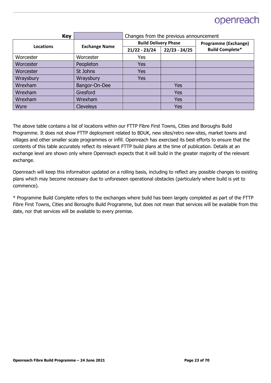| <b>Key</b> |                      | Changes from the previous announcement |                 |                             |
|------------|----------------------|----------------------------------------|-----------------|-----------------------------|
| Locations  | <b>Exchange Name</b> | <b>Build Delivery Phase</b>            |                 | <b>Programme (Exchange)</b> |
|            |                      | $21/22 - 23/24$                        | $22/23 - 24/25$ | <b>Build Complete*</b>      |
| Worcester  | Worcester            | Yes                                    |                 |                             |
| Worcester  | Peopleton            | <b>Yes</b>                             |                 |                             |
| Worcester  | St Johns             | <b>Yes</b>                             |                 |                             |
| Wraysbury  | Wraysbury            | <b>Yes</b>                             |                 |                             |
| Wrexham    | Bangor-On-Dee        |                                        | <b>Yes</b>      |                             |
| Wrexham    | Gresford             |                                        | <b>Yes</b>      |                             |
| Wrexham    | Wrexham              |                                        | <b>Yes</b>      |                             |
| Wyre       | <b>Cleveleys</b>     |                                        | Yes             |                             |

The above table contains a list of locations within our FTTP Fibre First Towns, Cities and Boroughs Build Programme. It does not show FTTP deployment related to BDUK, new sites/retro new-sites, market towns and villages and other smaller scale programmes or infill. Openreach has exercised its best efforts to ensure that the contents of this table accurately reflect its relevant FTTP build plans at the time of publication. Details at an exchange level are shown only where Openreach expects that it will build in the greater majority of the relevant exchange.

Openreach will keep this information updated on a rolling basis, including to reflect any possible changes to existing plans which may become necessary due to unforeseen operational obstacles (particularly where build is yet to commence).

\* Programme Build Complete refers to the exchanges where build has been largely completed as part of the FTTP Fibre First Towns, Cities and Boroughs Build Programme, but does not mean that services will be available from this date, nor that services will be available to every premise.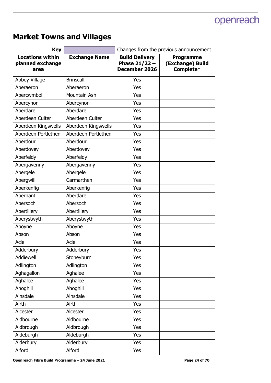#### **Market Towns and Villages**

| <b>Key</b>                                          |                      | Changes from the previous announcement                    |                                                   |  |
|-----------------------------------------------------|----------------------|-----------------------------------------------------------|---------------------------------------------------|--|
| <b>Locations within</b><br>planned exchange<br>area | <b>Exchange Name</b> | <b>Build Delivery</b><br>Phase $21/22 -$<br>December 2026 | <b>Programme</b><br>(Exchange) Build<br>Complete* |  |
| Abbey Village                                       | <b>Brinscall</b>     | Yes                                                       |                                                   |  |
| Aberaeron                                           | Aberaeron            | Yes                                                       |                                                   |  |
| Abercwmboi                                          | Mountain Ash         | Yes                                                       |                                                   |  |
| Abercynon                                           | Abercynon            | Yes                                                       |                                                   |  |
| Aberdare                                            | Aberdare             | Yes                                                       |                                                   |  |
| Aberdeen Culter                                     | Aberdeen Culter      | Yes                                                       |                                                   |  |
| Aberdeen Kingswells                                 | Aberdeen Kingswells  | Yes                                                       |                                                   |  |
| Aberdeen Portlethen                                 | Aberdeen Portlethen  | Yes                                                       |                                                   |  |
| Aberdour                                            | Aberdour             | Yes                                                       |                                                   |  |
| Aberdovey                                           | Aberdovey            | Yes                                                       |                                                   |  |
| Aberfeldy                                           | Aberfeldy            | Yes                                                       |                                                   |  |
| Abergavenny                                         | Abergavenny          | Yes                                                       |                                                   |  |
| Abergele                                            | Abergele             | Yes                                                       |                                                   |  |
| Abergwili                                           | Carmarthen           | Yes                                                       |                                                   |  |
| Aberkenfig                                          | Aberkenfig           | Yes                                                       |                                                   |  |
| Abernant                                            | Aberdare             | Yes                                                       |                                                   |  |
| Abersoch                                            | Abersoch             | Yes                                                       |                                                   |  |
| Abertillery                                         | Abertillery          | Yes                                                       |                                                   |  |
| Aberystwyth                                         | Aberystwyth          | Yes                                                       |                                                   |  |
| Aboyne                                              | Aboyne               | Yes                                                       |                                                   |  |
| Abson                                               | Abson                | Yes                                                       |                                                   |  |
| Acle                                                | Acle                 | Yes                                                       |                                                   |  |
| Adderbury                                           | Adderbury            | Yes                                                       |                                                   |  |
| Addiewell                                           | Stoneyburn           | Yes                                                       |                                                   |  |
| Adlington                                           | Adlington            | Yes                                                       |                                                   |  |
| Aghagallon                                          | Aghalee              | Yes                                                       |                                                   |  |
| Aghalee                                             | Aghalee              | Yes                                                       |                                                   |  |
| Ahoghill                                            | Ahoghill             | Yes                                                       |                                                   |  |
| Ainsdale                                            | Ainsdale             | Yes                                                       |                                                   |  |
| Airth                                               | Airth                | Yes                                                       |                                                   |  |
| Alcester                                            | Alcester             | Yes                                                       |                                                   |  |
| Aldbourne                                           | Aldbourne            | Yes                                                       |                                                   |  |
| Aldbrough                                           | Aldbrough            | Yes                                                       |                                                   |  |
| Aldeburgh                                           | Aldeburgh            | Yes                                                       |                                                   |  |
| Alderbury                                           | Alderbury            | Yes                                                       |                                                   |  |
| Alford                                              | Alford               | Yes                                                       |                                                   |  |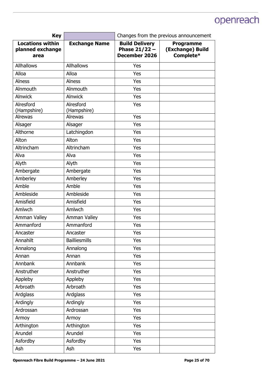| <b>Key</b>                                          |                      | Changes from the previous announcement                           |                                                   |  |
|-----------------------------------------------------|----------------------|------------------------------------------------------------------|---------------------------------------------------|--|
| <b>Locations within</b><br>planned exchange<br>area | <b>Exchange Name</b> | <b>Build Delivery</b><br>Phase $21/22 -$<br><b>December 2026</b> | <b>Programme</b><br>(Exchange) Build<br>Complete* |  |
| <b>Allhallows</b>                                   | <b>Allhallows</b>    | Yes                                                              |                                                   |  |
| Alloa                                               | Alloa                | Yes                                                              |                                                   |  |
| <b>Alness</b>                                       | <b>Alness</b>        | Yes                                                              |                                                   |  |
| Alnmouth                                            | Alnmouth             | Yes                                                              |                                                   |  |
| <b>Alnwick</b>                                      | <b>Alnwick</b>       | Yes                                                              |                                                   |  |
| Alresford                                           | Alresford            | Yes                                                              |                                                   |  |
| (Hampshire)                                         | (Hampshire)          |                                                                  |                                                   |  |
| <b>Alrewas</b>                                      | <b>Alrewas</b>       | Yes                                                              |                                                   |  |
| Alsager                                             | Alsager              | Yes                                                              |                                                   |  |
| Althorne                                            | Latchingdon          | Yes                                                              |                                                   |  |
| Alton                                               | Alton                | Yes                                                              |                                                   |  |
| Altrincham                                          | Altrincham           | Yes                                                              |                                                   |  |
| Alva                                                | Alva                 | Yes                                                              |                                                   |  |
| Alyth                                               | Alyth                | Yes                                                              |                                                   |  |
| Ambergate                                           | Ambergate            | Yes                                                              |                                                   |  |
| Amberley                                            | Amberley             | Yes                                                              |                                                   |  |
| Amble                                               | Amble                | Yes                                                              |                                                   |  |
| Ambleside                                           | Ambleside            | Yes                                                              |                                                   |  |
| Amisfield                                           | Amisfield            | Yes                                                              |                                                   |  |
| Amlwch                                              | Amlwch               | Yes                                                              |                                                   |  |
| Amman Valley                                        | Amman Valley         | Yes                                                              |                                                   |  |
| Ammanford                                           | Ammanford            | Yes                                                              |                                                   |  |
| Ancaster                                            | Ancaster             | Yes                                                              |                                                   |  |
| Annahilt                                            | <b>Bailliesmills</b> | Yes                                                              |                                                   |  |
| Annalong                                            | Annalong             | Yes                                                              |                                                   |  |
| Annan                                               | Annan                | Yes                                                              |                                                   |  |
| Annbank                                             | Annbank              | Yes                                                              |                                                   |  |
| Anstruther                                          | Anstruther           | <b>Yes</b>                                                       |                                                   |  |
| Appleby                                             | Appleby              | Yes                                                              |                                                   |  |
| Arbroath                                            | Arbroath             | Yes                                                              |                                                   |  |
| Ardglass                                            | Ardglass             | Yes                                                              |                                                   |  |
| Ardingly                                            | Ardingly             | Yes                                                              |                                                   |  |
| Ardrossan                                           | Ardrossan            | Yes                                                              |                                                   |  |
| Armoy                                               | Armoy                | Yes                                                              |                                                   |  |
| Arthington                                          | Arthington           | Yes                                                              |                                                   |  |
| Arundel                                             | Arundel              | Yes                                                              |                                                   |  |
| Asfordby                                            | Asfordby             | Yes                                                              |                                                   |  |
| Ash                                                 | Ash                  | Yes                                                              |                                                   |  |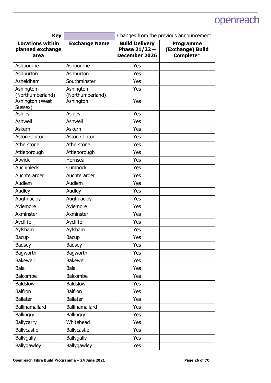| <b>Key</b>                                          |                               | Changes from the previous announcement                           |                                                   |
|-----------------------------------------------------|-------------------------------|------------------------------------------------------------------|---------------------------------------------------|
| <b>Locations within</b><br>planned exchange<br>area | <b>Exchange Name</b>          | <b>Build Delivery</b><br>Phase $21/22 -$<br><b>December 2026</b> | <b>Programme</b><br>(Exchange) Build<br>Complete* |
| Ashbourne                                           | Ashbourne                     | Yes                                                              |                                                   |
| Ashburton                                           | Ashburton                     | Yes                                                              |                                                   |
| Asheldham                                           | Southminster                  | Yes                                                              |                                                   |
| Ashington<br>(Northumberland)                       | Ashington<br>(Northumberland) | Yes                                                              |                                                   |
| Ashington (West<br>Sussex)                          | Ashington                     | Yes                                                              |                                                   |
| Ashley                                              | Ashley                        | Yes                                                              |                                                   |
| Ashwell                                             | Ashwell                       | Yes                                                              |                                                   |
| <b>Askern</b>                                       | Askern                        | Yes                                                              |                                                   |
| <b>Aston Clinton</b>                                | <b>Aston Clinton</b>          | Yes                                                              |                                                   |
| Atherstone                                          | Atherstone                    | Yes                                                              |                                                   |
| Attleborough                                        | Attleborough                  | Yes                                                              |                                                   |
| <b>Atwick</b>                                       | Hornsea                       | Yes                                                              |                                                   |
| Auchinleck                                          | Cumnock                       | Yes                                                              |                                                   |
| Auchterarder                                        | Auchterarder                  | Yes                                                              |                                                   |
| Audlem                                              | Audlem                        | Yes                                                              |                                                   |
| Audley                                              | Audley                        | Yes                                                              |                                                   |
| Aughnacloy                                          | Aughnacloy                    | Yes                                                              |                                                   |
| Aviemore                                            | Aviemore                      | Yes                                                              |                                                   |
| Axminster                                           | Axminster                     | Yes                                                              |                                                   |
| Aycliffe                                            | Aycliffe                      | Yes                                                              |                                                   |
| Aylsham                                             | Aylsham                       | Yes                                                              |                                                   |
| Bacup                                               | Bacup                         | Yes                                                              |                                                   |
| <b>Badsey</b>                                       | <b>Badsey</b>                 | Yes                                                              |                                                   |
| Bagworth                                            | Bagworth                      | Yes                                                              |                                                   |
| <b>Bakewell</b>                                     | <b>Bakewell</b>               | Yes                                                              |                                                   |
| Bala                                                | Bala                          | Yes                                                              |                                                   |
| Balcombe                                            | Balcombe                      | Yes                                                              |                                                   |
| Baldslow                                            | <b>Baldslow</b>               | Yes                                                              |                                                   |
| <b>Balfron</b>                                      | <b>Balfron</b>                | Yes                                                              |                                                   |
| <b>Ballater</b>                                     | <b>Ballater</b>               | Yes                                                              |                                                   |
| Ballinamallard                                      | <b>Ballinamallard</b>         | Yes                                                              |                                                   |
| Ballingry                                           | Ballingry                     | Yes                                                              |                                                   |
| Ballycarry                                          | Whitehead                     | Yes                                                              |                                                   |
| Ballycastle                                         | Ballycastle                   | Yes                                                              |                                                   |
| Ballygally                                          | <b>Ballygally</b>             | Yes                                                              |                                                   |
| Ballygawley                                         | Ballygawley                   | Yes                                                              |                                                   |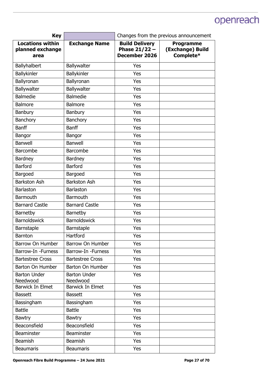| <b>Key</b>                                          |                                 | Changes from the previous announcement                    |                                                   |
|-----------------------------------------------------|---------------------------------|-----------------------------------------------------------|---------------------------------------------------|
| <b>Locations within</b><br>planned exchange<br>area | <b>Exchange Name</b>            | <b>Build Delivery</b><br>Phase $21/22 -$<br>December 2026 | <b>Programme</b><br>(Exchange) Build<br>Complete* |
| Ballyhalbert                                        | Ballywalter                     | Yes                                                       |                                                   |
| Ballykinler                                         | Ballykinler                     | Yes                                                       |                                                   |
| Ballyronan                                          | Ballyronan                      | Yes                                                       |                                                   |
| Ballywalter                                         | Ballywalter                     | Yes                                                       |                                                   |
| <b>Balmedie</b>                                     | <b>Balmedie</b>                 | Yes                                                       |                                                   |
| <b>Balmore</b>                                      | <b>Balmore</b>                  | Yes                                                       |                                                   |
| <b>Banbury</b>                                      | Banbury                         | Yes                                                       |                                                   |
| <b>Banchory</b>                                     | Banchory                        | Yes                                                       |                                                   |
| <b>Banff</b>                                        | <b>Banff</b>                    | Yes                                                       |                                                   |
| Bangor                                              | Bangor                          | Yes                                                       |                                                   |
| <b>Banwell</b>                                      | <b>Banwell</b>                  | Yes                                                       |                                                   |
| Barcombe                                            | <b>Barcombe</b>                 | Yes                                                       |                                                   |
| <b>Bardney</b>                                      | Bardney                         | Yes                                                       |                                                   |
| <b>Barford</b>                                      | Barford                         | Yes                                                       |                                                   |
| Bargoed                                             | Bargoed                         | Yes                                                       |                                                   |
| <b>Barkston Ash</b>                                 | <b>Barkston Ash</b>             | Yes                                                       |                                                   |
| <b>Barlaston</b>                                    | <b>Barlaston</b>                | Yes                                                       |                                                   |
| <b>Barmouth</b>                                     | Barmouth                        | Yes                                                       |                                                   |
| <b>Barnard Castle</b>                               | <b>Barnard Castle</b>           | Yes                                                       |                                                   |
| Barnetby                                            | Barnetby                        | Yes                                                       |                                                   |
| <b>Barnoldswick</b>                                 | Barnoldswick                    | Yes                                                       |                                                   |
| Barnstaple                                          | <b>Barnstaple</b>               | Yes                                                       |                                                   |
| <b>Barnton</b>                                      | Hartford                        | Yes                                                       |                                                   |
| Barrow On Humber                                    | Barrow On Humber                | Yes                                                       |                                                   |
| Barrow-In - Furness                                 | Barrow-In - Furness             | Yes                                                       |                                                   |
| <b>Bartestree Cross</b>                             | <b>Bartestree Cross</b>         | Yes                                                       |                                                   |
| Barton On Humber                                    | Barton On Humber                | Yes                                                       |                                                   |
| <b>Barton Under</b><br>Needwood                     | <b>Barton Under</b><br>Needwood | Yes                                                       |                                                   |
| <b>Barwick In Elmet</b>                             | Barwick In Elmet                | Yes                                                       |                                                   |
| <b>Bassett</b>                                      | <b>Bassett</b>                  | Yes                                                       |                                                   |
| Bassingham                                          | Bassingham                      | Yes                                                       |                                                   |
| <b>Battle</b>                                       | <b>Battle</b>                   | Yes                                                       |                                                   |
| <b>Bawtry</b>                                       | Bawtry                          | Yes                                                       |                                                   |
| Beaconsfield                                        | Beaconsfield                    | Yes                                                       |                                                   |
| <b>Beaminster</b>                                   | <b>Beaminster</b>               | Yes                                                       |                                                   |
| Beamish                                             | Beamish                         | Yes                                                       |                                                   |
| <b>Beaumaris</b>                                    | <b>Beaumaris</b>                | Yes                                                       |                                                   |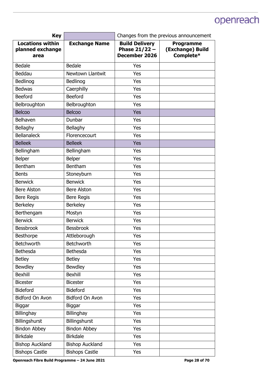| <b>Key</b>                                          |                        | Changes from the previous announcement                    |                                                   |
|-----------------------------------------------------|------------------------|-----------------------------------------------------------|---------------------------------------------------|
| <b>Locations within</b><br>planned exchange<br>area | <b>Exchange Name</b>   | <b>Build Delivery</b><br>Phase $21/22 -$<br>December 2026 | <b>Programme</b><br>(Exchange) Build<br>Complete* |
| Bedale                                              | Bedale                 | Yes                                                       |                                                   |
| Beddau                                              | Newtown Llantwit       | Yes                                                       |                                                   |
| Bedlinog                                            | Bedlinog               | Yes                                                       |                                                   |
| <b>Bedwas</b>                                       | Caerphilly             | Yes                                                       |                                                   |
| <b>Beeford</b>                                      | <b>Beeford</b>         | Yes                                                       |                                                   |
| Belbroughton                                        | Belbroughton           | Yes                                                       |                                                   |
| <b>Belcoo</b>                                       | <b>Belcoo</b>          | Yes                                                       |                                                   |
| Belhaven                                            | Dunbar                 | Yes                                                       |                                                   |
| Bellaghy                                            | Bellaghy               | Yes                                                       |                                                   |
| <b>Bellanaleck</b>                                  | Florencecourt          | Yes                                                       |                                                   |
| <b>Belleek</b>                                      | <b>Belleek</b>         | Yes                                                       |                                                   |
| Bellingham                                          | Bellingham             | Yes                                                       |                                                   |
| <b>Belper</b>                                       | Belper                 | Yes                                                       |                                                   |
| <b>Bentham</b>                                      | <b>Bentham</b>         | Yes                                                       |                                                   |
| <b>Bents</b>                                        | Stoneyburn             | Yes                                                       |                                                   |
| <b>Benwick</b>                                      | <b>Benwick</b>         | Yes                                                       |                                                   |
| <b>Bere Alston</b>                                  | <b>Bere Alston</b>     | Yes                                                       |                                                   |
| <b>Bere Regis</b>                                   | <b>Bere Regis</b>      | Yes                                                       |                                                   |
| <b>Berkeley</b>                                     | <b>Berkeley</b>        | Yes                                                       |                                                   |
| Berthengam                                          | Mostyn                 | Yes                                                       |                                                   |
| <b>Berwick</b>                                      | <b>Berwick</b>         | Yes                                                       |                                                   |
| <b>Bessbrook</b>                                    | <b>Bessbrook</b>       | Yes                                                       |                                                   |
| Besthorpe                                           | Attleborough           | Yes                                                       |                                                   |
| Betchworth                                          | Betchworth             | Yes                                                       |                                                   |
| Bethesda                                            | Bethesda               | Yes                                                       |                                                   |
| <b>Betley</b>                                       | <b>Betley</b>          | Yes                                                       |                                                   |
| <b>Bewdley</b>                                      | <b>Bewdley</b>         | Yes                                                       |                                                   |
| <b>Bexhill</b>                                      | <b>Bexhill</b>         | Yes                                                       |                                                   |
| <b>Bicester</b>                                     | <b>Bicester</b>        | Yes                                                       |                                                   |
| <b>Bideford</b>                                     | <b>Bideford</b>        | Yes                                                       |                                                   |
| Bidford On Avon                                     | Bidford On Avon        | Yes                                                       |                                                   |
| <b>Biggar</b>                                       | Biggar                 | Yes                                                       |                                                   |
| Billinghay                                          | Billinghay             | Yes                                                       |                                                   |
| Billingshurst                                       | Billingshurst          | Yes                                                       |                                                   |
| <b>Bindon Abbey</b>                                 | <b>Bindon Abbey</b>    | Yes                                                       |                                                   |
| <b>Birkdale</b>                                     | <b>Birkdale</b>        | Yes                                                       |                                                   |
| <b>Bishop Auckland</b>                              | <b>Bishop Auckland</b> | Yes                                                       |                                                   |
| <b>Bishops Castle</b>                               | <b>Bishops Castle</b>  | Yes                                                       |                                                   |

Openreach Fibre Build Programme - 24 June 2021 **Page 28 of 70 Page 28 of 70**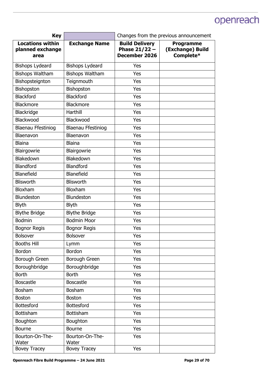| <b>Key</b>                                          |                           | Changes from the previous announcement                           |                                                   |
|-----------------------------------------------------|---------------------------|------------------------------------------------------------------|---------------------------------------------------|
| <b>Locations within</b><br>planned exchange<br>area | <b>Exchange Name</b>      | <b>Build Delivery</b><br>Phase $21/22 -$<br><b>December 2026</b> | <b>Programme</b><br>(Exchange) Build<br>Complete* |
| <b>Bishops Lydeard</b>                              | <b>Bishops Lydeard</b>    | Yes                                                              |                                                   |
| <b>Bishops Waltham</b>                              | <b>Bishops Waltham</b>    | Yes                                                              |                                                   |
| Bishopsteignton                                     | Teignmouth                | Yes                                                              |                                                   |
| Bishopston                                          | Bishopston                | Yes                                                              |                                                   |
| <b>Blackford</b>                                    | <b>Blackford</b>          | Yes                                                              |                                                   |
| <b>Blackmore</b>                                    | <b>Blackmore</b>          | Yes                                                              |                                                   |
| Blackridge                                          | Harthill                  | Yes                                                              |                                                   |
| Blackwood                                           | Blackwood                 | Yes                                                              |                                                   |
| <b>Blaenau Ffestiniog</b>                           | <b>Blaenau Ffestiniog</b> | Yes                                                              |                                                   |
| Blaenavon                                           | Blaenavon                 | Yes                                                              |                                                   |
| <b>Blaina</b>                                       | <b>Blaina</b>             | Yes                                                              |                                                   |
| Blairgowrie                                         | Blairgowrie               | Yes                                                              |                                                   |
| Blakedown                                           | Blakedown                 | Yes                                                              |                                                   |
| Blandford                                           | Blandford                 | Yes                                                              |                                                   |
| Blanefield                                          | Blanefield                | Yes                                                              |                                                   |
| <b>Blisworth</b>                                    | <b>Blisworth</b>          | Yes                                                              |                                                   |
| <b>Bloxham</b>                                      | Bloxham                   | Yes                                                              |                                                   |
| <b>Blundeston</b>                                   | <b>Blundeston</b>         | Yes                                                              |                                                   |
| <b>Blyth</b>                                        | <b>Blyth</b>              | Yes                                                              |                                                   |
| <b>Blythe Bridge</b>                                | <b>Blythe Bridge</b>      | Yes                                                              |                                                   |
| <b>Bodmin</b>                                       | <b>Bodmin Moor</b>        | Yes                                                              |                                                   |
| <b>Bognor Regis</b>                                 | <b>Bognor Regis</b>       | Yes                                                              |                                                   |
| <b>Bolsover</b>                                     | <b>Bolsover</b>           | Yes                                                              |                                                   |
| <b>Booths Hill</b>                                  | Lymm                      | Yes                                                              |                                                   |
| <b>Bordon</b>                                       | <b>Bordon</b>             | Yes                                                              |                                                   |
| Borough Green                                       | Borough Green             | Yes                                                              |                                                   |
| Boroughbridge                                       | Boroughbridge             | Yes                                                              |                                                   |
| <b>Borth</b>                                        | <b>Borth</b>              | Yes                                                              |                                                   |
| <b>Boscastle</b>                                    | <b>Boscastle</b>          | Yes                                                              |                                                   |
| <b>Bosham</b>                                       | <b>Bosham</b>             | Yes                                                              |                                                   |
| <b>Boston</b>                                       | <b>Boston</b>             | Yes                                                              |                                                   |
| <b>Bottesford</b>                                   | <b>Bottesford</b>         | Yes                                                              |                                                   |
| Bottisham                                           | Bottisham                 | Yes                                                              |                                                   |
| Boughton                                            | Boughton                  | Yes                                                              |                                                   |
| Bourne                                              | <b>Bourne</b>             | Yes                                                              |                                                   |
| Bourton-On-The-<br>Water                            | Bourton-On-The-<br>Water  | Yes                                                              |                                                   |
| <b>Bovey Tracey</b>                                 | <b>Bovey Tracey</b>       | Yes                                                              |                                                   |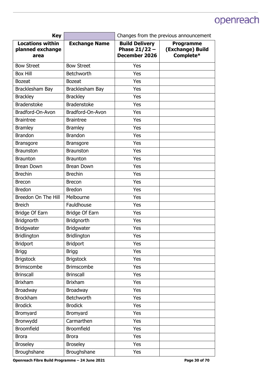| <b>Key</b>                                          |                      | Changes from the previous announcement                    |                                                   |
|-----------------------------------------------------|----------------------|-----------------------------------------------------------|---------------------------------------------------|
| <b>Locations within</b><br>planned exchange<br>area | <b>Exchange Name</b> | <b>Build Delivery</b><br>Phase $21/22 -$<br>December 2026 | <b>Programme</b><br>(Exchange) Build<br>Complete* |
| <b>Bow Street</b>                                   | <b>Bow Street</b>    | Yes                                                       |                                                   |
| <b>Box Hill</b>                                     | <b>Betchworth</b>    | Yes                                                       |                                                   |
| <b>Bozeat</b>                                       | <b>Bozeat</b>        | Yes                                                       |                                                   |
| Bracklesham Bay                                     | Bracklesham Bay      | Yes                                                       |                                                   |
| <b>Brackley</b>                                     | <b>Brackley</b>      | Yes                                                       |                                                   |
| <b>Bradenstoke</b>                                  | <b>Bradenstoke</b>   | Yes                                                       |                                                   |
| Bradford-On-Avon                                    | Bradford-On-Avon     | Yes                                                       |                                                   |
| <b>Braintree</b>                                    | <b>Braintree</b>     | Yes                                                       |                                                   |
| <b>Bramley</b>                                      | <b>Bramley</b>       | Yes                                                       |                                                   |
| <b>Brandon</b>                                      | <b>Brandon</b>       | Yes                                                       |                                                   |
| <b>Bransgore</b>                                    | Bransgore            | Yes                                                       |                                                   |
| <b>Braunston</b>                                    | <b>Braunston</b>     | Yes                                                       |                                                   |
| <b>Braunton</b>                                     | <b>Braunton</b>      | Yes                                                       |                                                   |
| <b>Brean Down</b>                                   | <b>Brean Down</b>    | Yes                                                       |                                                   |
| <b>Brechin</b>                                      | <b>Brechin</b>       | Yes                                                       |                                                   |
| <b>Brecon</b>                                       | <b>Brecon</b>        | Yes                                                       |                                                   |
| <b>Bredon</b>                                       | <b>Bredon</b>        | Yes                                                       |                                                   |
| Breedon On The Hill                                 | Melbourne            | Yes                                                       |                                                   |
| <b>Breich</b>                                       | Fauldhouse           | Yes                                                       |                                                   |
| <b>Bridge Of Earn</b>                               | Bridge Of Earn       | Yes                                                       |                                                   |
| <b>Bridgnorth</b>                                   | <b>Bridgnorth</b>    | Yes                                                       |                                                   |
| <b>Bridgwater</b>                                   | <b>Bridgwater</b>    | Yes                                                       |                                                   |
| <b>Bridlington</b>                                  | Bridlington          | Yes                                                       |                                                   |
| <b>Bridport</b>                                     | <b>Bridport</b>      | Yes                                                       |                                                   |
| <b>Brigg</b>                                        | <b>Brigg</b>         | Yes                                                       |                                                   |
| <b>Brigstock</b>                                    | <b>Brigstock</b>     | Yes                                                       |                                                   |
| <b>Brimscombe</b>                                   | <b>Brimscombe</b>    | Yes                                                       |                                                   |
| <b>Brinscall</b>                                    | <b>Brinscall</b>     | Yes                                                       |                                                   |
| <b>Brixham</b>                                      | <b>Brixham</b>       | Yes                                                       |                                                   |
| <b>Broadway</b>                                     | <b>Broadway</b>      | Yes                                                       |                                                   |
| <b>Brockham</b>                                     | Betchworth           | Yes                                                       |                                                   |
| <b>Brodick</b>                                      | <b>Brodick</b>       | Yes                                                       |                                                   |
| Bromyard                                            | Bromyard             | Yes                                                       |                                                   |
| Bronwydd                                            | Carmarthen           | Yes                                                       |                                                   |
| <b>Broomfield</b>                                   | <b>Broomfield</b>    | Yes                                                       |                                                   |
| <b>Brora</b>                                        | <b>Brora</b>         | Yes                                                       |                                                   |
| <b>Broseley</b>                                     | <b>Broseley</b>      | Yes                                                       |                                                   |
| Broughshane                                         | Broughshane          | Yes                                                       |                                                   |

Openreach Fibre Build Programme - 24 June 2021 **Page 30 of 70 Page 30 of 70**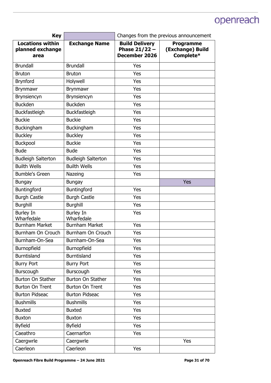| <b>Key</b>                                          |                                | Changes from the previous announcement                           |                                                   |
|-----------------------------------------------------|--------------------------------|------------------------------------------------------------------|---------------------------------------------------|
| <b>Locations within</b><br>planned exchange<br>area | <b>Exchange Name</b>           | <b>Build Delivery</b><br>Phase $21/22 -$<br><b>December 2026</b> | <b>Programme</b><br>(Exchange) Build<br>Complete* |
| <b>Brundall</b>                                     | <b>Brundall</b>                | Yes                                                              |                                                   |
| <b>Bruton</b>                                       | <b>Bruton</b>                  | Yes                                                              |                                                   |
| <b>Brynford</b>                                     | Holywell                       | Yes                                                              |                                                   |
| <b>Brynmawr</b>                                     | <b>Brynmawr</b>                | Yes                                                              |                                                   |
| <b>Brynsiencyn</b>                                  | <b>Brynsiencyn</b>             | Yes                                                              |                                                   |
| <b>Buckden</b>                                      | <b>Buckden</b>                 | Yes                                                              |                                                   |
| Buckfastleigh                                       | Buckfastleigh                  | Yes                                                              |                                                   |
| <b>Buckie</b>                                       | <b>Buckie</b>                  | Yes                                                              |                                                   |
| Buckingham                                          | Buckingham                     | Yes                                                              |                                                   |
| <b>Buckley</b>                                      | <b>Buckley</b>                 | Yes                                                              |                                                   |
| Buckpool                                            | <b>Buckie</b>                  | Yes                                                              |                                                   |
| <b>Bude</b>                                         | <b>Bude</b>                    | Yes                                                              |                                                   |
| <b>Budleigh Salterton</b>                           | <b>Budleigh Salterton</b>      | Yes                                                              |                                                   |
| <b>Builth Wells</b>                                 | <b>Builth Wells</b>            | Yes                                                              |                                                   |
| <b>Bumble's Green</b>                               | Nazeing                        | Yes                                                              |                                                   |
| <b>Bungay</b>                                       | <b>Bungay</b>                  |                                                                  | Yes                                               |
| <b>Buntingford</b>                                  | Buntingford                    | Yes                                                              |                                                   |
| <b>Burgh Castle</b>                                 | <b>Burgh Castle</b>            | Yes                                                              |                                                   |
| <b>Burghill</b>                                     | <b>Burghill</b>                | Yes                                                              |                                                   |
| <b>Burley In</b><br>Wharfedale                      | <b>Burley In</b><br>Wharfedale | Yes                                                              |                                                   |
| <b>Burnham Market</b>                               | <b>Burnham Market</b>          | Yes                                                              |                                                   |
| Burnham On Crouch                                   | Burnham On Crouch              | Yes                                                              |                                                   |
| Burnham-On-Sea                                      | Burnham-On-Sea                 | Yes                                                              |                                                   |
| Burnopfield                                         | Burnopfield                    | Yes                                                              |                                                   |
| <b>Burntisland</b>                                  | <b>Burntisland</b>             | Yes                                                              |                                                   |
| <b>Burry Port</b>                                   | <b>Burry Port</b>              | Yes                                                              |                                                   |
| Burscough                                           | Burscough                      | Yes                                                              |                                                   |
| Burton On Stather                                   | Burton On Stather              | Yes                                                              |                                                   |
| <b>Burton On Trent</b>                              | <b>Burton On Trent</b>         | Yes                                                              |                                                   |
| <b>Burton Pidseac</b>                               | <b>Burton Pidseac</b>          | Yes                                                              |                                                   |
| <b>Bushmills</b>                                    | <b>Bushmills</b>               | Yes                                                              |                                                   |
| <b>Buxted</b>                                       | <b>Buxted</b>                  | Yes                                                              |                                                   |
| <b>Buxton</b>                                       | <b>Buxton</b>                  | Yes                                                              |                                                   |
| <b>Byfield</b>                                      | <b>Byfield</b>                 | Yes                                                              |                                                   |
| Caeathro                                            | Caernarfon                     | Yes                                                              |                                                   |
| Caergwrle                                           | Caergwrle                      |                                                                  | Yes                                               |
| Caerleon                                            | Caerleon                       | Yes                                                              |                                                   |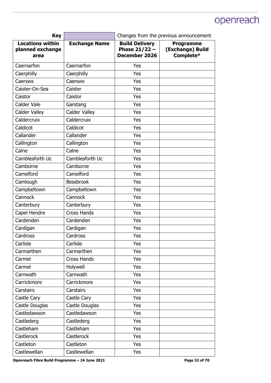| <b>Key</b>                                          |                      | Changes from the previous announcement                    |                                                   |
|-----------------------------------------------------|----------------------|-----------------------------------------------------------|---------------------------------------------------|
| <b>Locations within</b><br>planned exchange<br>area | <b>Exchange Name</b> | <b>Build Delivery</b><br>Phase $21/22 -$<br>December 2026 | <b>Programme</b><br>(Exchange) Build<br>Complete* |
| Caernarfon                                          | Caernarfon           | Yes                                                       |                                                   |
| Caerphilly                                          | Caerphilly           | Yes                                                       |                                                   |
| Caersws                                             | Caersws              | Yes                                                       |                                                   |
| Caister-On-Sea                                      | Caister              | Yes                                                       |                                                   |
| Caistor                                             | Caistor              | Yes                                                       |                                                   |
| Calder Vale                                         | Garstang             | Yes                                                       |                                                   |
| Calder Valley                                       | <b>Calder Valley</b> | Yes                                                       |                                                   |
| Caldercruix                                         | Caldercruix          | Yes                                                       |                                                   |
| Caldicot                                            | Caldicot             | Yes                                                       |                                                   |
| Callander                                           | Callander            | Yes                                                       |                                                   |
| Callington                                          | Callington           | Yes                                                       |                                                   |
| Calne                                               | Calne                | Yes                                                       |                                                   |
| Camblesforth Uc                                     | Camblesforth Uc      | Yes                                                       |                                                   |
| Camborne                                            | Camborne             | Yes                                                       |                                                   |
| Camelford                                           | Camelford            | Yes                                                       |                                                   |
| Camlough                                            | <b>Bessbrook</b>     | Yes                                                       |                                                   |
| Campbeltown                                         | Campbeltown          | Yes                                                       |                                                   |
| Cannock                                             | Cannock              | Yes                                                       |                                                   |
| Canterbury                                          | Canterbury           | Yes                                                       |                                                   |
| Capel Hendre                                        | <b>Cross Hands</b>   | Yes                                                       |                                                   |
| Cardenden                                           | Cardenden            | Yes                                                       |                                                   |
| Cardigan                                            | Cardigan             | Yes                                                       |                                                   |
| Cardross                                            | Cardross             | Yes                                                       |                                                   |
| Carlisle                                            | Carlisle             | Yes                                                       |                                                   |
| Carmarthen                                          | Carmarthen           | Yes                                                       |                                                   |
| Carmel                                              | <b>Cross Hands</b>   | Yes                                                       |                                                   |
| Carmel                                              | Holywell             | Yes                                                       |                                                   |
| Carnwath                                            | Carnwath             | Yes                                                       |                                                   |
| Carrickmore                                         | Carrickmore          | Yes                                                       |                                                   |
| Carstairs                                           | <b>Carstairs</b>     | Yes                                                       |                                                   |
| Castle Cary                                         | Castle Cary          | Yes                                                       |                                                   |
| Castle Douglas                                      | Castle Douglas       | Yes                                                       |                                                   |
| Castledawson                                        | Castledawson         | Yes                                                       |                                                   |
| Castlederg                                          | Castlederg           | Yes                                                       |                                                   |
| Castleham                                           | Castleham            | Yes                                                       |                                                   |
| Castlerock                                          | Castlerock           | Yes                                                       |                                                   |
| Castleton                                           | Castleton            | Yes                                                       |                                                   |
| Castlewellan                                        | Castlewellan         | Yes                                                       |                                                   |

Openreach Fibre Build Programme - 24 June 2021 **Page 32 of 70 Page 32 of 70**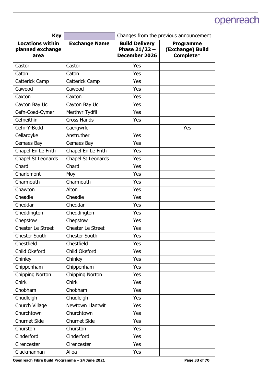| <b>Key</b>                                          |                      | Changes from the previous announcement                    |                                                   |
|-----------------------------------------------------|----------------------|-----------------------------------------------------------|---------------------------------------------------|
| <b>Locations within</b><br>planned exchange<br>area | <b>Exchange Name</b> | <b>Build Delivery</b><br>Phase $21/22 -$<br>December 2026 | <b>Programme</b><br>(Exchange) Build<br>Complete* |
| Castor                                              | Castor               | Yes                                                       |                                                   |
| Caton                                               | Caton                | Yes                                                       |                                                   |
| Catterick Camp                                      | Catterick Camp       | Yes                                                       |                                                   |
| Cawood                                              | Cawood               | Yes                                                       |                                                   |
| Caxton                                              | Caxton               | Yes                                                       |                                                   |
| Cayton Bay Uc                                       | Cayton Bay Uc        | Yes                                                       |                                                   |
| Cefn-Coed-Cymer                                     | Merthyr Tydfil       | Yes                                                       |                                                   |
| Cefneithin                                          | <b>Cross Hands</b>   | Yes                                                       |                                                   |
| Cefn-Y-Bedd                                         | Caergwrle            |                                                           | Yes                                               |
| Cellardyke                                          | Anstruther           | Yes                                                       |                                                   |
| Cemaes Bay                                          | Cemaes Bay           | Yes                                                       |                                                   |
| Chapel En Le Frith                                  | Chapel En Le Frith   | Yes                                                       |                                                   |
| Chapel St Leonards                                  | Chapel St Leonards   | Yes                                                       |                                                   |
| Chard                                               | Chard                | Yes                                                       |                                                   |
| Charlemont                                          | Moy                  | Yes                                                       |                                                   |
| Charmouth                                           | Charmouth            | Yes                                                       |                                                   |
| Chawton                                             | Alton                | Yes                                                       |                                                   |
| Cheadle                                             | Cheadle              | Yes                                                       |                                                   |
| Cheddar                                             | Cheddar              | Yes                                                       |                                                   |
| Cheddington                                         | Cheddington          | Yes                                                       |                                                   |
| Chepstow                                            | Chepstow             | Yes                                                       |                                                   |
| <b>Chester Le Street</b>                            | Chester Le Street    | Yes                                                       |                                                   |
| <b>Chester South</b>                                | <b>Chester South</b> | Yes                                                       |                                                   |
| Chestfield                                          | Chestfield           | Yes                                                       |                                                   |
| Child Okeford                                       | Child Okeford        | Yes                                                       |                                                   |
| Chinley                                             | Chinley              | Yes                                                       |                                                   |
| Chippenham                                          | Chippenham           | Yes                                                       |                                                   |
| Chipping Norton                                     | Chipping Norton      | Yes                                                       |                                                   |
| Chirk                                               | <b>Chirk</b>         | Yes                                                       |                                                   |
| Chobham                                             | Chobham              | Yes                                                       |                                                   |
| Chudleigh                                           | Chudleigh            | Yes                                                       |                                                   |
| Church Village                                      | Newtown Llantwit     | Yes                                                       |                                                   |
| Churchtown                                          | Churchtown           | Yes                                                       |                                                   |
| <b>Churnet Side</b>                                 | <b>Churnet Side</b>  | Yes                                                       |                                                   |
| Churston                                            | Churston             | Yes                                                       |                                                   |
| Cinderford                                          | Cinderford           | Yes                                                       |                                                   |
| Cirencester                                         | Cirencester          | Yes                                                       |                                                   |
| Clackmannan                                         | Alloa                | Yes                                                       |                                                   |

Openreach Fibre Build Programme - 24 June 2021 **Page 33 of 70 Page 33 of 70**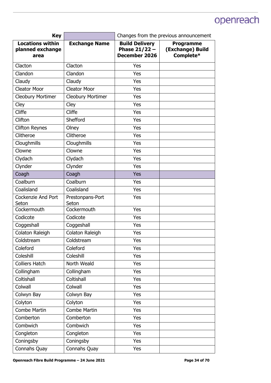| <b>Key</b>                                          |                           | Changes from the previous announcement                           |                                                   |
|-----------------------------------------------------|---------------------------|------------------------------------------------------------------|---------------------------------------------------|
| <b>Locations within</b><br>planned exchange<br>area | <b>Exchange Name</b>      | <b>Build Delivery</b><br>Phase $21/22 -$<br><b>December 2026</b> | <b>Programme</b><br>(Exchange) Build<br>Complete* |
| Clacton                                             | Clacton                   | Yes                                                              |                                                   |
| Clandon                                             | Clandon                   | Yes                                                              |                                                   |
| Claudy                                              | Claudy                    | Yes                                                              |                                                   |
| <b>Cleator Moor</b>                                 | <b>Cleator Moor</b>       | Yes                                                              |                                                   |
| <b>Cleobury Mortimer</b>                            | <b>Cleobury Mortimer</b>  | Yes                                                              |                                                   |
| Cley                                                | Cley                      | Yes                                                              |                                                   |
| Cliffe                                              | Cliffe                    | Yes                                                              |                                                   |
| Clifton                                             | Shefford                  | Yes                                                              |                                                   |
| <b>Clifton Reynes</b>                               | Olney                     | Yes                                                              |                                                   |
| Clitheroe                                           | Clitheroe                 | Yes                                                              |                                                   |
| Cloughmills                                         | Cloughmills               | Yes                                                              |                                                   |
| Clowne                                              | Clowne                    | Yes                                                              |                                                   |
| Clydach                                             | Clydach                   | Yes                                                              |                                                   |
| Clynder                                             | Clynder                   | Yes                                                              |                                                   |
| Coagh                                               | Coagh                     | Yes                                                              |                                                   |
| Coalburn                                            | Coalburn                  | Yes                                                              |                                                   |
| Coalisland                                          | Coalisland                | Yes                                                              |                                                   |
| <b>Cockenzie And Port</b><br>Seton                  | Prestonpans-Port<br>Seton | Yes                                                              |                                                   |
| Cockermouth                                         | Cockermouth               | Yes                                                              |                                                   |
| Codicote                                            | Codicote                  | Yes                                                              |                                                   |
| Coggeshall                                          | Coggeshall                | Yes                                                              |                                                   |
| Colaton Raleigh                                     | Colaton Raleigh           | Yes                                                              |                                                   |
| Coldstream                                          | Coldstream                | Yes                                                              |                                                   |
| Coleford                                            | Coleford                  | Yes                                                              |                                                   |
| Coleshill                                           | Coleshill                 | Yes                                                              |                                                   |
| <b>Colliers Hatch</b>                               | North Weald               | Yes                                                              |                                                   |
| Collingham                                          | Collingham                | Yes                                                              |                                                   |
| Coltishall                                          | Coltishall                | Yes                                                              |                                                   |
| Colwall                                             | Colwall                   | Yes                                                              |                                                   |
| Colwyn Bay                                          | Colwyn Bay                | Yes                                                              |                                                   |
| Colyton                                             | Colyton                   | Yes                                                              |                                                   |
| <b>Combe Martin</b>                                 | <b>Combe Martin</b>       | Yes                                                              |                                                   |
| Comberton                                           | Comberton                 | Yes                                                              |                                                   |
| Combwich                                            | Combwich                  | Yes                                                              |                                                   |
| Congleton                                           | Congleton                 | Yes                                                              |                                                   |
| Coningsby                                           | Coningsby                 | Yes                                                              |                                                   |
| Connahs Quay                                        | Connahs Quay              | Yes                                                              |                                                   |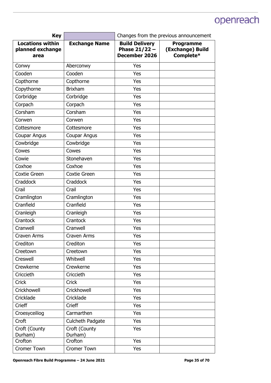| <b>Key</b>                                          |                          | Changes from the previous announcement                    |                                                   |
|-----------------------------------------------------|--------------------------|-----------------------------------------------------------|---------------------------------------------------|
| <b>Locations within</b><br>planned exchange<br>area | <b>Exchange Name</b>     | <b>Build Delivery</b><br>Phase $21/22 -$<br>December 2026 | <b>Programme</b><br>(Exchange) Build<br>Complete* |
| Conwy                                               | Aberconwy                | Yes                                                       |                                                   |
| Cooden                                              | Cooden                   | Yes                                                       |                                                   |
| Copthorne                                           | Copthorne                | Yes                                                       |                                                   |
| Copythorne                                          | <b>Brixham</b>           | Yes                                                       |                                                   |
| Corbridge                                           | Corbridge                | Yes                                                       |                                                   |
| Corpach                                             | Corpach                  | Yes                                                       |                                                   |
| Corsham                                             | Corsham                  | Yes                                                       |                                                   |
| Corwen                                              | Corwen                   | Yes                                                       |                                                   |
| Cottesmore                                          | Cottesmore               | Yes                                                       |                                                   |
| Coupar Angus                                        | Coupar Angus             | Yes                                                       |                                                   |
| Cowbridge                                           | Cowbridge                | Yes                                                       |                                                   |
| Cowes                                               | Cowes                    | Yes                                                       |                                                   |
| Cowie                                               | Stonehaven               | Yes                                                       |                                                   |
| Coxhoe                                              | Coxhoe                   | Yes                                                       |                                                   |
| <b>Coxtie Green</b>                                 | Coxtie Green             | Yes                                                       |                                                   |
| Craddock                                            | Craddock                 | Yes                                                       |                                                   |
| Crail                                               | Crail                    | Yes                                                       |                                                   |
| Cramlington                                         | Cramlington              | Yes                                                       |                                                   |
| Cranfield                                           | Cranfield                | Yes                                                       |                                                   |
| Cranleigh                                           | Cranleigh                | Yes                                                       |                                                   |
| Crantock                                            | <b>Crantock</b>          | Yes                                                       |                                                   |
| Cranwell                                            | Cranwell                 | Yes                                                       |                                                   |
| <b>Craven Arms</b>                                  | Craven Arms              | Yes                                                       |                                                   |
| Crediton                                            | Crediton                 | Yes                                                       |                                                   |
| Creetown                                            | Creetown                 | Yes                                                       |                                                   |
| Creswell                                            | Whitwell                 | Yes                                                       |                                                   |
| Crewkerne                                           | Crewkerne                | Yes                                                       |                                                   |
| Criccieth                                           | Criccieth                | Yes                                                       |                                                   |
| Crick                                               | Crick                    | Yes                                                       |                                                   |
| Crickhowell                                         | Crickhowell              | Yes                                                       |                                                   |
| Cricklade                                           | Cricklade                | Yes                                                       |                                                   |
| Crieff                                              | <b>Crieff</b>            | Yes                                                       |                                                   |
| Croesyceiliog                                       | Carmarthen               | Yes                                                       |                                                   |
| Croft                                               | Culcheth Padgate         | Yes                                                       |                                                   |
| Croft (County<br>Durham)                            | Croft (County<br>Durham) | Yes                                                       |                                                   |
| Crofton                                             | Crofton                  | Yes                                                       |                                                   |
| <b>Cromer Town</b>                                  | <b>Cromer Town</b>       | Yes                                                       |                                                   |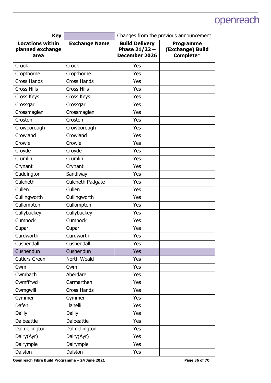| <b>Key</b>                                          |                      | Changes from the previous announcement                    |                                                   |
|-----------------------------------------------------|----------------------|-----------------------------------------------------------|---------------------------------------------------|
| <b>Locations within</b><br>planned exchange<br>area | <b>Exchange Name</b> | <b>Build Delivery</b><br>Phase $21/22 -$<br>December 2026 | <b>Programme</b><br>(Exchange) Build<br>Complete* |
| Crook                                               | Crook                | Yes                                                       |                                                   |
| Cropthorne                                          | Cropthorne           | Yes                                                       |                                                   |
| <b>Cross Hands</b>                                  | <b>Cross Hands</b>   | Yes                                                       |                                                   |
| <b>Cross Hills</b>                                  | <b>Cross Hills</b>   | Yes                                                       |                                                   |
| Cross Keys                                          | Cross Keys           | Yes                                                       |                                                   |
| Crossgar                                            | Crossgar             | Yes                                                       |                                                   |
| Crossmaglen                                         | Crossmaglen          | Yes                                                       |                                                   |
| Croston                                             | Croston              | Yes                                                       |                                                   |
| Crowborough                                         | Crowborough          | Yes                                                       |                                                   |
| Crowland                                            | Crowland             | Yes                                                       |                                                   |
| Crowle                                              | Crowle               | Yes                                                       |                                                   |
| Croyde                                              | Croyde               | Yes                                                       |                                                   |
| Crumlin                                             | Crumlin              | Yes                                                       |                                                   |
| Crynant                                             | Crynant              | Yes                                                       |                                                   |
| Cuddington                                          | Sandiway             | Yes                                                       |                                                   |
| Culcheth                                            | Culcheth Padgate     | Yes                                                       |                                                   |
| Cullen                                              | Cullen               | Yes                                                       |                                                   |
| Cullingworth                                        | Cullingworth         | Yes                                                       |                                                   |
| Cullompton                                          | Cullompton           | Yes                                                       |                                                   |
| Cullybackey                                         | Cullybackey          | Yes                                                       |                                                   |
| <b>Cumnock</b>                                      | Cumnock              | Yes                                                       |                                                   |
| Cupar                                               | Cupar                | Yes                                                       |                                                   |
| Curdworth                                           | Curdworth            | Yes                                                       |                                                   |
| Cushendall                                          | Cushendall           | Yes                                                       |                                                   |
| Cushendun                                           | Cushendun            | Yes                                                       |                                                   |
| <b>Cutlers Green</b>                                | North Weald          | Yes                                                       |                                                   |
| Cwm                                                 | Cwm                  | Yes                                                       |                                                   |
| Cwmbach                                             | Aberdare             | Yes                                                       |                                                   |
| Cwmffrwd                                            | Carmarthen           | Yes                                                       |                                                   |
| Cwmgwili                                            | Cross Hands          | Yes                                                       |                                                   |
| Cymmer                                              | Cymmer               | Yes                                                       |                                                   |
| Dafen                                               | Llanelli             | Yes                                                       |                                                   |
| <b>Dailly</b>                                       | <b>Dailly</b>        | Yes                                                       |                                                   |
| <b>Dalbeattie</b>                                   | <b>Dalbeattie</b>    | Yes                                                       |                                                   |
| Dalmellington                                       | Dalmellington        | Yes                                                       |                                                   |
| Dalry(Ayr)                                          | Dalry(Ayr)           | Yes                                                       |                                                   |
| Dalrymple                                           | Dalrymple            | Yes                                                       |                                                   |
| Dalston                                             | Dalston              | Yes                                                       |                                                   |

Openreach Fibre Build Programme - 24 June 2021 **Page 36 of 70 Page 36 of 70**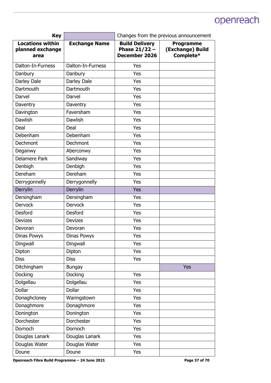| <b>Key</b>                                          |                      | Changes from the previous announcement                           |                                                   |
|-----------------------------------------------------|----------------------|------------------------------------------------------------------|---------------------------------------------------|
| <b>Locations within</b><br>planned exchange<br>area | <b>Exchange Name</b> | <b>Build Delivery</b><br>Phase $21/22 -$<br><b>December 2026</b> | <b>Programme</b><br>(Exchange) Build<br>Complete* |
| Dalton-In-Furness                                   | Dalton-In-Furness    | Yes                                                              |                                                   |
| Danbury                                             | Danbury              | Yes                                                              |                                                   |
| Darley Dale                                         | Darley Dale          | Yes                                                              |                                                   |
| <b>Dartmouth</b>                                    | Dartmouth            | Yes                                                              |                                                   |
| Darvel                                              | Darvel               | Yes                                                              |                                                   |
| Daventry                                            | Daventry             | Yes                                                              |                                                   |
| Davington                                           | Faversham            | Yes                                                              |                                                   |
| <b>Dawlish</b>                                      | Dawlish              | Yes                                                              |                                                   |
| Deal                                                | Deal                 | Yes                                                              |                                                   |
| Debenham                                            | Debenham             | Yes                                                              |                                                   |
| Dechmont                                            | Dechmont             | Yes                                                              |                                                   |
| Deganwy                                             | Aberconwy            | Yes                                                              |                                                   |
| <b>Delamere Park</b>                                | Sandiway             | Yes                                                              |                                                   |
| Denbigh                                             | Denbigh              | Yes                                                              |                                                   |
| Dereham                                             | Dereham              | Yes                                                              |                                                   |
| Derrygonnelly                                       | Derrygonnelly        | Yes                                                              |                                                   |
| Derrylin                                            | Derrylin             | Yes                                                              |                                                   |
| Dersingham                                          | Dersingham           | Yes                                                              |                                                   |
| <b>Dervock</b>                                      | <b>Dervock</b>       | Yes                                                              |                                                   |
| Desford                                             | Desford              | Yes                                                              |                                                   |
| <b>Devizes</b>                                      | <b>Devizes</b>       | Yes                                                              |                                                   |
| Devoran                                             | Devoran              | Yes                                                              |                                                   |
| Dinas Powys                                         | Dinas Powys          | Yes                                                              |                                                   |
| Dingwall                                            | Dingwall             | Yes                                                              |                                                   |
| Dipton                                              | Dipton               | Yes                                                              |                                                   |
| <b>Diss</b>                                         | <b>Diss</b>          | Yes                                                              |                                                   |
| Ditchingham                                         | <b>Bungay</b>        |                                                                  | <b>Yes</b>                                        |
| Docking                                             | Docking              | Yes                                                              |                                                   |
| Dolgellau                                           | Dolgellau            | Yes                                                              |                                                   |
| Dollar                                              | <b>Dollar</b>        | Yes                                                              |                                                   |
| Donaghcloney                                        | Waringstown          | Yes                                                              |                                                   |
| Donaghmore                                          | Donaghmore           | Yes                                                              |                                                   |
| Donington                                           | Donington            | Yes                                                              |                                                   |
| Dorchester                                          | Dorchester           | Yes                                                              |                                                   |
| Dornoch                                             | Dornoch              | Yes                                                              |                                                   |
| Douglas Lanark                                      | Douglas Lanark       | Yes                                                              |                                                   |
| Douglas Water                                       | Douglas Water        | Yes                                                              |                                                   |
| Doune                                               | Doune                | Yes                                                              |                                                   |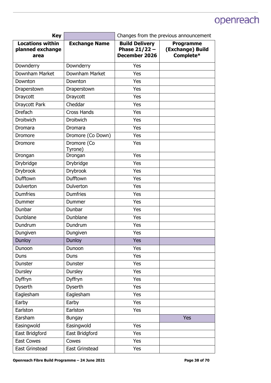| <b>Key</b>                                          |                        | Changes from the previous announcement                    |                                                   |
|-----------------------------------------------------|------------------------|-----------------------------------------------------------|---------------------------------------------------|
| <b>Locations within</b><br>planned exchange<br>area | <b>Exchange Name</b>   | <b>Build Delivery</b><br>Phase $21/22 -$<br>December 2026 | <b>Programme</b><br>(Exchange) Build<br>Complete* |
| Downderry                                           | Downderry              | Yes                                                       |                                                   |
| Downham Market                                      | Downham Market         | Yes                                                       |                                                   |
| Downton                                             | Downton                | Yes                                                       |                                                   |
| Draperstown                                         | Draperstown            | Yes                                                       |                                                   |
| Draycott                                            | Draycott               | Yes                                                       |                                                   |
| Draycott Park                                       | Cheddar                | Yes                                                       |                                                   |
| <b>Drefach</b>                                      | <b>Cross Hands</b>     | Yes                                                       |                                                   |
| Droitwich                                           | Droitwich              | Yes                                                       |                                                   |
| Dromara                                             | Dromara                | Yes                                                       |                                                   |
| Dromore                                             | Dromore (Co Down)      | Yes                                                       |                                                   |
| Dromore                                             | Dromore (Co<br>Tyrone) | Yes                                                       |                                                   |
| Drongan                                             | Drongan                | Yes                                                       |                                                   |
| Drybridge                                           | Drybridge              | Yes                                                       |                                                   |
| <b>Drybrook</b>                                     | <b>Drybrook</b>        | Yes                                                       |                                                   |
| Dufftown                                            | Dufftown               | Yes                                                       |                                                   |
| Dulverton                                           | Dulverton              | Yes                                                       |                                                   |
| <b>Dumfries</b>                                     | <b>Dumfries</b>        | Yes                                                       |                                                   |
| Dummer                                              | Dummer                 | Yes                                                       |                                                   |
| Dunbar                                              | Dunbar                 | Yes                                                       |                                                   |
| Dunblane                                            | Dunblane               | Yes                                                       |                                                   |
| Dundrum                                             | Dundrum                | Yes                                                       |                                                   |
| Dungiven                                            | Dungiven               | Yes                                                       |                                                   |
| Dunloy                                              | <b>Dunloy</b>          | Yes                                                       |                                                   |
| Dunoon                                              | Dunoon                 | Yes                                                       |                                                   |
| Duns                                                | Duns                   | Yes                                                       |                                                   |
| Dunster                                             | Dunster                | Yes                                                       |                                                   |
| Dursley                                             | <b>Dursley</b>         | Yes                                                       |                                                   |
| Dyffryn                                             | Dyffryn                | Yes                                                       |                                                   |
| <b>Dyserth</b>                                      | <b>Dyserth</b>         | Yes                                                       |                                                   |
| Eaglesham                                           | Eaglesham              | Yes                                                       |                                                   |
| Earby                                               | Earby                  | Yes                                                       |                                                   |
| Earlston                                            | Earlston               | Yes                                                       |                                                   |
| Earsham                                             | <b>Bungay</b>          |                                                           | <b>Yes</b>                                        |
| Easingwold                                          | Easingwold             | Yes                                                       |                                                   |
| East Bridgford                                      | East Bridgford         | Yes                                                       |                                                   |
| <b>East Cowes</b>                                   | Cowes                  | Yes                                                       |                                                   |
| East Grinstead                                      | East Grinstead         | Yes                                                       |                                                   |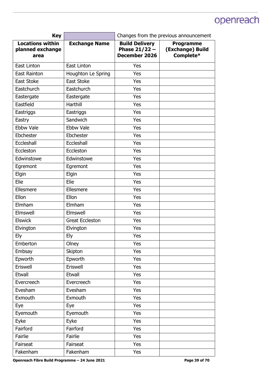| <b>Key</b>                                          |                        | Changes from the previous announcement                    |                                                   |
|-----------------------------------------------------|------------------------|-----------------------------------------------------------|---------------------------------------------------|
| <b>Locations within</b><br>planned exchange<br>area | <b>Exchange Name</b>   | <b>Build Delivery</b><br>Phase $21/22 -$<br>December 2026 | <b>Programme</b><br>(Exchange) Build<br>Complete* |
| East Linton                                         | East Linton            | Yes                                                       |                                                   |
| <b>East Rainton</b>                                 | Houghton Le Spring     | Yes                                                       |                                                   |
| East Stoke                                          | East Stoke             | Yes                                                       |                                                   |
| Eastchurch                                          | Eastchurch             | Yes                                                       |                                                   |
| Eastergate                                          | Eastergate             | Yes                                                       |                                                   |
| Eastfield                                           | Harthill               | Yes                                                       |                                                   |
| Eastriggs                                           | Eastriggs              | Yes                                                       |                                                   |
| Eastry                                              | Sandwich               | Yes                                                       |                                                   |
| <b>Ebbw Vale</b>                                    | Ebbw Vale              | Yes                                                       |                                                   |
| Ebchester                                           | Ebchester              | Yes                                                       |                                                   |
| Eccleshall                                          | Eccleshall             | Yes                                                       |                                                   |
| Eccleston                                           | Eccleston              | Yes                                                       |                                                   |
| Edwinstowe                                          | Edwinstowe             | Yes                                                       |                                                   |
| Egremont                                            | Egremont               | Yes                                                       |                                                   |
| Elgin                                               | Elgin                  | Yes                                                       |                                                   |
| Elie                                                | Elie                   | Yes                                                       |                                                   |
| Ellesmere                                           | Ellesmere              | Yes                                                       |                                                   |
| Ellon                                               | Ellon                  | Yes                                                       |                                                   |
| Elmham                                              | Elmham                 | Yes                                                       |                                                   |
| Elmswell                                            | Elmswell               | Yes                                                       |                                                   |
| <b>Elswick</b>                                      | <b>Great Eccleston</b> | Yes                                                       |                                                   |
| Elvington                                           | Elvington              | Yes                                                       |                                                   |
| Ely                                                 | <b>Ely</b>             | Yes                                                       |                                                   |
| Emberton                                            | Olney                  | Yes                                                       |                                                   |
| Embsay                                              | Skipton                | Yes                                                       |                                                   |
| Epworth                                             | Epworth                | Yes                                                       |                                                   |
| Eriswell                                            | Eriswell               | Yes                                                       |                                                   |
| Etwall                                              | Etwall                 | Yes                                                       |                                                   |
| Evercreech                                          | Evercreech             | Yes                                                       |                                                   |
| Evesham                                             | Evesham                | Yes                                                       |                                                   |
| Exmouth                                             | Exmouth                | Yes                                                       |                                                   |
| Eye                                                 | Eye                    | Yes                                                       |                                                   |
| Eyemouth                                            | Eyemouth               | Yes                                                       |                                                   |
| Eyke                                                | Eyke                   | Yes                                                       |                                                   |
| Fairford                                            | Fairford               | Yes                                                       |                                                   |
| Fairlie                                             | Fairlie                | Yes                                                       |                                                   |
| Fairseat                                            | Fairseat               | Yes                                                       |                                                   |
| Fakenham                                            | Fakenham               | Yes                                                       |                                                   |

Openreach Fibre Build Programme - 24 June 2021 **Page 39 of 70 Page 39 of 70**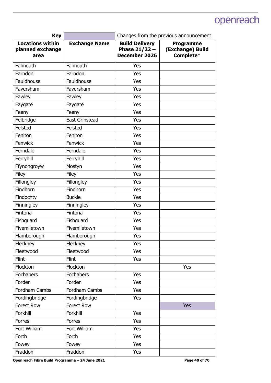| <b>Key</b>                                          |                       | Changes from the previous announcement                           |                                                   |
|-----------------------------------------------------|-----------------------|------------------------------------------------------------------|---------------------------------------------------|
| <b>Locations within</b><br>planned exchange<br>area | <b>Exchange Name</b>  | <b>Build Delivery</b><br>Phase $21/22 -$<br><b>December 2026</b> | <b>Programme</b><br>(Exchange) Build<br>Complete* |
| Falmouth                                            | Falmouth              | Yes                                                              |                                                   |
| Farndon                                             | Farndon               | Yes                                                              |                                                   |
| Fauldhouse                                          | Fauldhouse            | Yes                                                              |                                                   |
| Faversham                                           | Faversham             | Yes                                                              |                                                   |
| Fawley                                              | Fawley                | Yes                                                              |                                                   |
| Faygate                                             | Faygate               | Yes                                                              |                                                   |
| Feeny                                               | Feeny                 | Yes                                                              |                                                   |
| Felbridge                                           | <b>East Grinstead</b> | Yes                                                              |                                                   |
| Felsted                                             | Felsted               | Yes                                                              |                                                   |
| Feniton                                             | Feniton               | Yes                                                              |                                                   |
| Fenwick                                             | Fenwick               | Yes                                                              |                                                   |
| Ferndale                                            | Ferndale              | Yes                                                              |                                                   |
| Ferryhill                                           | Ferryhill             | Yes                                                              |                                                   |
| Ffynongroyw                                         | Mostyn                | Yes                                                              |                                                   |
| Filey                                               | Filey                 | Yes                                                              |                                                   |
| Fillongley                                          | Fillongley            | Yes                                                              |                                                   |
| Findhorn                                            | Findhorn              | Yes                                                              |                                                   |
| Findochty                                           | <b>Buckie</b>         | Yes                                                              |                                                   |
| Finningley                                          | Finningley            | Yes                                                              |                                                   |
| Fintona                                             | Fintona               | Yes                                                              |                                                   |
| Fishguard                                           | Fishguard             | Yes                                                              |                                                   |
| Fivemiletown                                        | Fivemiletown          | Yes                                                              |                                                   |
| Flamborough                                         | Flamborough           | Yes                                                              |                                                   |
| Fleckney                                            | Fleckney              | Yes                                                              |                                                   |
| Fleetwood                                           | Fleetwood             | Yes                                                              |                                                   |
| Flint                                               | Flint                 | Yes                                                              |                                                   |
| Flockton                                            | Flockton              |                                                                  | Yes                                               |
| Fochabers                                           | Fochabers             | Yes                                                              |                                                   |
| Forden                                              | Forden                | Yes                                                              |                                                   |
| Fordham Cambs                                       | Fordham Cambs         | Yes                                                              |                                                   |
| Fordingbridge                                       | Fordingbridge         | Yes                                                              |                                                   |
| Forest Row                                          | Forest Row            |                                                                  | Yes                                               |
| Forkhill                                            | Forkhill              | Yes                                                              |                                                   |
| Forres                                              | Forres                | Yes                                                              |                                                   |
| Fort William                                        | Fort William          | Yes                                                              |                                                   |
| Forth                                               | Forth                 | Yes                                                              |                                                   |
| Fowey                                               | Fowey                 | Yes                                                              |                                                   |
| Fraddon                                             | Fraddon               | Yes                                                              |                                                   |

Openreach Fibre Build Programme - 24 June 2021 **Page 40 of 70 Page 40 of 70**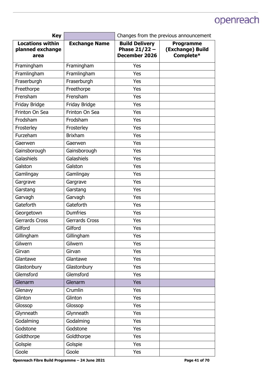| <b>Key</b>                                          |                       | Changes from the previous announcement                           |                                                   |
|-----------------------------------------------------|-----------------------|------------------------------------------------------------------|---------------------------------------------------|
| <b>Locations within</b><br>planned exchange<br>area | <b>Exchange Name</b>  | <b>Build Delivery</b><br>Phase $21/22 -$<br><b>December 2026</b> | <b>Programme</b><br>(Exchange) Build<br>Complete* |
| Framingham                                          | Framingham            | Yes                                                              |                                                   |
| Framlingham                                         | Framlingham           | Yes                                                              |                                                   |
| Fraserburgh                                         | Fraserburgh           | Yes                                                              |                                                   |
| Freethorpe                                          | Freethorpe            | Yes                                                              |                                                   |
| Frensham                                            | Frensham              | Yes                                                              |                                                   |
| Friday Bridge                                       | Friday Bridge         | Yes                                                              |                                                   |
| Frinton On Sea                                      | Frinton On Sea        | Yes                                                              |                                                   |
| Frodsham                                            | Frodsham              | Yes                                                              |                                                   |
| Frosterley                                          | Frosterley            | Yes                                                              |                                                   |
| Furzeham                                            | <b>Brixham</b>        | Yes                                                              |                                                   |
| Gaerwen                                             | Gaerwen               | Yes                                                              |                                                   |
| Gainsborough                                        | Gainsborough          | Yes                                                              |                                                   |
| Galashiels                                          | Galashiels            | Yes                                                              |                                                   |
| Galston                                             | Galston               | Yes                                                              |                                                   |
| Gamlingay                                           | Gamlingay             | Yes                                                              |                                                   |
| Gargrave                                            | Gargrave              | Yes                                                              |                                                   |
| Garstang                                            | Garstang              | Yes                                                              |                                                   |
| Garvagh                                             | Garvagh               | Yes                                                              |                                                   |
| Gateforth                                           | Gateforth             | Yes                                                              |                                                   |
| Georgetown                                          | <b>Dumfries</b>       | Yes                                                              |                                                   |
| <b>Gerrards Cross</b>                               | <b>Gerrards Cross</b> | Yes                                                              |                                                   |
| Gilford                                             | Gilford               | Yes                                                              |                                                   |
| Gillingham                                          | Gillingham            | Yes                                                              |                                                   |
| Gilwern                                             | Gilwern               | Yes                                                              |                                                   |
| Girvan                                              | Girvan                | Yes                                                              |                                                   |
| Glantawe                                            | Glantawe              | Yes                                                              |                                                   |
| Glastonbury                                         | Glastonbury           | Yes                                                              |                                                   |
| Glemsford                                           | Glemsford             | Yes                                                              |                                                   |
| Glenarm                                             | Glenarm               | <b>Yes</b>                                                       |                                                   |
| Glenavy                                             | Crumlin               | Yes                                                              |                                                   |
| Glinton                                             | Glinton               | Yes                                                              |                                                   |
| Glossop                                             | Glossop               | Yes                                                              |                                                   |
| Glynneath                                           | Glynneath             | Yes                                                              |                                                   |
| Godalming                                           | Godalming             | Yes                                                              |                                                   |
| Godstone                                            | Godstone              | Yes                                                              |                                                   |
| Goldthorpe                                          | Goldthorpe            | Yes                                                              |                                                   |
| Golspie                                             | Golspie               | Yes                                                              |                                                   |
| Goole                                               | Goole                 | Yes                                                              |                                                   |

Openreach Fibre Build Programme - 24 June 2021 **Page 41 of 70 Page 41 of 70**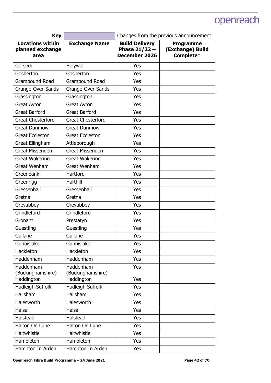| <b>Key</b>                                          |                                | Changes from the previous announcement                           |                                                   |
|-----------------------------------------------------|--------------------------------|------------------------------------------------------------------|---------------------------------------------------|
| <b>Locations within</b><br>planned exchange<br>area | <b>Exchange Name</b>           | <b>Build Delivery</b><br>Phase $21/22 -$<br><b>December 2026</b> | <b>Programme</b><br>(Exchange) Build<br>Complete* |
| Gorsedd                                             | Holywell                       | Yes                                                              |                                                   |
| Gosberton                                           | Gosberton                      | Yes                                                              |                                                   |
| Grampound Road                                      | Grampound Road                 | Yes                                                              |                                                   |
| Grange-Over-Sands                                   | Grange-Over-Sands              | Yes                                                              |                                                   |
| Grassington                                         | Grassington                    | Yes                                                              |                                                   |
| Great Ayton                                         | Great Ayton                    | Yes                                                              |                                                   |
| <b>Great Barford</b>                                | <b>Great Barford</b>           | Yes                                                              |                                                   |
| <b>Great Chesterford</b>                            | <b>Great Chesterford</b>       | Yes                                                              |                                                   |
| <b>Great Dunmow</b>                                 | <b>Great Dunmow</b>            | Yes                                                              |                                                   |
| <b>Great Eccleston</b>                              | <b>Great Eccleston</b>         | Yes                                                              |                                                   |
| Great Ellingham                                     | Attleborough                   | Yes                                                              |                                                   |
| <b>Great Missenden</b>                              | <b>Great Missenden</b>         | Yes                                                              |                                                   |
| <b>Great Wakering</b>                               | <b>Great Wakering</b>          | Yes                                                              |                                                   |
| <b>Great Wenham</b>                                 | Great Wenham                   | Yes                                                              |                                                   |
| Greenbank                                           | Hartford                       | Yes                                                              |                                                   |
| Greenrigg                                           | Harthill                       | Yes                                                              |                                                   |
| Gressenhall                                         | Gressenhall                    | Yes                                                              |                                                   |
| Gretna                                              | Gretna                         | Yes                                                              |                                                   |
| Greyabbey                                           | Greyabbey                      | Yes                                                              |                                                   |
| Grindleford                                         | Grindleford                    | Yes                                                              |                                                   |
| Gronant                                             | Prestatyn                      | Yes                                                              |                                                   |
| Guestling                                           | Guestling                      | Yes                                                              |                                                   |
| Gullane                                             | Gullane                        | Yes                                                              |                                                   |
| Gunnislake                                          | Gunnislake                     | Yes                                                              |                                                   |
| Hackleton                                           | Hackleton                      | Yes                                                              |                                                   |
| Haddenham                                           | Haddenham                      | Yes                                                              |                                                   |
| Haddenham<br>(Buckinghamshire)                      | Haddenham<br>(Buckinghamshire) | Yes                                                              |                                                   |
| Haddington                                          | Haddington                     | Yes                                                              |                                                   |
| Hadleigh Suffolk                                    | Hadleigh Suffolk               | Yes                                                              |                                                   |
| Hailsham                                            | Hailsham                       | Yes                                                              |                                                   |
| Halesworth                                          | Halesworth                     | Yes                                                              |                                                   |
| Halsall                                             | Halsall                        | Yes                                                              |                                                   |
| Halstead                                            | Halstead                       | Yes                                                              |                                                   |
| Halton On Lune                                      | Halton On Lune                 | Yes                                                              |                                                   |
| Haltwhistle                                         | Haltwhistle                    | Yes                                                              |                                                   |
| Hambleton                                           | Hambleton                      | Yes                                                              |                                                   |
| Hampton In Arden                                    | Hampton In Arden               | Yes                                                              |                                                   |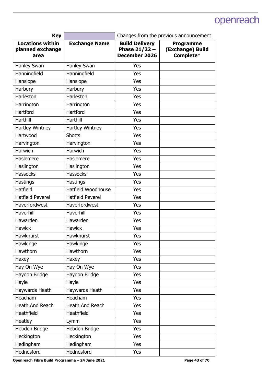| <b>Key</b>                                          |                         | Changes from the previous announcement                    |                                                   |
|-----------------------------------------------------|-------------------------|-----------------------------------------------------------|---------------------------------------------------|
| <b>Locations within</b><br>planned exchange<br>area | <b>Exchange Name</b>    | <b>Build Delivery</b><br>Phase $21/22 -$<br>December 2026 | <b>Programme</b><br>(Exchange) Build<br>Complete* |
| Hanley Swan                                         | Hanley Swan             | Yes                                                       |                                                   |
| Hanningfield                                        | Hanningfield            | Yes                                                       |                                                   |
| Hanslope                                            | Hanslope                | Yes                                                       |                                                   |
| Harbury                                             | Harbury                 | Yes                                                       |                                                   |
| Harleston                                           | Harleston               | Yes                                                       |                                                   |
| Harrington                                          | Harrington              | Yes                                                       |                                                   |
| Hartford                                            | Hartford                | Yes                                                       |                                                   |
| Harthill                                            | Harthill                | Yes                                                       |                                                   |
| Hartley Wintney                                     | Hartley Wintney         | Yes                                                       |                                                   |
| Hartwood                                            | <b>Shotts</b>           | Yes                                                       |                                                   |
| Harvington                                          | Harvington              | Yes                                                       |                                                   |
| Harwich                                             | Harwich                 | Yes                                                       |                                                   |
| Haslemere                                           | Haslemere               | Yes                                                       |                                                   |
| Haslington                                          | Haslington              | Yes                                                       |                                                   |
| <b>Hassocks</b>                                     | <b>Hassocks</b>         | Yes                                                       |                                                   |
| Hastings                                            | Hastings                | Yes                                                       |                                                   |
| Hatfield                                            | Hatfield Woodhouse      | Yes                                                       |                                                   |
| <b>Hatfield Peverel</b>                             | <b>Hatfield Peverel</b> | Yes                                                       |                                                   |
| Haverfordwest                                       | Haverfordwest           | Yes                                                       |                                                   |
| Haverhill                                           | Haverhill               | Yes                                                       |                                                   |
| Hawarden                                            | Hawarden                | Yes                                                       |                                                   |
| <b>Hawick</b>                                       | <b>Hawick</b>           | Yes                                                       |                                                   |
| Hawkhurst                                           | Hawkhurst               | Yes                                                       |                                                   |
| Hawkinge                                            | Hawkinge                | Yes                                                       |                                                   |
| Hawthorn                                            | Hawthorn                | Yes                                                       |                                                   |
| Haxey                                               | Haxey                   | Yes                                                       |                                                   |
| Hay On Wye                                          | Hay On Wye              | Yes                                                       |                                                   |
| Haydon Bridge                                       | Haydon Bridge           | Yes                                                       |                                                   |
| Hayle                                               | Hayle                   | Yes                                                       |                                                   |
| Haywards Heath                                      | Haywards Heath          | Yes                                                       |                                                   |
| Heacham                                             | Heacham                 | Yes                                                       |                                                   |
| Heath And Reach                                     | Heath And Reach         | Yes                                                       |                                                   |
| Heathfield                                          | Heathfield              | Yes                                                       |                                                   |
| Heatley                                             | Lymm                    | Yes                                                       |                                                   |
| Hebden Bridge                                       | Hebden Bridge           | Yes                                                       |                                                   |
| Heckington                                          | Heckington              | Yes                                                       |                                                   |
| Hedingham                                           | Hedingham               | Yes                                                       |                                                   |
| Hednesford                                          | Hednesford              | Yes                                                       |                                                   |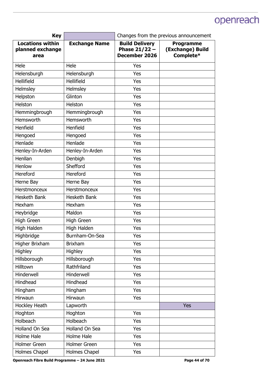| <b>Key</b>                                          |                      | Changes from the previous announcement                           |                                                   |
|-----------------------------------------------------|----------------------|------------------------------------------------------------------|---------------------------------------------------|
| <b>Locations within</b><br>planned exchange<br>area | <b>Exchange Name</b> | <b>Build Delivery</b><br>Phase $21/22 -$<br><b>December 2026</b> | <b>Programme</b><br>(Exchange) Build<br>Complete* |
| Hele                                                | Hele                 | Yes                                                              |                                                   |
| Helensburgh                                         | Helensburgh          | Yes                                                              |                                                   |
| <b>Hellifield</b>                                   | Hellifield           | Yes                                                              |                                                   |
| Helmsley                                            | Helmsley             | Yes                                                              |                                                   |
| Helpston                                            | Glinton              | Yes                                                              |                                                   |
| Helston                                             | Helston              | Yes                                                              |                                                   |
| Hemmingbrough                                       | Hemmingbrough        | Yes                                                              |                                                   |
| Hemsworth                                           | Hemsworth            | Yes                                                              |                                                   |
| Henfield                                            | Henfield             | Yes                                                              |                                                   |
| Hengoed                                             | Hengoed              | Yes                                                              |                                                   |
| Henlade                                             | Henlade              | Yes                                                              |                                                   |
| Henley-In-Arden                                     | Henley-In-Arden      | Yes                                                              |                                                   |
| Henllan                                             | Denbigh              | Yes                                                              |                                                   |
| Henlow                                              | Shefford             | Yes                                                              |                                                   |
| Hereford                                            | Hereford             | Yes                                                              |                                                   |
| Herne Bay                                           | Herne Bay            | Yes                                                              |                                                   |
| Herstmonceux                                        | Herstmonceux         | Yes                                                              |                                                   |
| Hesketh Bank                                        | Hesketh Bank         | Yes                                                              |                                                   |
| Hexham                                              | Hexham               | Yes                                                              |                                                   |
| Heybridge                                           | Maldon               | Yes                                                              |                                                   |
| High Green                                          | High Green           | Yes                                                              |                                                   |
| High Halden                                         | High Halden          | Yes                                                              |                                                   |
| Highbridge                                          | Burnham-On-Sea       | Yes                                                              |                                                   |
| Higher Brixham                                      | <b>Brixham</b>       | Yes                                                              |                                                   |
| Highley                                             | Highley              | Yes                                                              |                                                   |
| Hillsborough                                        | Hillsborough         | Yes                                                              |                                                   |
| Hilltown                                            | Rathfriland          | Yes                                                              |                                                   |
| Hinderwell                                          | Hinderwell           | Yes                                                              |                                                   |
| Hindhead                                            | Hindhead             | Yes                                                              |                                                   |
| Hingham                                             | Hingham              | Yes                                                              |                                                   |
| Hirwaun                                             | Hirwaun              | Yes                                                              |                                                   |
| Hockley Heath                                       | Lapworth             |                                                                  | <b>Yes</b>                                        |
| Hoghton                                             | Hoghton              | Yes                                                              |                                                   |
| Holbeach                                            | Holbeach             | Yes                                                              |                                                   |
| Holland On Sea                                      | Holland On Sea       | Yes                                                              |                                                   |
| Holme Hale                                          | Holme Hale           | Yes                                                              |                                                   |
| Holmer Green                                        | <b>Holmer Green</b>  | Yes                                                              |                                                   |
| Holmes Chapel                                       | Holmes Chapel        | Yes                                                              |                                                   |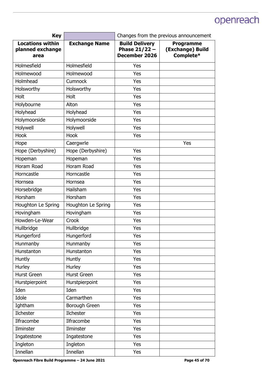| <b>Key</b>                                          |                      | Changes from the previous announcement                    |                                                   |
|-----------------------------------------------------|----------------------|-----------------------------------------------------------|---------------------------------------------------|
| <b>Locations within</b><br>planned exchange<br>area | <b>Exchange Name</b> | <b>Build Delivery</b><br>Phase $21/22 -$<br>December 2026 | <b>Programme</b><br>(Exchange) Build<br>Complete* |
| Holmesfield                                         | Holmesfield          | Yes                                                       |                                                   |
| Holmewood                                           | Holmewood            | Yes                                                       |                                                   |
| Holmhead                                            | Cumnock              | Yes                                                       |                                                   |
| Holsworthy                                          | Holsworthy           | Yes                                                       |                                                   |
| Holt                                                | Holt                 | Yes                                                       |                                                   |
| Holybourne                                          | Alton                | Yes                                                       |                                                   |
| Holyhead                                            | Holyhead             | Yes                                                       |                                                   |
| Holymoorside                                        | Holymoorside         | Yes                                                       |                                                   |
| Holywell                                            | Holywell             | Yes                                                       |                                                   |
| Hook                                                | Hook                 | Yes                                                       |                                                   |
| Hope                                                | Caergwrle            |                                                           | Yes                                               |
| Hope (Derbyshire)                                   | Hope (Derbyshire)    | Yes                                                       |                                                   |
| Hopeman                                             | Hopeman              | Yes                                                       |                                                   |
| Horam Road                                          | Horam Road           | Yes                                                       |                                                   |
| Horncastle                                          | Horncastle           | Yes                                                       |                                                   |
| Hornsea                                             | Hornsea              | Yes                                                       |                                                   |
| Horsebridge                                         | Hailsham             | Yes                                                       |                                                   |
| Horsham                                             | Horsham              | Yes                                                       |                                                   |
| Houghton Le Spring                                  | Houghton Le Spring   | Yes                                                       |                                                   |
| Hovingham                                           | Hovingham            | Yes                                                       |                                                   |
| Howden-Le-Wear                                      | Crook                | Yes                                                       |                                                   |
| Hullbridge                                          | Hullbridge           | Yes                                                       |                                                   |
| Hungerford                                          | Hungerford           | Yes                                                       |                                                   |
| Hunmanby                                            | Hunmanby             | Yes                                                       |                                                   |
| Hunstanton                                          | Hunstanton           | Yes                                                       |                                                   |
| <b>Huntly</b>                                       | Huntly               | Yes                                                       |                                                   |
| Hurley                                              | Hurley               | Yes                                                       |                                                   |
| <b>Hurst Green</b>                                  | <b>Hurst Green</b>   | Yes                                                       |                                                   |
| Hurstpierpoint                                      | Hurstpierpoint       | Yes                                                       |                                                   |
| Iden                                                | Iden                 | Yes                                                       |                                                   |
| Idole                                               | Carmarthen           | Yes                                                       |                                                   |
| Ightham                                             | Borough Green        | Yes                                                       |                                                   |
| Ilchester                                           | Ilchester            | Yes                                                       |                                                   |
| Ilfracombe                                          | Ilfracombe           | Yes                                                       |                                                   |
| Ilminster                                           | Ilminster            | Yes                                                       |                                                   |
| Ingatestone                                         | Ingatestone          | Yes                                                       |                                                   |
| Ingleton                                            | Ingleton             | Yes                                                       |                                                   |
| Innellan                                            | Innellan             | Yes                                                       |                                                   |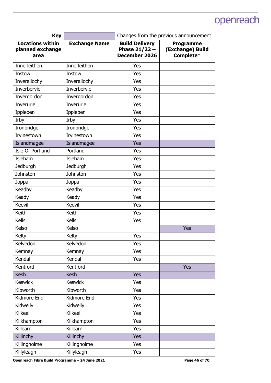| <b>Key</b>                                          |                      | Changes from the previous announcement                    |                                                   |
|-----------------------------------------------------|----------------------|-----------------------------------------------------------|---------------------------------------------------|
| <b>Locations within</b><br>planned exchange<br>area | <b>Exchange Name</b> | <b>Build Delivery</b><br>Phase $21/22 -$<br>December 2026 | <b>Programme</b><br>(Exchange) Build<br>Complete* |
| Innerleithen                                        | Innerleithen         | Yes                                                       |                                                   |
| Instow                                              | Instow               | Yes                                                       |                                                   |
| Inverallochy                                        | Inverallochy         | Yes                                                       |                                                   |
| Inverbervie                                         | Inverbervie          | Yes                                                       |                                                   |
| Invergordon                                         | Invergordon          | Yes                                                       |                                                   |
| Inverurie                                           | Inverurie            | Yes                                                       |                                                   |
| Ipplepen                                            | Ipplepen             | Yes                                                       |                                                   |
| Irby                                                | Irby                 | Yes                                                       |                                                   |
| Ironbridge                                          | Ironbridge           | Yes                                                       |                                                   |
| Irvinestown                                         | Irvinestown          | Yes                                                       |                                                   |
| Islandmagee                                         | Islandmagee          | Yes                                                       |                                                   |
| Isle Of Portland                                    | Portland             | Yes                                                       |                                                   |
| Isleham                                             | Isleham              | Yes                                                       |                                                   |
| <b>Jedburgh</b>                                     | Jedburgh             | Yes                                                       |                                                   |
| Johnston                                            | Johnston             | Yes                                                       |                                                   |
| Joppa                                               | Joppa                | Yes                                                       |                                                   |
| Keadby                                              | Keadby               | Yes                                                       |                                                   |
| Keady                                               | Keady                | Yes                                                       |                                                   |
| <b>Keevil</b>                                       | Keevil               | Yes                                                       |                                                   |
| Keith                                               | Keith                | Yes                                                       |                                                   |
| <b>Kells</b>                                        | Kells                | Yes                                                       |                                                   |
| Kelso                                               | Kelso                |                                                           | Yes                                               |
| Kelty                                               | Kelty                | Yes                                                       |                                                   |
| Kelvedon                                            | Kelvedon             | Yes                                                       |                                                   |
| Kemnay                                              | Kemnay               | Yes                                                       |                                                   |
| Kendal                                              | Kendal               | Yes                                                       |                                                   |
| Kentford                                            | Kentford             |                                                           | <b>Yes</b>                                        |
| <b>Kesh</b>                                         | <b>Kesh</b>          | <b>Yes</b>                                                |                                                   |
| <b>Keswick</b>                                      | <b>Keswick</b>       | Yes                                                       |                                                   |
| Kibworth                                            | Kibworth             | Yes                                                       |                                                   |
| Kidmore End                                         | Kidmore End          | Yes                                                       |                                                   |
| Kidwelly                                            | Kidwelly             | Yes                                                       |                                                   |
| Kilkeel                                             | Kilkeel              | Yes                                                       |                                                   |
| Kilkhampton                                         | Kilkhampton          | Yes                                                       |                                                   |
| Killearn                                            | Killearn             | Yes                                                       |                                                   |
| Killinchy                                           | Killinchy            | <b>Yes</b>                                                |                                                   |
| Killingholme                                        | Killingholme         | Yes                                                       |                                                   |
| Killyleagh                                          | Killyleagh           | Yes                                                       |                                                   |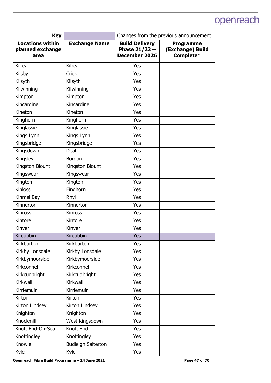| <b>Key</b>                                          |                           | Changes from the previous announcement                           |                                                   |
|-----------------------------------------------------|---------------------------|------------------------------------------------------------------|---------------------------------------------------|
| <b>Locations within</b><br>planned exchange<br>area | <b>Exchange Name</b>      | <b>Build Delivery</b><br>Phase $21/22 -$<br><b>December 2026</b> | <b>Programme</b><br>(Exchange) Build<br>Complete* |
| Kilrea                                              | Kilrea                    | Yes                                                              |                                                   |
| Kilsby                                              | Crick                     | Yes                                                              |                                                   |
| Kilsyth                                             | Kilsyth                   | Yes                                                              |                                                   |
| Kilwinning                                          | Kilwinning                | Yes                                                              |                                                   |
| Kimpton                                             | Kimpton                   | Yes                                                              |                                                   |
| Kincardine                                          | Kincardine                | Yes                                                              |                                                   |
| Kineton                                             | Kineton                   | Yes                                                              |                                                   |
| Kinghorn                                            | Kinghorn                  | Yes                                                              |                                                   |
| Kinglassie                                          | Kinglassie                | Yes                                                              |                                                   |
| Kings Lynn                                          | Kings Lynn                | Yes                                                              |                                                   |
| Kingsbridge                                         | Kingsbridge               | Yes                                                              |                                                   |
| Kingsdown                                           | Deal                      | Yes                                                              |                                                   |
| Kingsley                                            | Bordon                    | Yes                                                              |                                                   |
| Kingston Blount                                     | Kingston Blount           | Yes                                                              |                                                   |
| Kingswear                                           | Kingswear                 | Yes                                                              |                                                   |
| Kington                                             | Kington                   | Yes                                                              |                                                   |
| <b>Kinloss</b>                                      | Findhorn                  | Yes                                                              |                                                   |
| Kinmel Bay                                          | Rhyl                      | Yes                                                              |                                                   |
| Kinnerton                                           | Kinnerton                 | Yes                                                              |                                                   |
| <b>Kinross</b>                                      | <b>Kinross</b>            | Yes                                                              |                                                   |
| Kintore                                             | Kintore                   | Yes                                                              |                                                   |
| Kinver                                              | Kinver                    | Yes                                                              |                                                   |
| Kircubbin                                           | Kircubbin                 | Yes                                                              |                                                   |
| Kirkburton                                          | Kirkburton                | Yes                                                              |                                                   |
| Kirkby Lonsdale                                     | Kirkby Lonsdale           | Yes                                                              |                                                   |
| Kirkbymoorside                                      | Kirkbymoorside            | Yes                                                              |                                                   |
| Kirkconnel                                          | Kirkconnel                | Yes                                                              |                                                   |
| Kirkcudbright                                       | Kirkcudbright             | Yes                                                              |                                                   |
| Kirkwall                                            | Kirkwall                  | Yes                                                              |                                                   |
| Kirriemuir                                          | Kirriemuir                | Yes                                                              |                                                   |
| Kirton                                              | Kirton                    | Yes                                                              |                                                   |
| Kirton Lindsey                                      | Kirton Lindsey            | Yes                                                              |                                                   |
| Knighton                                            | Knighton                  | Yes                                                              |                                                   |
| Knockmill                                           | West Kingsdown            | Yes                                                              |                                                   |
| Knott End-On-Sea                                    | Knott End                 | Yes                                                              |                                                   |
| Knottingley                                         | Knottingley               | Yes                                                              |                                                   |
| Knowle                                              | <b>Budleigh Salterton</b> | Yes                                                              |                                                   |
| Kyle                                                | Kyle                      | Yes                                                              |                                                   |

Openreach Fibre Build Programme - 24 June 2021 **Page 47 of 70 Page 47 of 70**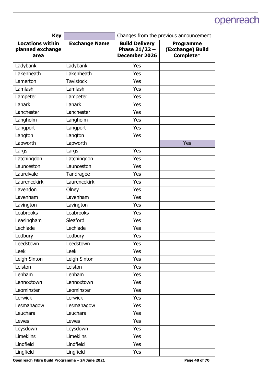| <b>Key</b>                                          |                      | Changes from the previous announcement                    |                                                   |
|-----------------------------------------------------|----------------------|-----------------------------------------------------------|---------------------------------------------------|
| <b>Locations within</b><br>planned exchange<br>area | <b>Exchange Name</b> | <b>Build Delivery</b><br>Phase $21/22 -$<br>December 2026 | <b>Programme</b><br>(Exchange) Build<br>Complete* |
| Ladybank                                            | Ladybank             | Yes                                                       |                                                   |
| Lakenheath                                          | Lakenheath           | Yes                                                       |                                                   |
| Lamerton                                            | <b>Tavistock</b>     | Yes                                                       |                                                   |
| Lamlash                                             | Lamlash              | Yes                                                       |                                                   |
| Lampeter                                            | Lampeter             | Yes                                                       |                                                   |
| Lanark                                              | Lanark               | Yes                                                       |                                                   |
| Lanchester                                          | Lanchester           | Yes                                                       |                                                   |
| Langholm                                            | Langholm             | Yes                                                       |                                                   |
| Langport                                            | Langport             | Yes                                                       |                                                   |
| Langton                                             | Langton              | Yes                                                       |                                                   |
| Lapworth                                            | Lapworth             |                                                           | Yes                                               |
| Largs                                               | Largs                | Yes                                                       |                                                   |
| Latchingdon                                         | Latchingdon          | Yes                                                       |                                                   |
| Launceston                                          | Launceston           | Yes                                                       |                                                   |
| Laurelvale                                          | Tandragee            | Yes                                                       |                                                   |
| Laurencekirk                                        | Laurencekirk         | Yes                                                       |                                                   |
| Lavendon                                            | Olney                | Yes                                                       |                                                   |
| Lavenham                                            | Lavenham             | Yes                                                       |                                                   |
| Lavington                                           | Lavington            | Yes                                                       |                                                   |
| Leabrooks                                           | Leabrooks            | Yes                                                       |                                                   |
| Leasingham                                          | Sleaford             | Yes                                                       |                                                   |
| Lechlade                                            | Lechlade             | Yes                                                       |                                                   |
| Ledbury                                             | Ledbury              | Yes                                                       |                                                   |
| Leedstown                                           | Leedstown            | Yes                                                       |                                                   |
| Leek                                                | Leek                 | Yes                                                       |                                                   |
| Leigh Sinton                                        | Leigh Sinton         | Yes                                                       |                                                   |
| Leiston                                             | Leiston              | Yes                                                       |                                                   |
| Lenham                                              | Lenham               | Yes                                                       |                                                   |
| Lennoxtown                                          | Lennoxtown           | Yes                                                       |                                                   |
| Leominster                                          | Leominster           | Yes                                                       |                                                   |
| Lerwick                                             | Lerwick              | Yes                                                       |                                                   |
| Lesmahagow                                          | Lesmahagow           | Yes                                                       |                                                   |
| Leuchars                                            | Leuchars             | Yes                                                       |                                                   |
| Lewes                                               | Lewes                | Yes                                                       |                                                   |
| Leysdown                                            | Leysdown             | Yes                                                       |                                                   |
| <b>Limekilns</b>                                    | <b>Limekilns</b>     | Yes                                                       |                                                   |
| Lindfield                                           | Lindfield            | Yes                                                       |                                                   |
| Lingfield                                           | Lingfield            | Yes                                                       |                                                   |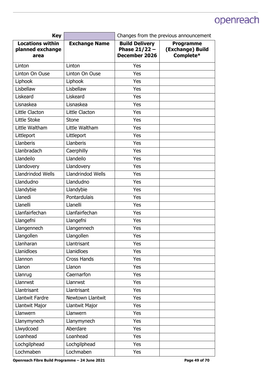| <b>Key</b>                                          |                      | Changes from the previous announcement                    |                                                   |
|-----------------------------------------------------|----------------------|-----------------------------------------------------------|---------------------------------------------------|
| <b>Locations within</b><br>planned exchange<br>area | <b>Exchange Name</b> | <b>Build Delivery</b><br>Phase $21/22 -$<br>December 2026 | <b>Programme</b><br>(Exchange) Build<br>Complete* |
| Linton                                              | Linton               | Yes                                                       |                                                   |
| Linton On Ouse                                      | Linton On Ouse       | Yes                                                       |                                                   |
| Liphook                                             | Liphook              | Yes                                                       |                                                   |
| Lisbellaw                                           | Lisbellaw            | Yes                                                       |                                                   |
| Liskeard                                            | Liskeard             | Yes                                                       |                                                   |
| Lisnaskea                                           | Lisnaskea            | Yes                                                       |                                                   |
| Little Clacton                                      | Little Clacton       | Yes                                                       |                                                   |
| Little Stoke                                        | <b>Stone</b>         | Yes                                                       |                                                   |
| Little Waltham                                      | Little Waltham       | Yes                                                       |                                                   |
| Littleport                                          | Littleport           | Yes                                                       |                                                   |
| Llanberis                                           | Llanberis            | Yes                                                       |                                                   |
| Llanbradach                                         | Caerphilly           | Yes                                                       |                                                   |
| Llandeilo                                           | Llandeilo            | Yes                                                       |                                                   |
| Llandovery                                          | Llandovery           | Yes                                                       |                                                   |
| Llandrindod Wells                                   | Llandrindod Wells    | Yes                                                       |                                                   |
| Llandudno                                           | Llandudno            | Yes                                                       |                                                   |
| Llandybie                                           | Llandybie            | Yes                                                       |                                                   |
| Llanedi                                             | Pontardulais         | Yes                                                       |                                                   |
| Llanelli                                            | Llanelli             | Yes                                                       |                                                   |
| Llanfairfechan                                      | Llanfairfechan       | Yes                                                       |                                                   |
| Llangefni                                           | Llangefni            | Yes                                                       |                                                   |
| Llangennech                                         | Llangennech          | Yes                                                       |                                                   |
| Llangollen                                          | Llangollen           | Yes                                                       |                                                   |
| Llanharan                                           | Llantrisant          | Yes                                                       |                                                   |
| Llanidloes                                          | Llanidloes           | Yes                                                       |                                                   |
| Llannon                                             | <b>Cross Hands</b>   | Yes                                                       |                                                   |
| Llanon                                              | Llanon               | Yes                                                       |                                                   |
| Llanrug                                             | Caernarfon           | Yes                                                       |                                                   |
| Llanrwst                                            | Llanrwst             | Yes                                                       |                                                   |
| Llantrisant                                         | Llantrisant          | Yes                                                       |                                                   |
| <b>Llantwit Fardre</b>                              | Newtown Llantwit     | Yes                                                       |                                                   |
| Llantwit Major                                      | Llantwit Major       | Yes                                                       |                                                   |
| Llanwern                                            | Llanwern             | Yes                                                       |                                                   |
| Llanymynech                                         | Llanymynech          | Yes                                                       |                                                   |
| Llwydcoed                                           | Aberdare             | Yes                                                       |                                                   |
| Loanhead                                            | Loanhead             | Yes                                                       |                                                   |
| Lochgilphead                                        | Lochgilphead         | Yes                                                       |                                                   |
| Lochmaben                                           | Lochmaben            | Yes                                                       |                                                   |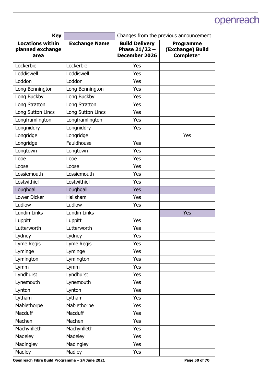| <b>Key</b>                                          |                      | Changes from the previous announcement                           |                                                   |
|-----------------------------------------------------|----------------------|------------------------------------------------------------------|---------------------------------------------------|
| <b>Locations within</b><br>planned exchange<br>area | <b>Exchange Name</b> | <b>Build Delivery</b><br>Phase $21/22 -$<br><b>December 2026</b> | <b>Programme</b><br>(Exchange) Build<br>Complete* |
| Lockerbie                                           | Lockerbie            | Yes                                                              |                                                   |
| Loddiswell                                          | Loddiswell           | Yes                                                              |                                                   |
| Loddon                                              | Loddon               | Yes                                                              |                                                   |
| Long Bennington                                     | Long Bennington      | Yes                                                              |                                                   |
| Long Buckby                                         | Long Buckby          | Yes                                                              |                                                   |
| Long Stratton                                       | Long Stratton        | Yes                                                              |                                                   |
| Long Sutton Lincs                                   | Long Sutton Lincs    | Yes                                                              |                                                   |
| Longframlington                                     | Longframlington      | Yes                                                              |                                                   |
| Longniddry                                          | Longniddry           | Yes                                                              |                                                   |
| Longridge                                           | Longridge            |                                                                  | Yes                                               |
| Longridge                                           | Fauldhouse           | Yes                                                              |                                                   |
| Longtown                                            | Longtown             | Yes                                                              |                                                   |
| Looe                                                | Looe                 | Yes                                                              |                                                   |
| Loose                                               | Loose                | Yes                                                              |                                                   |
| Lossiemouth                                         | Lossiemouth          | Yes                                                              |                                                   |
| Lostwithiel                                         | Lostwithiel          | Yes                                                              |                                                   |
| Loughgall                                           | Loughgall            | Yes                                                              |                                                   |
| <b>Lower Dicker</b>                                 | Hailsham             | Yes                                                              |                                                   |
| Ludlow                                              | Ludlow               | Yes                                                              |                                                   |
| Lundin Links                                        | Lundin Links         |                                                                  | Yes                                               |
| Luppitt                                             | Luppitt              | Yes                                                              |                                                   |
| Lutterworth                                         | Lutterworth          | Yes                                                              |                                                   |
| Lydney                                              | Lydney               | Yes                                                              |                                                   |
| Lyme Regis                                          | Lyme Regis           | Yes                                                              |                                                   |
| Lyminge                                             | Lyminge              | Yes                                                              |                                                   |
| Lymington                                           | Lymington            | Yes                                                              |                                                   |
| Lymm                                                | Lymm                 | Yes                                                              |                                                   |
| Lyndhurst                                           | Lyndhurst            | Yes                                                              |                                                   |
| Lynemouth                                           | Lynemouth            | Yes                                                              |                                                   |
| Lynton                                              | Lynton               | Yes                                                              |                                                   |
| Lytham                                              | Lytham               | Yes                                                              |                                                   |
| Mablethorpe                                         | Mablethorpe          | Yes                                                              |                                                   |
| Macduff                                             | Macduff              | Yes                                                              |                                                   |
| Machen                                              | Machen               | Yes                                                              |                                                   |
| Machynlleth                                         | Machynlleth          | Yes                                                              |                                                   |
| Madeley                                             | Madeley              | Yes                                                              |                                                   |
| Madingley                                           | Madingley            | Yes                                                              |                                                   |
| Madley                                              | Madley               | Yes                                                              |                                                   |

Openreach Fibre Build Programme – 24 June 2021 **Page 50 of 70 Page 50 of 70**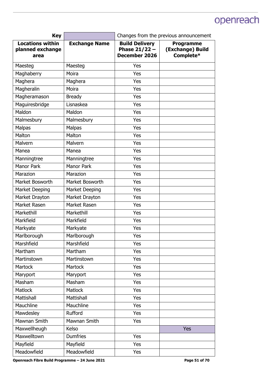| <b>Key</b>                                          |                      | Changes from the previous announcement                    |                                                   |
|-----------------------------------------------------|----------------------|-----------------------------------------------------------|---------------------------------------------------|
| <b>Locations within</b><br>planned exchange<br>area | <b>Exchange Name</b> | <b>Build Delivery</b><br>Phase $21/22 -$<br>December 2026 | <b>Programme</b><br>(Exchange) Build<br>Complete* |
| Maesteg                                             | Maesteg              | Yes                                                       |                                                   |
| Maghaberry                                          | Moira                | Yes                                                       |                                                   |
| Maghera                                             | Maghera              | Yes                                                       |                                                   |
| Magheralin                                          | Moira                | Yes                                                       |                                                   |
| Magheramason                                        | <b>Bready</b>        | Yes                                                       |                                                   |
| Maguiresbridge                                      | Lisnaskea            | Yes                                                       |                                                   |
| Maldon                                              | Maldon               | Yes                                                       |                                                   |
| Malmesbury                                          | Malmesbury           | Yes                                                       |                                                   |
| <b>Malpas</b>                                       | Malpas               | Yes                                                       |                                                   |
| Malton                                              | Malton               | Yes                                                       |                                                   |
| Malvern                                             | Malvern              | Yes                                                       |                                                   |
| Manea                                               | Manea                | Yes                                                       |                                                   |
| Manningtree                                         | Manningtree          | Yes                                                       |                                                   |
| <b>Manor Park</b>                                   | <b>Manor Park</b>    | Yes                                                       |                                                   |
| Marazion                                            | Marazion             | Yes                                                       |                                                   |
| Market Bosworth                                     | Market Bosworth      | Yes                                                       |                                                   |
| <b>Market Deeping</b>                               | Market Deeping       | Yes                                                       |                                                   |
| Market Drayton                                      | Market Drayton       | Yes                                                       |                                                   |
| Market Rasen                                        | Market Rasen         | Yes                                                       |                                                   |
| Markethill                                          | Markethill           | Yes                                                       |                                                   |
| Markfield                                           | Markfield            | Yes                                                       |                                                   |
| Markyate                                            | Markyate             | Yes                                                       |                                                   |
| Marlborough                                         | Marlborough          | Yes                                                       |                                                   |
| Marshfield                                          | Marshfield           | Yes                                                       |                                                   |
| Martham                                             | Martham              | Yes                                                       |                                                   |
| Martinstown                                         | Martinstown          | Yes                                                       |                                                   |
| Martock                                             | <b>Martock</b>       | Yes                                                       |                                                   |
| Maryport                                            | Maryport             | Yes                                                       |                                                   |
| Masham                                              | Masham               | Yes                                                       |                                                   |
| Matlock                                             | <b>Matlock</b>       | Yes                                                       |                                                   |
| Mattishall                                          | Mattishall           | Yes                                                       |                                                   |
| Mauchline                                           | Mauchline            | Yes                                                       |                                                   |
| Mawdesley                                           | Rufford              | Yes                                                       |                                                   |
| Mawnan Smith                                        | Mawnan Smith         | Yes                                                       |                                                   |
| Maxwellheugh                                        | Kelso                |                                                           | <b>Yes</b>                                        |
| Maxwelltown                                         | <b>Dumfries</b>      | Yes                                                       |                                                   |
| Mayfield                                            | Mayfield             | Yes                                                       |                                                   |
| Meadowfield                                         | Meadowfield          | Yes                                                       |                                                   |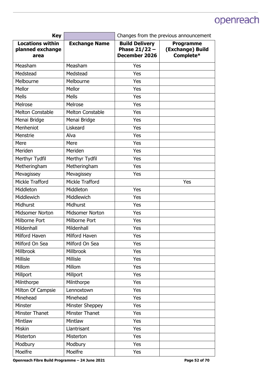| <b>Key</b>                                          |                         | Changes from the previous announcement                    |                                                   |
|-----------------------------------------------------|-------------------------|-----------------------------------------------------------|---------------------------------------------------|
| <b>Locations within</b><br>planned exchange<br>area | <b>Exchange Name</b>    | <b>Build Delivery</b><br>Phase $21/22 -$<br>December 2026 | <b>Programme</b><br>(Exchange) Build<br>Complete* |
| Measham                                             | Measham                 | Yes                                                       |                                                   |
| Medstead                                            | Medstead                | Yes                                                       |                                                   |
| Melbourne                                           | Melbourne               | Yes                                                       |                                                   |
| Mellor                                              | Mellor                  | Yes                                                       |                                                   |
| <b>Mells</b>                                        | <b>Mells</b>            | Yes                                                       |                                                   |
| Melrose                                             | Melrose                 | Yes                                                       |                                                   |
| <b>Melton Constable</b>                             | <b>Melton Constable</b> | Yes                                                       |                                                   |
| Menai Bridge                                        | Menai Bridge            | Yes                                                       |                                                   |
| Menheniot                                           | Liskeard                | Yes                                                       |                                                   |
| Menstrie                                            | Alva                    | Yes                                                       |                                                   |
| Mere                                                | Mere                    | Yes                                                       |                                                   |
| Meriden                                             | Meriden                 | Yes                                                       |                                                   |
| Merthyr Tydfil                                      | Merthyr Tydfil          | Yes                                                       |                                                   |
| Metheringham                                        | Metheringham            | Yes                                                       |                                                   |
| Mevagissey                                          | Mevagissey              | Yes                                                       |                                                   |
| Mickle Trafford                                     | Mickle Trafford         |                                                           | Yes                                               |
| Middleton                                           | Middleton               | Yes                                                       |                                                   |
| <b>Middlewich</b>                                   | <b>Middlewich</b>       | Yes                                                       |                                                   |
| Midhurst                                            | Midhurst                | Yes                                                       |                                                   |
| Midsomer Norton                                     | <b>Midsomer Norton</b>  | Yes                                                       |                                                   |
| Milborne Port                                       | Milborne Port           | Yes                                                       |                                                   |
| Mildenhall                                          | Mildenhall              | Yes                                                       |                                                   |
| Milford Haven                                       | Milford Haven           | Yes                                                       |                                                   |
| Milford On Sea                                      | Milford On Sea          | Yes                                                       |                                                   |
| <b>Millbrook</b>                                    | Millbrook               | Yes                                                       |                                                   |
| Millisle                                            | Millisle                | Yes                                                       |                                                   |
| Millom                                              | Millom                  | Yes                                                       |                                                   |
| Millport                                            | Millport                | Yes                                                       |                                                   |
| Milnthorpe                                          | Milnthorpe              | Yes                                                       |                                                   |
| Milton Of Campsie                                   | Lennoxtown              | Yes                                                       |                                                   |
| Minehead                                            | Minehead                | Yes                                                       |                                                   |
| Minster                                             | Minster Sheppey         | Yes                                                       |                                                   |
| Minster Thanet                                      | Minster Thanet          | Yes                                                       |                                                   |
| Mintlaw                                             | Mintlaw                 | Yes                                                       |                                                   |
| Miskin                                              | Llantrisant             | Yes                                                       |                                                   |
| Misterton                                           | Misterton               | Yes                                                       |                                                   |
| Modbury                                             | Modbury                 | Yes                                                       |                                                   |
| Moelfre                                             | Moelfre                 | Yes                                                       |                                                   |

Openreach Fibre Build Programme - 24 June 2021 **Page 52 of 70 Page 52 of 70**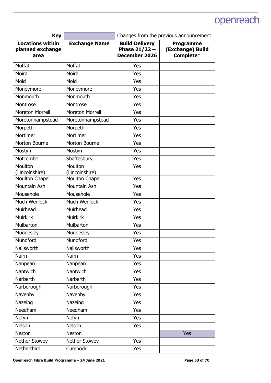| <b>Key</b>                                          |                           | Changes from the previous announcement                           |                                                   |
|-----------------------------------------------------|---------------------------|------------------------------------------------------------------|---------------------------------------------------|
| <b>Locations within</b><br>planned exchange<br>area | <b>Exchange Name</b>      | <b>Build Delivery</b><br>Phase $21/22 -$<br><b>December 2026</b> | <b>Programme</b><br>(Exchange) Build<br>Complete* |
| Moffat                                              | Moffat                    | Yes                                                              |                                                   |
| Moira                                               | Moira                     | Yes                                                              |                                                   |
| Mold                                                | Mold                      | Yes                                                              |                                                   |
| Moneymore                                           | Moneymore                 | Yes                                                              |                                                   |
| Monmouth                                            | Monmouth                  | Yes                                                              |                                                   |
| Montrose                                            | Montrose                  | Yes                                                              |                                                   |
| <b>Moreton Morrell</b>                              | <b>Moreton Morrell</b>    | Yes                                                              |                                                   |
| Moretonhampstead                                    | Moretonhampstead          | Yes                                                              |                                                   |
| Morpeth                                             | Morpeth                   | Yes                                                              |                                                   |
| Mortimer                                            | Mortimer                  | Yes                                                              |                                                   |
| Morton Bourne                                       | Morton Bourne             | Yes                                                              |                                                   |
| Mostyn                                              | Mostyn                    | Yes                                                              |                                                   |
| Motcombe                                            | Shaftesbury               | Yes                                                              |                                                   |
| Moulton<br>(Lincolnshire)                           | Moulton<br>(Lincolnshire) | Yes                                                              |                                                   |
| Moulton Chapel                                      | Moulton Chapel            | Yes                                                              |                                                   |
| Mountain Ash                                        | Mountain Ash              | Yes                                                              |                                                   |
| Mousehole                                           | Mousehole                 | Yes                                                              |                                                   |
| Much Wenlock                                        | Much Wenlock              | Yes                                                              |                                                   |
| Muirhead                                            | Muirhead                  | Yes                                                              |                                                   |
| <b>Muirkirk</b>                                     | <b>Muirkirk</b>           | Yes                                                              |                                                   |
| Mulbarton                                           | Mulbarton                 | Yes                                                              |                                                   |
| Mundesley                                           | Mundesley                 | Yes                                                              |                                                   |
| Mundford                                            | Mundford                  | Yes                                                              |                                                   |
| Nailsworth                                          | Nailsworth                | Yes                                                              |                                                   |
| Nairn                                               | Nairn                     | Yes                                                              |                                                   |
| Nanpean                                             | Nanpean                   | Yes                                                              |                                                   |
| Nantwich                                            | Nantwich                  | Yes                                                              |                                                   |
| Narberth                                            | Narberth                  | Yes                                                              |                                                   |
| Narborough                                          | Narborough                | Yes                                                              |                                                   |
| Navenby                                             | Navenby                   | Yes                                                              |                                                   |
| Nazeing                                             | Nazeing                   | Yes                                                              |                                                   |
| Needham                                             | Needham                   | Yes                                                              |                                                   |
| <b>Nefyn</b>                                        | <b>Nefyn</b>              | Yes                                                              |                                                   |
| Nelson                                              | Nelson                    | Yes                                                              |                                                   |
| <b>Neston</b>                                       | Neston                    |                                                                  | <b>Yes</b>                                        |
| Nether Stowey                                       | Nether Stowey             | Yes                                                              |                                                   |
| Netherthird                                         | Cumnock                   | Yes                                                              |                                                   |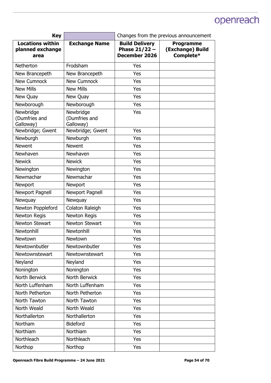| <b>Key</b>                                          |                                         | Changes from the previous announcement                           |                                                   |
|-----------------------------------------------------|-----------------------------------------|------------------------------------------------------------------|---------------------------------------------------|
| <b>Locations within</b><br>planned exchange<br>area | <b>Exchange Name</b>                    | <b>Build Delivery</b><br>Phase $21/22 -$<br><b>December 2026</b> | <b>Programme</b><br>(Exchange) Build<br>Complete* |
| Netherton                                           | Frodsham                                | Yes                                                              |                                                   |
| New Brancepeth                                      | New Brancepeth                          | Yes                                                              |                                                   |
| <b>New Cumnock</b>                                  | <b>New Cumnock</b>                      | Yes                                                              |                                                   |
| <b>New Mills</b>                                    | <b>New Mills</b>                        | Yes                                                              |                                                   |
| New Quay                                            | New Quay                                | Yes                                                              |                                                   |
| Newborough                                          | Newborough                              | Yes                                                              |                                                   |
| Newbridge<br>(Dumfries and<br>Galloway)             | Newbridge<br>(Dumfries and<br>Galloway) | Yes                                                              |                                                   |
| Newbridge; Gwent                                    | Newbridge; Gwent                        | Yes                                                              |                                                   |
| Newburgh                                            | Newburgh                                | Yes                                                              |                                                   |
| <b>Newent</b>                                       | <b>Newent</b>                           | Yes                                                              |                                                   |
| Newhaven                                            | Newhaven                                | Yes                                                              |                                                   |
| <b>Newick</b>                                       | <b>Newick</b>                           | Yes                                                              |                                                   |
| Newington                                           | Newington                               | Yes                                                              |                                                   |
| Newmachar                                           | Newmachar                               | Yes                                                              |                                                   |
| Newport                                             | Newport                                 | Yes                                                              |                                                   |
| Newport Pagnell                                     | Newport Pagnell                         | Yes                                                              |                                                   |
| Newquay                                             | Newquay                                 | Yes                                                              |                                                   |
| Newton Poppleford                                   | Colaton Raleigh                         | Yes                                                              |                                                   |
| <b>Newton Regis</b>                                 | Newton Regis                            | Yes                                                              |                                                   |
| Newton Stewart                                      | Newton Stewart                          | Yes                                                              |                                                   |
| Newtonhill                                          | Newtonhill                              | Yes                                                              |                                                   |
| Newtown                                             | Newtown                                 | Yes                                                              |                                                   |
| Newtownbutler                                       | Newtownbutler                           | Yes                                                              |                                                   |
| Newtownstewart                                      | Newtownstewart                          | Yes                                                              |                                                   |
| Neyland                                             | Neyland                                 | Yes                                                              |                                                   |
| Nonington                                           | Nonington                               | Yes                                                              |                                                   |
| North Berwick                                       | North Berwick                           | Yes                                                              |                                                   |
| North Luffenham                                     | North Luffenham                         | Yes                                                              |                                                   |
| North Petherton                                     | North Petherton                         | Yes                                                              |                                                   |
| North Tawton                                        | North Tawton                            | Yes                                                              |                                                   |
| North Weald                                         | North Weald                             | Yes                                                              |                                                   |
| Northallerton                                       | Northallerton                           | Yes                                                              |                                                   |
| Northam                                             | <b>Bideford</b>                         | Yes                                                              |                                                   |
| Northiam                                            | Northiam                                | Yes                                                              |                                                   |
| Northleach                                          | Northleach                              | Yes                                                              |                                                   |
| Northop                                             | Northop                                 | Yes                                                              |                                                   |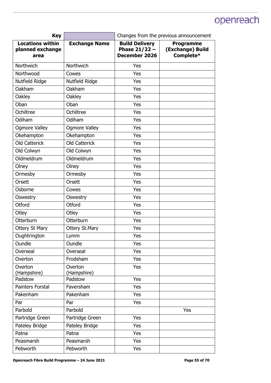| <b>Key</b>                                          |                        | Changes from the previous announcement                           |                                                   |
|-----------------------------------------------------|------------------------|------------------------------------------------------------------|---------------------------------------------------|
| <b>Locations within</b><br>planned exchange<br>area | <b>Exchange Name</b>   | <b>Build Delivery</b><br>Phase $21/22 -$<br><b>December 2026</b> | <b>Programme</b><br>(Exchange) Build<br>Complete* |
| Northwich                                           | Northwich              | Yes                                                              |                                                   |
| Northwood                                           | Cowes                  | Yes                                                              |                                                   |
| Nutfield Ridge                                      | Nutfield Ridge         | Yes                                                              |                                                   |
| Oakham                                              | Oakham                 | Yes                                                              |                                                   |
| Oakley                                              | Oakley                 | Yes                                                              |                                                   |
| Oban                                                | Oban                   | Yes                                                              |                                                   |
| Ochiltree                                           | Ochiltree              | Yes                                                              |                                                   |
| Odiham                                              | Odiham                 | Yes                                                              |                                                   |
| <b>Ogmore Valley</b>                                | <b>Ogmore Valley</b>   | Yes                                                              |                                                   |
| Okehampton                                          | Okehampton             | Yes                                                              |                                                   |
| <b>Old Catterick</b>                                | <b>Old Catterick</b>   | Yes                                                              |                                                   |
| Old Colwyn                                          | Old Colwyn             | Yes                                                              |                                                   |
| Oldmeldrum                                          | Oldmeldrum             | Yes                                                              |                                                   |
| Olney                                               | Olney                  | Yes                                                              |                                                   |
| Ormesby                                             | Ormesby                | Yes                                                              |                                                   |
| Orsett                                              | Orsett                 | Yes                                                              |                                                   |
| Osborne                                             | Cowes                  | Yes                                                              |                                                   |
| Oswestry                                            | Oswestry               | Yes                                                              |                                                   |
| Otford                                              | Otford                 | Yes                                                              |                                                   |
| Otley                                               | Otley                  | Yes                                                              |                                                   |
| Otterburn                                           | Otterburn              | Yes                                                              |                                                   |
| Ottery St Mary                                      | <b>Ottery St.Mary</b>  | Yes                                                              |                                                   |
| Oughtrington                                        | Lymm                   | Yes                                                              |                                                   |
| Oundle                                              | Oundle                 | Yes                                                              |                                                   |
| Overseal                                            | Overseal               | Yes                                                              |                                                   |
| Overton                                             | Frodsham               | Yes                                                              |                                                   |
| Overton<br>(Hampshire)                              | Overton<br>(Hampshire) | Yes                                                              |                                                   |
| Padstow                                             | Padstow                | Yes                                                              |                                                   |
| Painters Forstal                                    | Faversham              | Yes                                                              |                                                   |
| Pakenham                                            | Pakenham               | Yes                                                              |                                                   |
| Par                                                 | Par                    | Yes                                                              |                                                   |
| Parbold                                             | Parbold                |                                                                  | Yes                                               |
| Partridge Green                                     | Partridge Green        | Yes                                                              |                                                   |
| Pateley Bridge                                      | Pateley Bridge         | Yes                                                              |                                                   |
| Patna                                               | Patna                  | Yes                                                              |                                                   |
| Peasmarsh                                           | Peasmarsh              | Yes                                                              |                                                   |
| Pebworth                                            | Pebworth               | Yes                                                              |                                                   |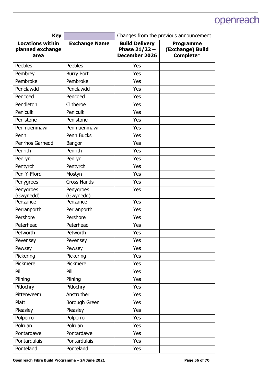| <b>Key</b>                                          |                        | Changes from the previous announcement                           |                                                   |
|-----------------------------------------------------|------------------------|------------------------------------------------------------------|---------------------------------------------------|
| <b>Locations within</b><br>planned exchange<br>area | <b>Exchange Name</b>   | <b>Build Delivery</b><br>Phase $21/22 -$<br><b>December 2026</b> | <b>Programme</b><br>(Exchange) Build<br>Complete* |
| Peebles                                             | <b>Peebles</b>         | Yes                                                              |                                                   |
| Pembrey                                             | <b>Burry Port</b>      | Yes                                                              |                                                   |
| Pembroke                                            | Pembroke               | Yes                                                              |                                                   |
| Penclawdd                                           | Penclawdd              | Yes                                                              |                                                   |
| Pencoed                                             | Pencoed                | Yes                                                              |                                                   |
| Pendleton                                           | Clitheroe              | Yes                                                              |                                                   |
| Penicuik                                            | <b>Penicuik</b>        | Yes                                                              |                                                   |
| Penistone                                           | Penistone              | Yes                                                              |                                                   |
| Penmaenmawr                                         | Penmaenmawr            | Yes                                                              |                                                   |
| Penn                                                | Penn Bucks             | Yes                                                              |                                                   |
| Penrhos Garnedd                                     | Bangor                 | Yes                                                              |                                                   |
| Penrith                                             | Penrith                | Yes                                                              |                                                   |
| Penryn                                              | Penryn                 | Yes                                                              |                                                   |
| Pentyrch                                            | Pentyrch               | Yes                                                              |                                                   |
| Pen-Y-Fford                                         | Mostyn                 | Yes                                                              |                                                   |
| Penygroes                                           | <b>Cross Hands</b>     | Yes                                                              |                                                   |
| Penygroes<br>(Gwynedd)                              | Penygroes<br>(Gwynedd) | Yes                                                              |                                                   |
| Penzance                                            | Penzance               | Yes                                                              |                                                   |
| Perranporth                                         | Perranporth            | Yes                                                              |                                                   |
| Pershore                                            | Pershore               | Yes                                                              |                                                   |
| Peterhead                                           | Peterhead              | Yes                                                              |                                                   |
| Petworth                                            | Petworth               | Yes                                                              |                                                   |
| Pevensey                                            | Pevensey               | Yes                                                              |                                                   |
| Pewsey                                              | Pewsey                 | Yes                                                              |                                                   |
| Pickering                                           | Pickering              | Yes                                                              |                                                   |
| Pickmere                                            | Pickmere               | Yes                                                              |                                                   |
| Pill                                                | Pill                   | Yes                                                              |                                                   |
| Pilning                                             | Pilning                | Yes                                                              |                                                   |
| Pitlochry                                           | Pitlochry              | Yes                                                              |                                                   |
| Pittenweem                                          | Anstruther             | Yes                                                              |                                                   |
| Platt                                               | Borough Green          | Yes                                                              |                                                   |
| Pleasley                                            | Pleasley               | Yes                                                              |                                                   |
| Polperro                                            | Polperro               | Yes                                                              |                                                   |
| Polruan                                             | Polruan                | Yes                                                              |                                                   |
| Pontardawe                                          | Pontardawe             | Yes                                                              |                                                   |
| Pontardulais                                        | Pontardulais           | Yes                                                              |                                                   |
| Ponteland                                           | Ponteland              | Yes                                                              |                                                   |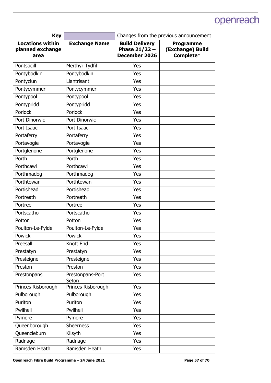| <b>Key</b>                                          |                           | Changes from the previous announcement                           |                                                   |
|-----------------------------------------------------|---------------------------|------------------------------------------------------------------|---------------------------------------------------|
| <b>Locations within</b><br>planned exchange<br>area | <b>Exchange Name</b>      | <b>Build Delivery</b><br>Phase $21/22 -$<br><b>December 2026</b> | <b>Programme</b><br>(Exchange) Build<br>Complete* |
| Pontsticill                                         | Merthyr Tydfil            | Yes                                                              |                                                   |
| Pontybodkin                                         | Pontybodkin               | Yes                                                              |                                                   |
| Pontyclun                                           | Llantrisant               | Yes                                                              |                                                   |
| Pontycymmer                                         | Pontycymmer               | Yes                                                              |                                                   |
| Pontypool                                           | Pontypool                 | Yes                                                              |                                                   |
| Pontypridd                                          | Pontypridd                | Yes                                                              |                                                   |
| Porlock                                             | Porlock                   | Yes                                                              |                                                   |
| Port Dinorwic                                       | Port Dinorwic             | Yes                                                              |                                                   |
| Port Isaac                                          | Port Isaac                | Yes                                                              |                                                   |
| Portaferry                                          | Portaferry                | Yes                                                              |                                                   |
| Portavogie                                          | Portavogie                | Yes                                                              |                                                   |
| Portglenone                                         | Portglenone               | Yes                                                              |                                                   |
| Porth                                               | Porth                     | Yes                                                              |                                                   |
| Porthcawl                                           | Porthcawl                 | Yes                                                              |                                                   |
| Porthmadog                                          | Porthmadog                | Yes                                                              |                                                   |
| Porthtowan                                          | Porthtowan                | Yes                                                              |                                                   |
| Portishead                                          | Portishead                | Yes                                                              |                                                   |
| Portreath                                           | Portreath                 | Yes                                                              |                                                   |
| Portree                                             | Portree                   | Yes                                                              |                                                   |
| Portscatho                                          | Portscatho                | Yes                                                              |                                                   |
| Potton                                              | Potton                    | Yes                                                              |                                                   |
| Poulton-Le-Fylde                                    | Poulton-Le-Fylde          | Yes                                                              |                                                   |
| Powick                                              | Powick                    | Yes                                                              |                                                   |
| Preesall                                            | Knott End                 | Yes                                                              |                                                   |
| Prestatyn                                           | Prestatyn                 | Yes                                                              |                                                   |
| Presteigne                                          | Presteigne                | Yes                                                              |                                                   |
| Preston                                             | Preston                   | Yes                                                              |                                                   |
| Prestonpans                                         | Prestonpans-Port<br>Seton | Yes                                                              |                                                   |
| Princes Risborough                                  | Princes Risborough        | Yes                                                              |                                                   |
| Pulborough                                          | Pulborough                | Yes                                                              |                                                   |
| Puriton                                             | Puriton                   | Yes                                                              |                                                   |
| Pwllheli                                            | Pwllheli                  | Yes                                                              |                                                   |
| Pymore                                              | Pymore                    | Yes                                                              |                                                   |
| Queenborough                                        | <b>Sheerness</b>          | Yes                                                              |                                                   |
| Queenzieburn                                        | Kilsyth                   | Yes                                                              |                                                   |
| Radnage                                             | Radnage                   | Yes                                                              |                                                   |
| Ramsden Heath                                       | Ramsden Heath             | Yes                                                              |                                                   |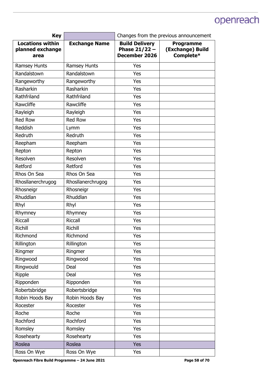| <b>Key</b>                                          |                      | Changes from the previous announcement                           |                                                   |
|-----------------------------------------------------|----------------------|------------------------------------------------------------------|---------------------------------------------------|
| <b>Locations within</b><br>planned exchange<br>area | <b>Exchange Name</b> | <b>Build Delivery</b><br>Phase $21/22 -$<br><b>December 2026</b> | <b>Programme</b><br>(Exchange) Build<br>Complete* |
| Ramsey Hunts                                        | Ramsey Hunts         | Yes                                                              |                                                   |
| Randalstown                                         | Randalstown          | Yes                                                              |                                                   |
| Rangeworthy                                         | Rangeworthy          | Yes                                                              |                                                   |
| Rasharkin                                           | Rasharkin            | Yes                                                              |                                                   |
| Rathfriland                                         | Rathfriland          | Yes                                                              |                                                   |
| Rawcliffe                                           | Rawcliffe            | Yes                                                              |                                                   |
| Rayleigh                                            | Rayleigh             | Yes                                                              |                                                   |
| <b>Red Row</b>                                      | <b>Red Row</b>       | Yes                                                              |                                                   |
| Reddish                                             | Lymm                 | Yes                                                              |                                                   |
| Redruth                                             | Redruth              | Yes                                                              |                                                   |
| Reepham                                             | Reepham              | Yes                                                              |                                                   |
| Repton                                              | Repton               | Yes                                                              |                                                   |
| Resolven                                            | Resolven             | Yes                                                              |                                                   |
| Retford                                             | Retford              | Yes                                                              |                                                   |
| Rhos On Sea                                         | Rhos On Sea          | Yes                                                              |                                                   |
| Rhosllanerchrugog                                   | Rhosllanerchrugog    | Yes                                                              |                                                   |
| Rhosneigr                                           | Rhosneigr            | Yes                                                              |                                                   |
| <b>Rhuddlan</b>                                     | <b>Rhuddlan</b>      | Yes                                                              |                                                   |
| Rhyl                                                | Rhyl                 | Yes                                                              |                                                   |
| Rhymney                                             | Rhymney              | Yes                                                              |                                                   |
| <b>Riccall</b>                                      | <b>Riccall</b>       | Yes                                                              |                                                   |
| <b>Richill</b>                                      | Richill              | Yes                                                              |                                                   |
| Richmond                                            | Richmond             | Yes                                                              |                                                   |
| Rillington                                          | Rillington           | Yes                                                              |                                                   |
| Ringmer                                             | Ringmer              | Yes                                                              |                                                   |
| Ringwood                                            | Ringwood             | Yes                                                              |                                                   |
| Ringwould                                           | Deal                 | Yes                                                              |                                                   |
| Ripple                                              | Deal                 | Yes                                                              |                                                   |
| Ripponden                                           | Ripponden            | Yes                                                              |                                                   |
| Robertsbridge                                       | Robertsbridge        | Yes                                                              |                                                   |
| Robin Hoods Bay                                     | Robin Hoods Bay      | Yes                                                              |                                                   |
| Rocester                                            | Rocester             | Yes                                                              |                                                   |
| Roche                                               | Roche                | Yes                                                              |                                                   |
| Rochford                                            | Rochford             | Yes                                                              |                                                   |
| Romsley                                             | Romsley              | Yes                                                              |                                                   |
| Rosehearty                                          | Rosehearty           | Yes                                                              |                                                   |
| Roslea                                              | Roslea               | <b>Yes</b>                                                       |                                                   |
| Ross On Wye                                         | Ross On Wye          | Yes                                                              |                                                   |

Openreach Fibre Build Programme - 24 June 2021 **Page 58 of 70 Page 58 of 70**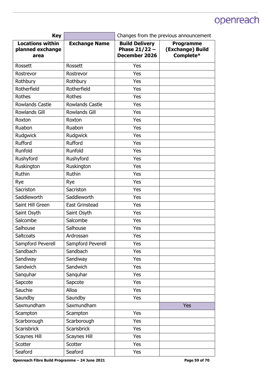| <b>Key</b>                                          |                        | Changes from the previous announcement                           |                                                   |
|-----------------------------------------------------|------------------------|------------------------------------------------------------------|---------------------------------------------------|
| <b>Locations within</b><br>planned exchange<br>area | <b>Exchange Name</b>   | <b>Build Delivery</b><br>Phase $21/22 -$<br><b>December 2026</b> | <b>Programme</b><br>(Exchange) Build<br>Complete* |
| <b>Rossett</b>                                      | Rossett                | Yes                                                              |                                                   |
| Rostrevor                                           | Rostrevor              | Yes                                                              |                                                   |
| Rothbury                                            | Rothbury               | Yes                                                              |                                                   |
| Rotherfield                                         | Rotherfield            | Yes                                                              |                                                   |
| Rothes                                              | Rothes                 | Yes                                                              |                                                   |
| <b>Rowlands Castle</b>                              | <b>Rowlands Castle</b> | Yes                                                              |                                                   |
| <b>Rowlands Gill</b>                                | <b>Rowlands Gill</b>   | Yes                                                              |                                                   |
| Roxton                                              | Roxton                 | Yes                                                              |                                                   |
| Ruabon                                              | Ruabon                 | Yes                                                              |                                                   |
| Rudgwick                                            | Rudgwick               | Yes                                                              |                                                   |
| Rufford                                             | Rufford                | Yes                                                              |                                                   |
| Runfold                                             | Runfold                | Yes                                                              |                                                   |
| Rushyford                                           | Rushyford              | Yes                                                              |                                                   |
| Ruskington                                          | Ruskington             | Yes                                                              |                                                   |
| Ruthin                                              | Ruthin                 | Yes                                                              |                                                   |
| Rye                                                 | Rye                    | Yes                                                              |                                                   |
| Sacriston                                           | Sacriston              | Yes                                                              |                                                   |
| Saddleworth                                         | Saddleworth            | Yes                                                              |                                                   |
| Saint Hill Green                                    | <b>East Grinstead</b>  | Yes                                                              |                                                   |
| Saint Osyth                                         | Saint Osyth            | Yes                                                              |                                                   |
| Salcombe                                            | Salcombe               | Yes                                                              |                                                   |
| Salhouse                                            | Salhouse               | Yes                                                              |                                                   |
| Saltcoats                                           | Ardrossan              | Yes                                                              |                                                   |
| Sampford Peverell                                   | Sampford Peverell      | Yes                                                              |                                                   |
| Sandbach                                            | Sandbach               | Yes                                                              |                                                   |
| Sandiway                                            | Sandiway               | Yes                                                              |                                                   |
| Sandwich                                            | Sandwich               | Yes                                                              |                                                   |
| Sanguhar                                            | Sanquhar               | Yes                                                              |                                                   |
| Sapcote                                             | Sapcote                | Yes                                                              |                                                   |
| Sauchie                                             | Alloa                  | Yes                                                              |                                                   |
| Saundby                                             | Saundby                | Yes                                                              |                                                   |
| Saxmundham                                          | Saxmundham             |                                                                  | <b>Yes</b>                                        |
| Scampton                                            | Scampton               | Yes                                                              |                                                   |
| Scarborough                                         | Scarborough            | Yes                                                              |                                                   |
| Scarisbrick                                         | Scarisbrick            | Yes                                                              |                                                   |
| <b>Scaynes Hill</b>                                 | <b>Scaynes Hill</b>    | Yes                                                              |                                                   |
| Scotter                                             | Scotter                | Yes                                                              |                                                   |
| Seaford                                             | Seaford                | Yes                                                              |                                                   |

Openreach Fibre Build Programme – 24 June 2021 **Page 59 of 70 Page 59 of 70**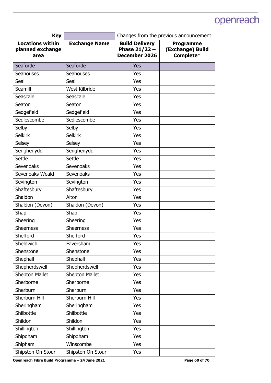| <b>Key</b>                                          |                      | Changes from the previous announcement                    |                                                   |
|-----------------------------------------------------|----------------------|-----------------------------------------------------------|---------------------------------------------------|
| <b>Locations within</b><br>planned exchange<br>area | <b>Exchange Name</b> | <b>Build Delivery</b><br>Phase $21/22 -$<br>December 2026 | <b>Programme</b><br>(Exchange) Build<br>Complete* |
| Seaforde                                            | Seaforde             | <b>Yes</b>                                                |                                                   |
| Seahouses                                           | <b>Seahouses</b>     | Yes                                                       |                                                   |
| Seal                                                | Seal                 | Yes                                                       |                                                   |
| Seamill                                             | West Kilbride        | Yes                                                       |                                                   |
| Seascale                                            | Seascale             | Yes                                                       |                                                   |
| Seaton                                              | Seaton               | Yes                                                       |                                                   |
| Sedgefield                                          | Sedgefield           | Yes                                                       |                                                   |
| Sedlescombe                                         | Sedlescombe          | Yes                                                       |                                                   |
| Selby                                               | Selby                | Yes                                                       |                                                   |
| <b>Selkirk</b>                                      | <b>Selkirk</b>       | Yes                                                       |                                                   |
| Selsey                                              | Selsey               | Yes                                                       |                                                   |
| Senghenydd                                          | Senghenydd           | Yes                                                       |                                                   |
| Settle                                              | Settle               | Yes                                                       |                                                   |
| Sevenoaks                                           | Sevenoaks            | Yes                                                       |                                                   |
| Sevenoaks Weald                                     | <b>Sevenoaks</b>     | Yes                                                       |                                                   |
| Sevington                                           | Sevington            | Yes                                                       |                                                   |
| Shaftesbury                                         | Shaftesbury          | Yes                                                       |                                                   |
| Shaldon                                             | Alton                | Yes                                                       |                                                   |
| Shaldon (Devon)                                     | Shaldon (Devon)      | Yes                                                       |                                                   |
| Shap                                                | Shap                 | Yes                                                       |                                                   |
| Sheering                                            | Sheering             | Yes                                                       |                                                   |
| <b>Sheerness</b>                                    | <b>Sheerness</b>     | Yes                                                       |                                                   |
| Shefford                                            | Shefford             | Yes                                                       |                                                   |
| Sheldwich                                           | Faversham            | Yes                                                       |                                                   |
| Shenstone                                           | Shenstone            | Yes                                                       |                                                   |
| Shephall                                            | Shephall             | Yes                                                       |                                                   |
| Shepherdswell                                       | Shepherdswell        | Yes                                                       |                                                   |
| Shepton Mallet                                      | Shepton Mallet       | Yes                                                       |                                                   |
| Sherborne                                           | Sherborne            | Yes                                                       |                                                   |
| Sherburn                                            | Sherburn             | Yes                                                       |                                                   |
| Sherburn Hill                                       | Sherburn Hill        | Yes                                                       |                                                   |
| Sheringham                                          | Sheringham           | Yes                                                       |                                                   |
| Shilbottle                                          | Shilbottle           | Yes                                                       |                                                   |
| Shildon                                             | Shildon              | Yes                                                       |                                                   |
| Shillington                                         | Shillington          | Yes                                                       |                                                   |
| Shipdham                                            | Shipdham             | Yes                                                       |                                                   |
| Shipham                                             | Winscombe            | Yes                                                       |                                                   |
| Shipston On Stour                                   | Shipston On Stour    | Yes                                                       |                                                   |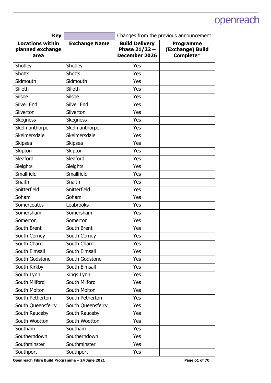| <b>Key</b>                                          |                      | Changes from the previous announcement                    |                                                   |
|-----------------------------------------------------|----------------------|-----------------------------------------------------------|---------------------------------------------------|
| <b>Locations within</b><br>planned exchange<br>area | <b>Exchange Name</b> | <b>Build Delivery</b><br>Phase $21/22 -$<br>December 2026 | <b>Programme</b><br>(Exchange) Build<br>Complete* |
| Shotley                                             | Shotley              | Yes                                                       |                                                   |
| <b>Shotts</b>                                       | <b>Shotts</b>        | Yes                                                       |                                                   |
| Sidmouth                                            | Sidmouth             | Yes                                                       |                                                   |
| Silloth                                             | Silloth              | Yes                                                       |                                                   |
| Silsoe                                              | Silsoe               | Yes                                                       |                                                   |
| Silver End                                          | Silver End           | Yes                                                       |                                                   |
| Silverton                                           | Silverton            | Yes                                                       |                                                   |
| <b>Skegness</b>                                     | <b>Skegness</b>      | Yes                                                       |                                                   |
| Skelmanthorpe                                       | Skelmanthorpe        | Yes                                                       |                                                   |
| Skelmersdale                                        | Skelmersdale         | Yes                                                       |                                                   |
| <b>Skipsea</b>                                      | <b>Skipsea</b>       | Yes                                                       |                                                   |
| Skipton                                             | Skipton              | Yes                                                       |                                                   |
| Sleaford                                            | Sleaford             | Yes                                                       |                                                   |
| Sleights                                            | Sleights             | Yes                                                       |                                                   |
| Smallfield                                          | Smallfield           | Yes                                                       |                                                   |
| Snaith                                              | Snaith               | Yes                                                       |                                                   |
| Snitterfield                                        | Snitterfield         | Yes                                                       |                                                   |
| Soham                                               | Soham                | Yes                                                       |                                                   |
| Somercoates                                         | Leabrooks            | Yes                                                       |                                                   |
| Somersham                                           | Somersham            | Yes                                                       |                                                   |
| Somerton                                            | Somerton             | Yes                                                       |                                                   |
| South Brent                                         | South Brent          | Yes                                                       |                                                   |
| South Cerney                                        | South Cerney         | Yes                                                       |                                                   |
| South Chard                                         | South Chard          | Yes                                                       |                                                   |
| South Elmsall                                       | South Elmsall        | Yes                                                       |                                                   |
| South Godstone                                      | South Godstone       | Yes                                                       |                                                   |
| South Kirkby                                        | South Elmsall        | Yes                                                       |                                                   |
| South Lynn                                          | Kings Lynn           | Yes                                                       |                                                   |
| South Milford                                       | South Milford        | Yes                                                       |                                                   |
| South Molton                                        | South Molton         | Yes                                                       |                                                   |
| South Petherton                                     | South Petherton      | Yes                                                       |                                                   |
| South Queensferry                                   | South Queensferry    | Yes                                                       |                                                   |
| South Rauceby                                       | South Rauceby        | Yes                                                       |                                                   |
| South Wootton                                       | South Wootton        | Yes                                                       |                                                   |
| Southam                                             | Southam              | Yes                                                       |                                                   |
| Southerndown                                        | Southerndown         | Yes                                                       |                                                   |
| Southminster                                        | Southminster         | Yes                                                       |                                                   |
| Southport                                           | Southport            | Yes                                                       |                                                   |

Openreach Fibre Build Programme - 24 June 2021 **Page 61 of 70 Page 61 of 70**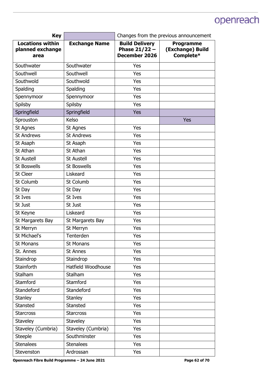| <b>Key</b>                                          |                      | Changes from the previous announcement                    |                                                   |
|-----------------------------------------------------|----------------------|-----------------------------------------------------------|---------------------------------------------------|
| <b>Locations within</b><br>planned exchange<br>area | <b>Exchange Name</b> | <b>Build Delivery</b><br>Phase $21/22 -$<br>December 2026 | <b>Programme</b><br>(Exchange) Build<br>Complete* |
| Southwater                                          | Southwater           | Yes                                                       |                                                   |
| Southwell                                           | Southwell            | Yes                                                       |                                                   |
| Southwold                                           | Southwold            | Yes                                                       |                                                   |
| Spalding                                            | Spalding             | Yes                                                       |                                                   |
| Spennymoor                                          | Spennymoor           | Yes                                                       |                                                   |
| Spilsby                                             | Spilsby              | Yes                                                       |                                                   |
| Springfield                                         | Springfield          | Yes                                                       |                                                   |
| Sprouston                                           | Kelso                |                                                           | Yes                                               |
| St Agnes                                            | St Agnes             | Yes                                                       |                                                   |
| <b>St Andrews</b>                                   | <b>St Andrews</b>    | Yes                                                       |                                                   |
| St Asaph                                            | St Asaph             | Yes                                                       |                                                   |
| St Athan                                            | St Athan             | Yes                                                       |                                                   |
| <b>St Austell</b>                                   | <b>St Austell</b>    | Yes                                                       |                                                   |
| <b>St Boswells</b>                                  | <b>St Boswells</b>   | Yes                                                       |                                                   |
| St Cleer                                            | Liskeard             | Yes                                                       |                                                   |
| St Columb                                           | St Columb            | Yes                                                       |                                                   |
| St Day                                              | St Day               | Yes                                                       |                                                   |
| St Ives                                             | St Ives              | Yes                                                       |                                                   |
| St Just                                             | St Just              | Yes                                                       |                                                   |
| St Keyne                                            | Liskeard             | Yes                                                       |                                                   |
| St Margarets Bay                                    | St Margarets Bay     | Yes                                                       |                                                   |
| St Merryn                                           | St Merryn            | Yes                                                       |                                                   |
| St Michael's                                        | Tenterden            | Yes                                                       |                                                   |
| St Monans                                           | St Monans            | Yes                                                       |                                                   |
| St. Annes                                           | St Annes             | Yes                                                       |                                                   |
| Staindrop                                           | Staindrop            | Yes                                                       |                                                   |
| <b>Stainforth</b>                                   | Hatfield Woodhouse   | Yes                                                       |                                                   |
| Stalham                                             | Stalham              | Yes                                                       |                                                   |
| Stamford                                            | Stamford             | Yes                                                       |                                                   |
| Standeford                                          | <b>Standeford</b>    | Yes                                                       |                                                   |
| <b>Stanley</b>                                      | <b>Stanley</b>       | Yes                                                       |                                                   |
| Stansted                                            | Stansted             | Yes                                                       |                                                   |
| <b>Starcross</b>                                    | <b>Starcross</b>     | Yes                                                       |                                                   |
| <b>Staveley</b>                                     | Staveley             | Yes                                                       |                                                   |
| Staveley (Cumbria)                                  | Staveley (Cumbria)   | Yes                                                       |                                                   |
| <b>Steeple</b>                                      | Southminster         | Yes                                                       |                                                   |
| <b>Stenalees</b>                                    | <b>Stenalees</b>     | Yes                                                       |                                                   |
| Stevenston                                          | Ardrossan            | Yes                                                       |                                                   |

Openreach Fibre Build Programme - 24 June 2021 **Page 62 of 70 Page 62 of 70**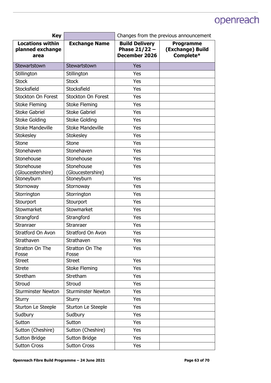| <b>Key</b>                                          |                                 | Changes from the previous announcement                           |                                                   |
|-----------------------------------------------------|---------------------------------|------------------------------------------------------------------|---------------------------------------------------|
| <b>Locations within</b><br>planned exchange<br>area | <b>Exchange Name</b>            | <b>Build Delivery</b><br>Phase $21/22 -$<br><b>December 2026</b> | <b>Programme</b><br>(Exchange) Build<br>Complete* |
| Stewartstown                                        | Stewartstown                    | <b>Yes</b>                                                       |                                                   |
| Stillington                                         | Stillington                     | Yes                                                              |                                                   |
| <b>Stock</b>                                        | <b>Stock</b>                    | Yes                                                              |                                                   |
| Stocksfield                                         | Stocksfield                     | Yes                                                              |                                                   |
| Stockton On Forest                                  | Stockton On Forest              | Yes                                                              |                                                   |
| <b>Stoke Fleming</b>                                | <b>Stoke Fleming</b>            | Yes                                                              |                                                   |
| <b>Stoke Gabriel</b>                                | <b>Stoke Gabriel</b>            | Yes                                                              |                                                   |
| <b>Stoke Golding</b>                                | <b>Stoke Golding</b>            | Yes                                                              |                                                   |
| <b>Stoke Mandeville</b>                             | <b>Stoke Mandeville</b>         | Yes                                                              |                                                   |
| <b>Stokesley</b>                                    | Stokesley                       | Yes                                                              |                                                   |
| <b>Stone</b>                                        | Stone                           | Yes                                                              |                                                   |
| Stonehaven                                          | Stonehaven                      | Yes                                                              |                                                   |
| Stonehouse                                          | Stonehouse                      | Yes                                                              |                                                   |
| Stonehouse<br>(Gloucestershire)                     | Stonehouse<br>(Gloucestershire) | Yes                                                              |                                                   |
| Stoneyburn                                          | Stoneyburn                      | Yes                                                              |                                                   |
| Stornoway                                           | Stornoway                       | Yes                                                              |                                                   |
| Storrington                                         | Storrington                     | Yes                                                              |                                                   |
| Stourport                                           | Stourport                       | Yes                                                              |                                                   |
| Stowmarket                                          | Stowmarket                      | Yes                                                              |                                                   |
| Strangford                                          | Strangford                      | Yes                                                              |                                                   |
| Stranraer                                           | Stranraer                       | Yes                                                              |                                                   |
| Stratford On Avon                                   | <b>Stratford On Avon</b>        | Yes                                                              |                                                   |
| Strathaven                                          | Strathaven                      | Yes                                                              |                                                   |
| <b>Stratton On The</b><br>Fosse                     | <b>Stratton On The</b><br>Fosse | Yes                                                              |                                                   |
| <b>Street</b>                                       | <b>Street</b>                   | Yes                                                              |                                                   |
| <b>Strete</b>                                       | <b>Stoke Fleming</b>            | Yes                                                              |                                                   |
| Stretham                                            | Stretham                        | Yes                                                              |                                                   |
| Stroud                                              | Stroud                          | Yes                                                              |                                                   |
| <b>Sturminster Newton</b>                           | <b>Sturminster Newton</b>       | Yes                                                              |                                                   |
| <b>Sturry</b>                                       | <b>Sturry</b>                   | Yes                                                              |                                                   |
| Sturton Le Steeple                                  | Sturton Le Steeple              | Yes                                                              |                                                   |
| Sudbury                                             | Sudbury                         | Yes                                                              |                                                   |
| Sutton                                              | Sutton                          | Yes                                                              |                                                   |
| Sutton (Cheshire)                                   | Sutton (Cheshire)               | Yes                                                              |                                                   |
| <b>Sutton Bridge</b>                                | <b>Sutton Bridge</b>            | Yes                                                              |                                                   |
| <b>Sutton Cross</b>                                 | <b>Sutton Cross</b>             | Yes                                                              |                                                   |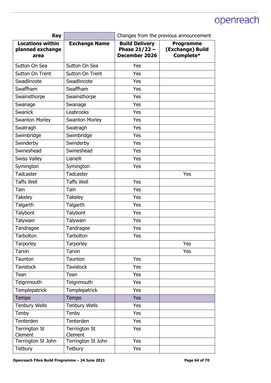| <b>Key</b>                                          |                                 | Changes from the previous announcement                    |                                                   |
|-----------------------------------------------------|---------------------------------|-----------------------------------------------------------|---------------------------------------------------|
| <b>Locations within</b><br>planned exchange<br>area | <b>Exchange Name</b>            | <b>Build Delivery</b><br>Phase $21/22 -$<br>December 2026 | <b>Programme</b><br>(Exchange) Build<br>Complete* |
| Sutton On Sea                                       | Sutton On Sea                   | Yes                                                       |                                                   |
| Sutton On Trent                                     | Sutton On Trent                 | Yes                                                       |                                                   |
| Swadlincote                                         | Swadlincote                     | Yes                                                       |                                                   |
| Swaffham                                            | Swaffham                        | Yes                                                       |                                                   |
| Swainsthorpe                                        | Swainsthorpe                    | Yes                                                       |                                                   |
| Swanage                                             | Swanage                         | Yes                                                       |                                                   |
| <b>Swanick</b>                                      | Leabrooks                       | Yes                                                       |                                                   |
| <b>Swanton Morley</b>                               | <b>Swanton Morley</b>           | Yes                                                       |                                                   |
| Swatragh                                            | Swatragh                        | Yes                                                       |                                                   |
| Swimbridge                                          | Swimbridge                      | Yes                                                       |                                                   |
| Swinderby                                           | Swinderby                       | Yes                                                       |                                                   |
| Swineshead                                          | Swineshead                      | Yes                                                       |                                                   |
| <b>Swiss Valley</b>                                 | Llanelli                        | Yes                                                       |                                                   |
| Symington                                           | Symington                       | Yes                                                       |                                                   |
| <b>Tadcaster</b>                                    | Tadcaster                       |                                                           | Yes                                               |
| <b>Taffs Well</b>                                   | <b>Taffs Well</b>               | Yes                                                       |                                                   |
| Tain                                                | Tain                            | Yes                                                       |                                                   |
| <b>Takeley</b>                                      | <b>Takeley</b>                  | Yes                                                       |                                                   |
| Talgarth                                            | Talgarth                        | Yes                                                       |                                                   |
| Talybont                                            | Talybont                        | Yes                                                       |                                                   |
| Talywain                                            | Talywain                        | Yes                                                       |                                                   |
| Tandragee                                           | Tandragee                       | Yes                                                       |                                                   |
| Tarbolton                                           | Tarbolton                       | Yes                                                       |                                                   |
| Tarporley                                           | <b>Tarporley</b>                |                                                           | Yes                                               |
| <b>Tarvin</b>                                       | Tarvin                          |                                                           | Yes                                               |
| Taunton                                             | Taunton                         | Yes                                                       |                                                   |
| <b>Tavistock</b>                                    | <b>Tavistock</b>                | Yes                                                       |                                                   |
| Tean                                                | Tean                            | Yes                                                       |                                                   |
| Teignmouth                                          | Teignmouth                      | Yes                                                       |                                                   |
| Templepatrick                                       | Templepatrick                   | Yes                                                       |                                                   |
| Tempo                                               | Tempo                           | <b>Yes</b>                                                |                                                   |
| <b>Tenbury Wells</b>                                | <b>Tenbury Wells</b>            | Yes                                                       |                                                   |
| Tenby                                               | Tenby                           | Yes                                                       |                                                   |
| Tenterden                                           | Tenterden                       | Yes                                                       |                                                   |
| <b>Terrington St</b><br>Clement                     | <b>Terrington St</b><br>Clement | Yes                                                       |                                                   |
| Terrington St John                                  | Terrington St John              | Yes                                                       |                                                   |
| Tetbury                                             | Tetbury                         | Yes                                                       |                                                   |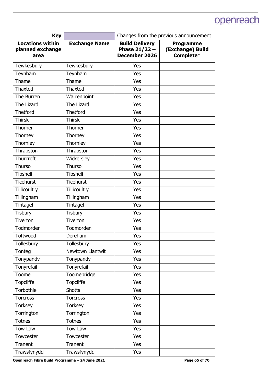| <b>Key</b>                                          |                      | Changes from the previous announcement                    |                                                   |
|-----------------------------------------------------|----------------------|-----------------------------------------------------------|---------------------------------------------------|
| <b>Locations within</b><br>planned exchange<br>area | <b>Exchange Name</b> | <b>Build Delivery</b><br>Phase $21/22 -$<br>December 2026 | <b>Programme</b><br>(Exchange) Build<br>Complete* |
| Tewkesbury                                          | Tewkesbury           | Yes                                                       |                                                   |
| Teynham                                             | Teynham              | Yes                                                       |                                                   |
| Thame                                               | Thame                | Yes                                                       |                                                   |
| <b>Thaxted</b>                                      | Thaxted              | Yes                                                       |                                                   |
| The Burren                                          | Warrenpoint          | Yes                                                       |                                                   |
| The Lizard                                          | The Lizard           | Yes                                                       |                                                   |
| <b>Thetford</b>                                     | <b>Thetford</b>      | Yes                                                       |                                                   |
| <b>Thirsk</b>                                       | <b>Thirsk</b>        | Yes                                                       |                                                   |
| Thorner                                             | Thorner              | Yes                                                       |                                                   |
| Thorney                                             | Thorney              | Yes                                                       |                                                   |
| Thornley                                            | Thornley             | Yes                                                       |                                                   |
| Thrapston                                           | Thrapston            | Yes                                                       |                                                   |
| Thurcroft                                           | Wickersley           | Yes                                                       |                                                   |
| Thurso                                              | Thurso               | Yes                                                       |                                                   |
| <b>Tibshelf</b>                                     | <b>Tibshelf</b>      | Yes                                                       |                                                   |
| <b>Ticehurst</b>                                    | <b>Ticehurst</b>     | Yes                                                       |                                                   |
| <b>Tillicoultry</b>                                 | <b>Tillicoultry</b>  | Yes                                                       |                                                   |
| Tillingham                                          | Tillingham           | Yes                                                       |                                                   |
| Tintagel                                            | Tintagel             | Yes                                                       |                                                   |
| <b>Tisbury</b>                                      | <b>Tisbury</b>       | Yes                                                       |                                                   |
| Tiverton                                            | Tiverton             | Yes                                                       |                                                   |
| Todmorden                                           | Todmorden            | Yes                                                       |                                                   |
| Toftwood                                            | Dereham              | Yes                                                       |                                                   |
| Tollesbury                                          | Tollesbury           | Yes                                                       |                                                   |
| Tonteg                                              | Newtown Llantwit     | Yes                                                       |                                                   |
| Tonypandy                                           | Tonypandy            | Yes                                                       |                                                   |
| Tonyrefail                                          | Tonyrefail           | Yes                                                       |                                                   |
| Toome                                               | Toomebridge          | Yes                                                       |                                                   |
| <b>Topcliffe</b>                                    | <b>Topcliffe</b>     | Yes                                                       |                                                   |
| Torbothie                                           | <b>Shotts</b>        | Yes                                                       |                                                   |
| <b>Torcross</b>                                     | <b>Torcross</b>      | Yes                                                       |                                                   |
| <b>Torksey</b>                                      | <b>Torksey</b>       | Yes                                                       |                                                   |
| Torrington                                          | Torrington           | Yes                                                       |                                                   |
| <b>Totnes</b>                                       | <b>Totnes</b>        | Yes                                                       |                                                   |
| Tow Law                                             | Tow Law              | Yes                                                       |                                                   |
| Towcester                                           | Towcester            | Yes                                                       |                                                   |
| Tranent                                             | Tranent              | Yes                                                       |                                                   |
| Trawsfynydd                                         | Trawsfynydd          | Yes                                                       |                                                   |

Openreach Fibre Build Programme - 24 June 2021 **Page 65 of 70 Page 65 of 70**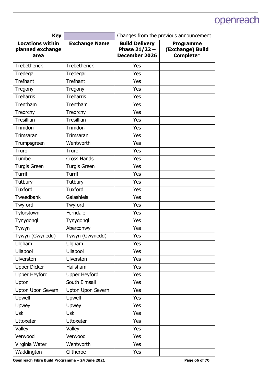| <b>Key</b>                                          |                      | Changes from the previous announcement                    |                                                   |
|-----------------------------------------------------|----------------------|-----------------------------------------------------------|---------------------------------------------------|
| <b>Locations within</b><br>planned exchange<br>area | <b>Exchange Name</b> | <b>Build Delivery</b><br>Phase $21/22 -$<br>December 2026 | <b>Programme</b><br>(Exchange) Build<br>Complete* |
| <b>Trebetherick</b>                                 | <b>Trebetherick</b>  | Yes                                                       |                                                   |
| Tredegar                                            | Tredegar             | Yes                                                       |                                                   |
| Trefnant                                            | <b>Trefnant</b>      | Yes                                                       |                                                   |
| Tregony                                             | Tregony              | Yes                                                       |                                                   |
| <b>Treharris</b>                                    | <b>Treharris</b>     | Yes                                                       |                                                   |
| Trentham                                            | Trentham             | Yes                                                       |                                                   |
| Treorchy                                            | Treorchy             | Yes                                                       |                                                   |
| Tresillian                                          | Tresillian           | Yes                                                       |                                                   |
| Trimdon                                             | Trimdon              | Yes                                                       |                                                   |
| Trimsaran                                           | Trimsaran            | Yes                                                       |                                                   |
| Trumpsgreen                                         | Wentworth            | Yes                                                       |                                                   |
| Truro                                               | Truro                | Yes                                                       |                                                   |
| Tumbe                                               | <b>Cross Hands</b>   | Yes                                                       |                                                   |
| <b>Turgis Green</b>                                 | <b>Turgis Green</b>  | Yes                                                       |                                                   |
| <b>Turriff</b>                                      | Turriff              | Yes                                                       |                                                   |
| Tutbury                                             | Tutbury              | Yes                                                       |                                                   |
| <b>Tuxford</b>                                      | <b>Tuxford</b>       | Yes                                                       |                                                   |
| Tweedbank                                           | Galashiels           | Yes                                                       |                                                   |
| Twyford                                             | Twyford              | Yes                                                       |                                                   |
| Tylorstown                                          | Ferndale             | Yes                                                       |                                                   |
| Tynygongl                                           | Tynygongl            | Yes                                                       |                                                   |
| Tywyn                                               | Aberconwy            | Yes                                                       |                                                   |
| Tywyn (Gwynedd)                                     | Tywyn (Gwynedd)      | Yes                                                       |                                                   |
| Ulgham                                              | Ulgham               | Yes                                                       |                                                   |
| Ullapool                                            | Ullapool             | Yes                                                       |                                                   |
| <b>Ulverston</b>                                    | Ulverston            | Yes                                                       |                                                   |
| <b>Upper Dicker</b>                                 | Hailsham             | Yes                                                       |                                                   |
| <b>Upper Heyford</b>                                | <b>Upper Heyford</b> | Yes                                                       |                                                   |
| Upton                                               | South Elmsall        | Yes                                                       |                                                   |
| Upton Upon Severn                                   | Upton Upon Severn    | Yes                                                       |                                                   |
| Upwell                                              | Upwell               | Yes                                                       |                                                   |
| Upwey                                               | Upwey                | Yes                                                       |                                                   |
| <b>Usk</b>                                          | <b>Usk</b>           | Yes                                                       |                                                   |
| <b>Uttoxeter</b>                                    | <b>Uttoxeter</b>     | Yes                                                       |                                                   |
| Valley                                              | Valley               | Yes                                                       |                                                   |
| Verwood                                             | Verwood              | Yes                                                       |                                                   |
| Virginia Water                                      | Wentworth            | Yes                                                       |                                                   |
| Waddington                                          | Clitheroe            | Yes                                                       |                                                   |

Openreach Fibre Build Programme - 24 June 2021 **Page 66 of 70 Page 66 of 70**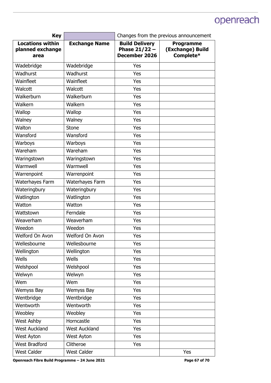| <b>Key</b>                                          |                      | Changes from the previous announcement                    |                                                   |
|-----------------------------------------------------|----------------------|-----------------------------------------------------------|---------------------------------------------------|
| <b>Locations within</b><br>planned exchange<br>area | <b>Exchange Name</b> | <b>Build Delivery</b><br>Phase $21/22 -$<br>December 2026 | <b>Programme</b><br>(Exchange) Build<br>Complete* |
| Wadebridge                                          | Wadebridge           | Yes                                                       |                                                   |
| Wadhurst                                            | Wadhurst             | Yes                                                       |                                                   |
| Wainfleet                                           | Wainfleet            | Yes                                                       |                                                   |
| Walcott                                             | Walcott              | Yes                                                       |                                                   |
| Walkerburn                                          | Walkerburn           | Yes                                                       |                                                   |
| Walkern                                             | Walkern              | Yes                                                       |                                                   |
| Wallop                                              | Wallop               | Yes                                                       |                                                   |
| Walney                                              | Walney               | Yes                                                       |                                                   |
| Walton                                              | Stone                | Yes                                                       |                                                   |
| Wansford                                            | Wansford             | Yes                                                       |                                                   |
| Warboys                                             | Warboys              | Yes                                                       |                                                   |
| Wareham                                             | Wareham              | Yes                                                       |                                                   |
| Waringstown                                         | Waringstown          | Yes                                                       |                                                   |
| Warmwell                                            | Warmwell             | Yes                                                       |                                                   |
| Warrenpoint                                         | Warrenpoint          | Yes                                                       |                                                   |
| Waterhayes Farm                                     | Waterhayes Farm      | Yes                                                       |                                                   |
| Wateringbury                                        | Wateringbury         | Yes                                                       |                                                   |
| Watlington                                          | Watlington           | Yes                                                       |                                                   |
| Watton                                              | Watton               | Yes                                                       |                                                   |
| Wattstown                                           | Ferndale             | Yes                                                       |                                                   |
| Weaverham                                           | Weaverham            | Yes                                                       |                                                   |
| Weedon                                              | Weedon               | Yes                                                       |                                                   |
| Welford On Avon                                     | Welford On Avon      | Yes                                                       |                                                   |
| Wellesbourne                                        | Wellesbourne         | Yes                                                       |                                                   |
| Wellington                                          | Wellington           | Yes                                                       |                                                   |
| Wells                                               | Wells                | Yes                                                       |                                                   |
| Welshpool                                           | Welshpool            | Yes                                                       |                                                   |
| Welwyn                                              | Welwyn               | Yes                                                       |                                                   |
| Wem                                                 | Wem                  | Yes                                                       |                                                   |
| Wemyss Bay                                          | Wemyss Bay           | Yes                                                       |                                                   |
| Wentbridge                                          | Wentbridge           | Yes                                                       |                                                   |
| Wentworth                                           | Wentworth            | Yes                                                       |                                                   |
| Weobley                                             | Weobley              | Yes                                                       |                                                   |
| West Ashby                                          | Horncastle           | Yes                                                       |                                                   |
| <b>West Auckland</b>                                | <b>West Auckland</b> | Yes                                                       |                                                   |
| West Ayton                                          | West Ayton           | Yes                                                       |                                                   |
| West Bradford                                       | Clitheroe            | Yes                                                       |                                                   |
| <b>West Calder</b>                                  | <b>West Calder</b>   |                                                           | Yes                                               |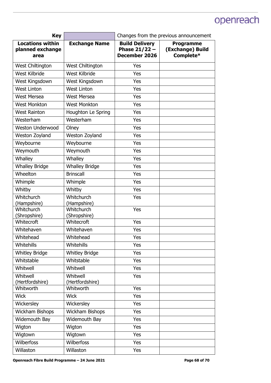| <b>Key</b>                                          |                             | Changes from the previous announcement                    |                                                   |
|-----------------------------------------------------|-----------------------------|-----------------------------------------------------------|---------------------------------------------------|
| <b>Locations within</b><br>planned exchange<br>area | <b>Exchange Name</b>        | <b>Build Delivery</b><br>Phase $21/22 -$<br>December 2026 | <b>Programme</b><br>(Exchange) Build<br>Complete* |
| West Chiltington                                    | West Chiltington            | Yes                                                       |                                                   |
| West Kilbride                                       | West Kilbride               | Yes                                                       |                                                   |
| West Kingsdown                                      | West Kingsdown              | Yes                                                       |                                                   |
| <b>West Linton</b>                                  | <b>West Linton</b>          | Yes                                                       |                                                   |
| <b>West Mersea</b>                                  | <b>West Mersea</b>          | Yes                                                       |                                                   |
| <b>West Monkton</b>                                 | <b>West Monkton</b>         | Yes                                                       |                                                   |
| <b>West Rainton</b>                                 | Houghton Le Spring          | Yes                                                       |                                                   |
| Westerham                                           | Westerham                   | Yes                                                       |                                                   |
| <b>Weston Underwood</b>                             | Olney                       | Yes                                                       |                                                   |
| Weston Zoyland                                      | Weston Zoyland              | Yes                                                       |                                                   |
| Weybourne                                           | Weybourne                   | Yes                                                       |                                                   |
| Weymouth                                            | Weymouth                    | Yes                                                       |                                                   |
| Whalley                                             | Whalley                     | Yes                                                       |                                                   |
| <b>Whalley Bridge</b>                               | <b>Whalley Bridge</b>       | Yes                                                       |                                                   |
| Wheelton                                            | <b>Brinscall</b>            | Yes                                                       |                                                   |
| Whimple                                             | Whimple                     | Yes                                                       |                                                   |
| Whitby                                              | Whitby                      | Yes                                                       |                                                   |
| Whitchurch<br>(Hampshire)                           | Whitchurch<br>(Hampshire)   | Yes                                                       |                                                   |
| Whitchurch<br>(Shropshire)                          | Whitchurch<br>(Shropshire)  | Yes                                                       |                                                   |
| Whitecroft                                          | Whitecroft                  | Yes                                                       |                                                   |
| Whitehaven                                          | Whitehaven                  | Yes                                                       |                                                   |
| Whitehead                                           | Whitehead                   | Yes                                                       |                                                   |
| Whitehills                                          | Whitehills                  | Yes                                                       |                                                   |
| <b>Whitley Bridge</b>                               | <b>Whitley Bridge</b>       | Yes                                                       |                                                   |
| Whitstable                                          | Whitstable                  | Yes                                                       |                                                   |
| Whitwell                                            | Whitwell                    | Yes                                                       |                                                   |
| Whitwell<br>(Hertfordshire)                         | Whitwell<br>(Hertfordshire) | Yes                                                       |                                                   |
| Whitworth                                           | Whitworth                   | Yes                                                       |                                                   |
| <b>Wick</b>                                         | <b>Wick</b>                 | Yes                                                       |                                                   |
| Wickersley                                          | Wickersley                  | Yes                                                       |                                                   |
| Wickham Bishops                                     | Wickham Bishops             | Yes                                                       |                                                   |
| Widemouth Bay                                       | Widemouth Bay               | Yes                                                       |                                                   |
| Wigton                                              | Wigton                      | Yes                                                       |                                                   |
| Wigtown                                             | Wigtown                     | Yes                                                       |                                                   |
| <b>Wilberfoss</b>                                   | <b>Wilberfoss</b>           | Yes                                                       |                                                   |
| Willaston                                           | Willaston                   | Yes                                                       |                                                   |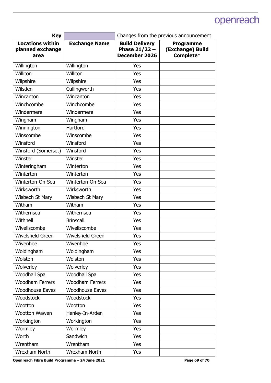| <b>Key</b>                                          |                        | Changes from the previous announcement                           |                                                   |
|-----------------------------------------------------|------------------------|------------------------------------------------------------------|---------------------------------------------------|
| <b>Locations within</b><br>planned exchange<br>area | <b>Exchange Name</b>   | <b>Build Delivery</b><br>Phase $21/22 -$<br><b>December 2026</b> | <b>Programme</b><br>(Exchange) Build<br>Complete* |
| Willington                                          | Willington             | Yes                                                              |                                                   |
| Williton                                            | Williton               | Yes                                                              |                                                   |
| Wilpshire                                           | Wilpshire              | Yes                                                              |                                                   |
| Wilsden                                             | Cullingworth           | Yes                                                              |                                                   |
| Wincanton                                           | Wincanton              | Yes                                                              |                                                   |
| Winchcombe                                          | Winchcombe             | Yes                                                              |                                                   |
| Windermere                                          | Windermere             | Yes                                                              |                                                   |
| Wingham                                             | Wingham                | Yes                                                              |                                                   |
| Winnington                                          | Hartford               | Yes                                                              |                                                   |
| Winscombe                                           | Winscombe              | Yes                                                              |                                                   |
| Winsford                                            | Winsford               | Yes                                                              |                                                   |
| Winsford (Somerset)                                 | Winsford               | Yes                                                              |                                                   |
| Winster                                             | Winster                | Yes                                                              |                                                   |
| Winteringham                                        | Winterton              | Yes                                                              |                                                   |
| Winterton                                           | Winterton              | Yes                                                              |                                                   |
| Winterton-On-Sea                                    | Winterton-On-Sea       | Yes                                                              |                                                   |
| Wirksworth                                          | Wirksworth             | Yes                                                              |                                                   |
| Wisbech St Mary                                     | Wisbech St Mary        | Yes                                                              |                                                   |
| Witham                                              | Witham                 | Yes                                                              |                                                   |
| Withernsea                                          | Withernsea             | Yes                                                              |                                                   |
| Withnell                                            | <b>Brinscall</b>       | Yes                                                              |                                                   |
| Wiveliscombe                                        | Wiveliscombe           | Yes                                                              |                                                   |
| Wivelsfield Green                                   | Wivelsfield Green      | Yes                                                              |                                                   |
| Wivenhoe                                            | Wivenhoe               | Yes                                                              |                                                   |
| Woldingham                                          | Woldingham             | Yes                                                              |                                                   |
| Wolston                                             | Wolston                | Yes                                                              |                                                   |
| Wolverley                                           | Wolverley              | Yes                                                              |                                                   |
| Woodhall Spa                                        | Woodhall Spa           | Yes                                                              |                                                   |
| <b>Woodham Ferrers</b>                              | <b>Woodham Ferrers</b> | Yes                                                              |                                                   |
| <b>Woodhouse Eaves</b>                              | <b>Woodhouse Eaves</b> | Yes                                                              |                                                   |
| Woodstock                                           | Woodstock              | Yes                                                              |                                                   |
| Wootton                                             | Wootton                | Yes                                                              |                                                   |
| Wootton Wawen                                       | Henley-In-Arden        | Yes                                                              |                                                   |
| Workington                                          | Workington             | Yes                                                              |                                                   |
| Wormley                                             | Wormley                | Yes                                                              |                                                   |
| Worth                                               | Sandwich               | Yes                                                              |                                                   |
| Wrentham                                            | Wrentham               | Yes                                                              |                                                   |
| Wrexham North                                       | Wrexham North          | Yes                                                              |                                                   |